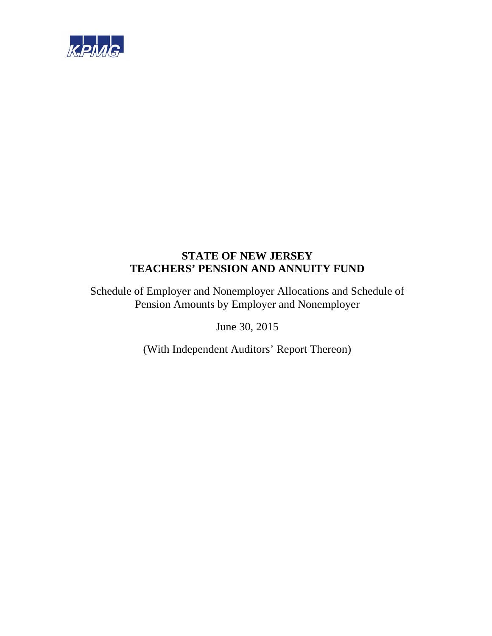

Schedule of Employer and Nonemployer Allocations and Schedule of Pension Amounts by Employer and Nonemployer

June 30, 2015

(With Independent Auditors' Report Thereon)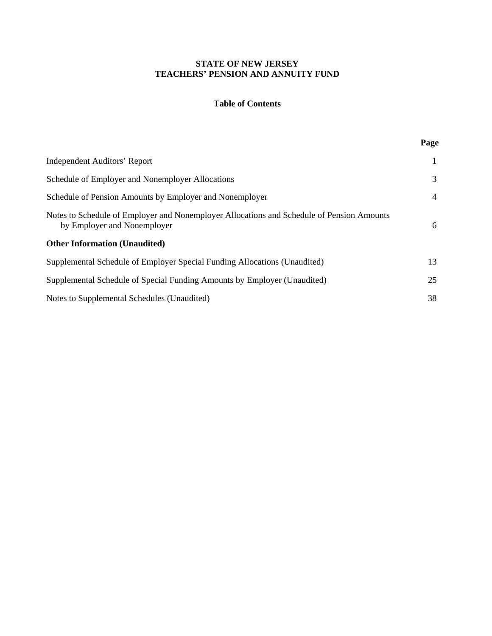# **Table of Contents**

| Page |
|------|
| 1    |
| 3    |
| 4    |
| 6    |
|      |
| 13   |
| 25   |
| 38   |
|      |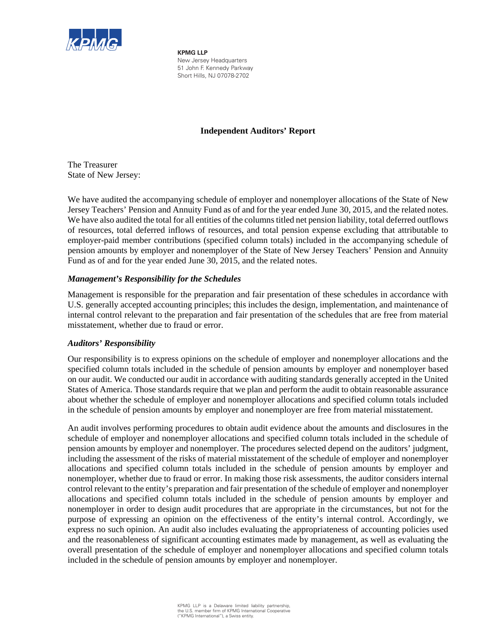

**KPMG LLP** New Jersey Headquarters 51 John F. Kennedy Parkway Short Hills, NJ 07078-2702

# **Independent Auditors' Report**

The Treasurer State of New Jersey:

We have audited the accompanying schedule of employer and nonemployer allocations of the State of New Jersey Teachers' Pension and Annuity Fund as of and for the year ended June 30, 2015, and the related notes. We have also audited the total for all entities of the columns titled net pension liability, total deferred outflows of resources, total deferred inflows of resources, and total pension expense excluding that attributable to employer-paid member contributions (specified column totals) included in the accompanying schedule of pension amounts by employer and nonemployer of the State of New Jersey Teachers' Pension and Annuity Fund as of and for the year ended June 30, 2015, and the related notes.

# *Management's Responsibility for the Schedules*

Management is responsible for the preparation and fair presentation of these schedules in accordance with U.S. generally accepted accounting principles; this includes the design, implementation, and maintenance of internal control relevant to the preparation and fair presentation of the schedules that are free from material misstatement, whether due to fraud or error.

# *Auditors' Responsibility*

Our responsibility is to express opinions on the schedule of employer and nonemployer allocations and the specified column totals included in the schedule of pension amounts by employer and nonemployer based on our audit. We conducted our audit in accordance with auditing standards generally accepted in the United States of America. Those standards require that we plan and perform the audit to obtain reasonable assurance about whether the schedule of employer and nonemployer allocations and specified column totals included in the schedule of pension amounts by employer and nonemployer are free from material misstatement.

An audit involves performing procedures to obtain audit evidence about the amounts and disclosures in the schedule of employer and nonemployer allocations and specified column totals included in the schedule of pension amounts by employer and nonemployer. The procedures selected depend on the auditors' judgment, including the assessment of the risks of material misstatement of the schedule of employer and nonemployer allocations and specified column totals included in the schedule of pension amounts by employer and nonemployer, whether due to fraud or error. In making those risk assessments, the auditor considers internal control relevant to the entity's preparation and fair presentation of the schedule of employer and nonemployer allocations and specified column totals included in the schedule of pension amounts by employer and nonemployer in order to design audit procedures that are appropriate in the circumstances, but not for the purpose of expressing an opinion on the effectiveness of the entity's internal control. Accordingly, we express no such opinion. An audit also includes evaluating the appropriateness of accounting policies used and the reasonableness of significant accounting estimates made by management, as well as evaluating the overall presentation of the schedule of employer and nonemployer allocations and specified column totals included in the schedule of pension amounts by employer and nonemployer.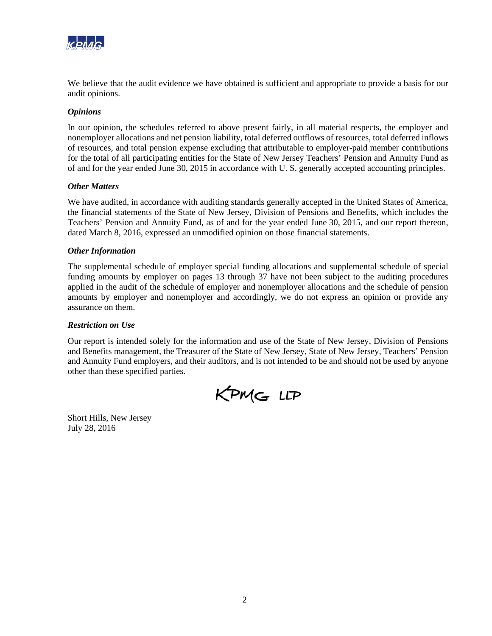

We believe that the audit evidence we have obtained is sufficient and appropriate to provide a basis for our audit opinions.

# *Opinions*

In our opinion, the schedules referred to above present fairly, in all material respects, the employer and nonemployer allocations and net pension liability, total deferred outflows of resources, total deferred inflows of resources, and total pension expense excluding that attributable to employer-paid member contributions for the total of all participating entities for the State of New Jersey Teachers' Pension and Annuity Fund as of and for the year ended June 30, 2015 in accordance with U. S. generally accepted accounting principles.

## *Other Matters*

We have audited, in accordance with auditing standards generally accepted in the United States of America, the financial statements of the State of New Jersey, Division of Pensions and Benefits, which includes the Teachers' Pension and Annuity Fund, as of and for the year ended June 30, 2015, and our report thereon, dated March 8, 2016, expressed an unmodified opinion on those financial statements.

## *Other Information*

The supplemental schedule of employer special funding allocations and supplemental schedule of special funding amounts by employer on pages 13 through 37 have not been subject to the auditing procedures applied in the audit of the schedule of employer and nonemployer allocations and the schedule of pension amounts by employer and nonemployer and accordingly, we do not express an opinion or provide any assurance on them.

#### *Restriction on Use*

Our report is intended solely for the information and use of the State of New Jersey, Division of Pensions and Benefits management, the Treasurer of the State of New Jersey, State of New Jersey, Teachers' Pension and Annuity Fund employers, and their auditors, and is not intended to be and should not be used by anyone other than these specified parties.

KPMG LLP

Short Hills, New Jersey July 28, 2016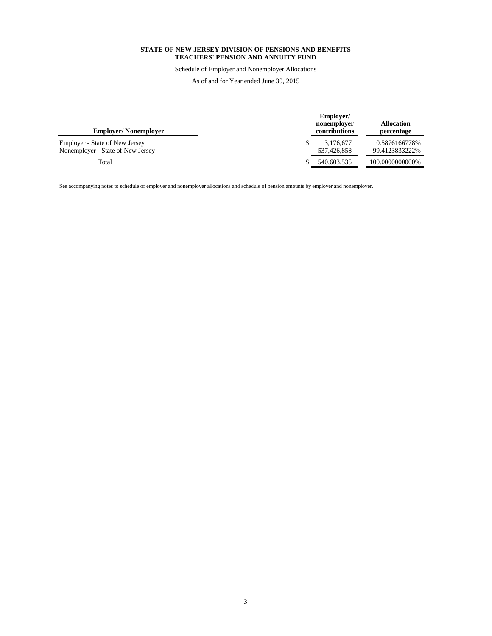Schedule of Employer and Nonemployer Allocations

As of and for Year ended June 30, 2015

| <b>Employer/Nonemployer</b>                                                | Employer/<br>nonemployer<br>contributions | <b>Allocation</b><br>percentage  |
|----------------------------------------------------------------------------|-------------------------------------------|----------------------------------|
| <b>Employer - State of New Jersey</b><br>Nonemployer - State of New Jersey | 3.176.677<br>537.426.858                  | 0.5876166778%<br>99.41238332222% |
| Total                                                                      | 540,603,535                               | 100.0000000000%                  |

See accompanying notes to schedule of employer and nonemployer allocations and schedule of pension amounts by employer and nonemployer.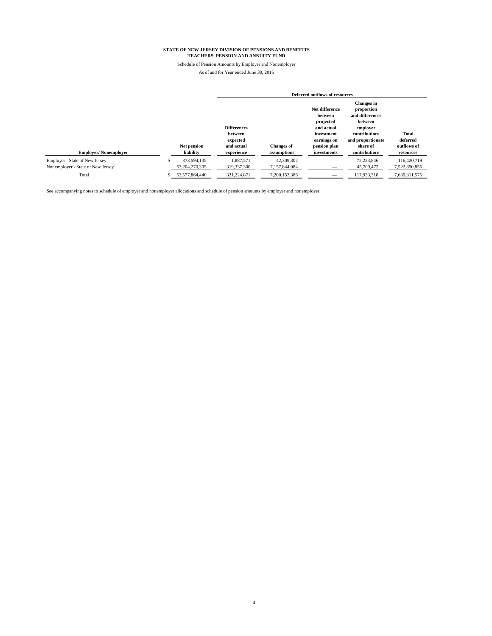Schedule of Pension Amounts by Employer and Nonemployer As of and for Year ended June 30, 2015

|                                                                     |                               |                                           | Deferred outflows of resources   |                                                                                   |                                                                                                                 |                              |  |  |  |
|---------------------------------------------------------------------|-------------------------------|-------------------------------------------|----------------------------------|-----------------------------------------------------------------------------------|-----------------------------------------------------------------------------------------------------------------|------------------------------|--|--|--|
|                                                                     |                               | <b>Differences</b><br>between<br>expected |                                  | Net difference<br>between<br>projected<br>and actual<br>investment<br>earnings on | <b>Changes</b> in<br>proportion<br>and differences<br>between<br>employer<br>contributions<br>and proportionate | <b>Total</b><br>deferred     |  |  |  |
| <b>Employer/Nonemployer</b>                                         | Net pension<br>liability      | and actual<br>experience                  | <b>Changes</b> of<br>assumptions | pension plan<br>investments                                                       | share of<br>contributions                                                                                       | outflows of<br>resources     |  |  |  |
| Employer - State of New Jersey<br>Nonemployer - State of New Jersey | 373,594,135<br>63,204,270,305 | 1.887.571<br>319,337,300                  | 42,309,302<br>7,157,844,084      | $\overline{\phantom{m}}$                                                          | 72,223,846<br>45,709,472                                                                                        | 116,420,719<br>7,522,890,856 |  |  |  |
| Total                                                               | 63,577,864,440                | 321,224,871                               | 7,200,153,386                    | $\overline{\phantom{a}}$                                                          | 117,933,318                                                                                                     | 7,639,311,575                |  |  |  |

See accompanying notes to schedule of employer and nonemployer allocations and schedule of pension amounts by employer and nonemployer.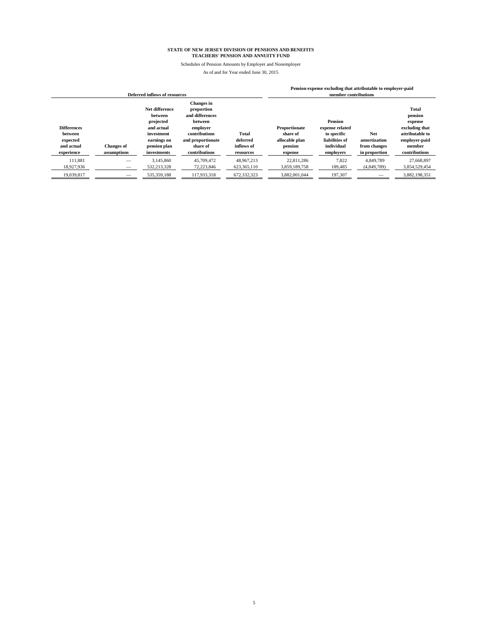Schedules of Pension Amounts by Employer and Nonemployer

|                                                                       | Deferred inflows of resources    |                                                                                                                  |                                                                                                                                              |                                              |                                                                          |                                                                                               | Pension expense excluding that attributable to employer-paid<br>member contributions |                                                                                                                     |
|-----------------------------------------------------------------------|----------------------------------|------------------------------------------------------------------------------------------------------------------|----------------------------------------------------------------------------------------------------------------------------------------------|----------------------------------------------|--------------------------------------------------------------------------|-----------------------------------------------------------------------------------------------|--------------------------------------------------------------------------------------|---------------------------------------------------------------------------------------------------------------------|
| <b>Differences</b><br>between<br>expected<br>and actual<br>experience | <b>Changes</b> of<br>assumptions | Net difference<br>between<br>projected<br>and actual<br>investment<br>earnings on<br>pension plan<br>investments | <b>Changes</b> in<br>proportion<br>and differences<br>between<br>employer<br>contributions<br>and proportionate<br>share of<br>contributions | Total<br>deferred<br>inflows of<br>resources | <b>Proportionate</b><br>share of<br>allocable plan<br>pension<br>expense | <b>Pension</b><br>expense related<br>to specific<br>liabilities of<br>individual<br>employers | <b>Net</b><br>amortization<br>from changes<br>in proportion                          | <b>Total</b><br>pension<br>expense<br>excluding that<br>attributable to<br>employer-paid<br>member<br>contributions |
| 111,881                                                               |                                  | 3.145.860                                                                                                        | 45,709,472                                                                                                                                   | 48.967.213                                   | 22.811.286                                                               | 7,822                                                                                         | 4.849.789                                                                            | 27,668,897                                                                                                          |
| 18,927,936                                                            | $-$                              | 532,213,328                                                                                                      | 72,223,846                                                                                                                                   | 623,365,110                                  | 3,859,189,758                                                            | 189,485                                                                                       | (4,849,789)                                                                          | 3,854,529,454                                                                                                       |
| 19,039,817                                                            | —                                | 535,359,188                                                                                                      | 117.933.318                                                                                                                                  | 672.332.323                                  | 3.882.001.044                                                            | 197.307                                                                                       | $-$                                                                                  | 3.882.198.351                                                                                                       |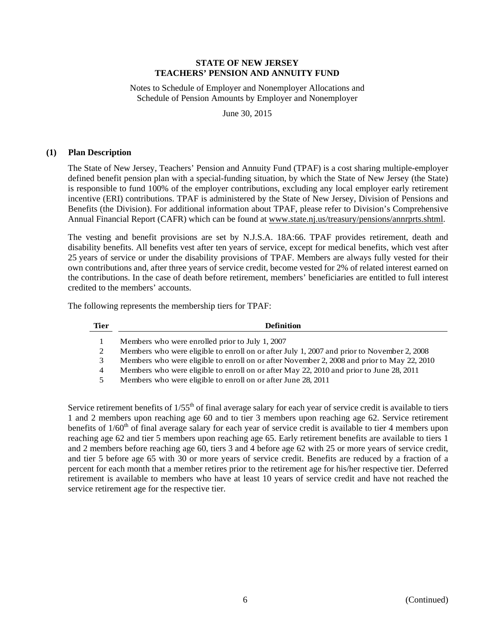Notes to Schedule of Employer and Nonemployer Allocations and Schedule of Pension Amounts by Employer and Nonemployer

June 30, 2015

#### **(1) Plan Description**

The State of New Jersey, Teachers' Pension and Annuity Fund (TPAF) is a cost sharing multiple-employer defined benefit pension plan with a special-funding situation, by which the State of New Jersey (the State) is responsible to fund 100% of the employer contributions, excluding any local employer early retirement incentive (ERI) contributions. TPAF is administered by the State of New Jersey, Division of Pensions and Benefits (the Division). For additional information about TPAF, please refer to Division's Comprehensive Annual Financial Report (CAFR) which can be found at www.state.nj.us/treasury/pensions/annrprts.shtml.

The vesting and benefit provisions are set by N.J.S.A. 18A:66. TPAF provides retirement, death and disability benefits. All benefits vest after ten years of service, except for medical benefits, which vest after 25 years of service or under the disability provisions of TPAF. Members are always fully vested for their own contributions and, after three years of service credit, become vested for 2% of related interest earned on the contributions. In the case of death before retirement, members' beneficiaries are entitled to full interest credited to the members' accounts.

The following represents the membership tiers for TPAF:

| Tier | <b>Definition</b>                                                                          |
|------|--------------------------------------------------------------------------------------------|
|      | Members who were enrolled prior to July 1, 2007                                            |
| 2    | Members who were eligible to enroll on or after July 1, 2007 and prior to November 2, 2008 |
| 3    | Members who were eligible to enroll on or after November 2, 2008 and prior to May 22, 2010 |
| 4    | Members who were eligible to enroll on or after May 22, 2010 and prior to June 28, 2011    |
| 5    | Members who were eligible to enroll on or after June 28, 2011                              |

Service retirement benefits of  $1/55<sup>th</sup>$  of final average salary for each year of service credit is available to tiers 1 and 2 members upon reaching age 60 and to tier 3 members upon reaching age 62. Service retirement benefits of  $1/60<sup>th</sup>$  of final average salary for each year of service credit is available to tier 4 members upon reaching age 62 and tier 5 members upon reaching age 65. Early retirement benefits are available to tiers 1 and 2 members before reaching age 60, tiers 3 and 4 before age 62 with 25 or more years of service credit, and tier 5 before age 65 with 30 or more years of service credit. Benefits are reduced by a fraction of a percent for each month that a member retires prior to the retirement age for his/her respective tier. Deferred retirement is available to members who have at least 10 years of service credit and have not reached the service retirement age for the respective tier.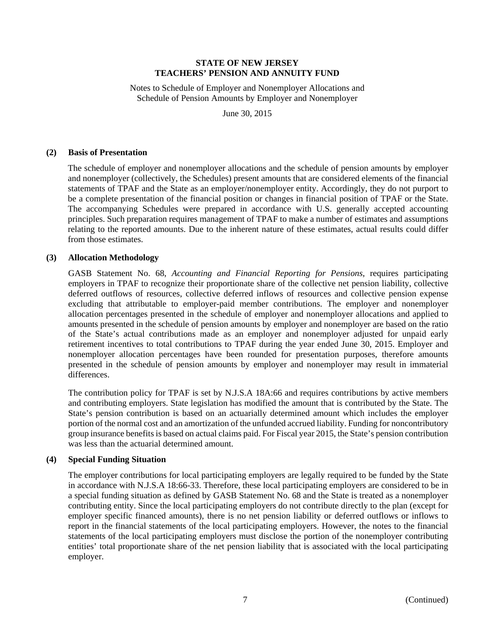Notes to Schedule of Employer and Nonemployer Allocations and Schedule of Pension Amounts by Employer and Nonemployer

June 30, 2015

## **(2) Basis of Presentation**

The schedule of employer and nonemployer allocations and the schedule of pension amounts by employer and nonemployer (collectively, the Schedules) present amounts that are considered elements of the financial statements of TPAF and the State as an employer/nonemployer entity. Accordingly, they do not purport to be a complete presentation of the financial position or changes in financial position of TPAF or the State. The accompanying Schedules were prepared in accordance with U.S. generally accepted accounting principles. Such preparation requires management of TPAF to make a number of estimates and assumptions relating to the reported amounts. Due to the inherent nature of these estimates, actual results could differ from those estimates.

## **(3) Allocation Methodology**

GASB Statement No. 68, *Accounting and Financial Reporting for Pensions*, requires participating employers in TPAF to recognize their proportionate share of the collective net pension liability, collective deferred outflows of resources, collective deferred inflows of resources and collective pension expense excluding that attributable to employer-paid member contributions. The employer and nonemployer allocation percentages presented in the schedule of employer and nonemployer allocations and applied to amounts presented in the schedule of pension amounts by employer and nonemployer are based on the ratio of the State's actual contributions made as an employer and nonemployer adjusted for unpaid early retirement incentives to total contributions to TPAF during the year ended June 30, 2015. Employer and nonemployer allocation percentages have been rounded for presentation purposes, therefore amounts presented in the schedule of pension amounts by employer and nonemployer may result in immaterial differences.

The contribution policy for TPAF is set by N.J.S.A 18A:66 and requires contributions by active members and contributing employers. State legislation has modified the amount that is contributed by the State. The State's pension contribution is based on an actuarially determined amount which includes the employer portion of the normal cost and an amortization of the unfunded accrued liability. Funding for noncontributory group insurance benefits is based on actual claims paid. For Fiscal year 2015, the State's pension contribution was less than the actuarial determined amount.

#### **(4) Special Funding Situation**

The employer contributions for local participating employers are legally required to be funded by the State in accordance with N.J.S.A 18:66-33. Therefore, these local participating employers are considered to be in a special funding situation as defined by GASB Statement No. 68 and the State is treated as a nonemployer contributing entity. Since the local participating employers do not contribute directly to the plan (except for employer specific financed amounts), there is no net pension liability or deferred outflows or inflows to report in the financial statements of the local participating employers. However, the notes to the financial statements of the local participating employers must disclose the portion of the nonemployer contributing entities' total proportionate share of the net pension liability that is associated with the local participating employer.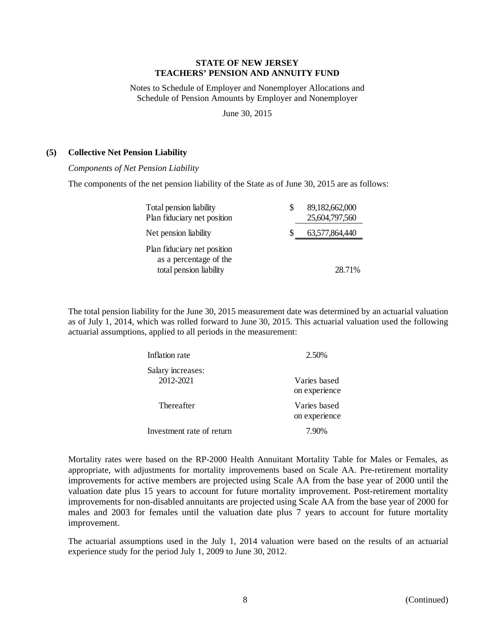Notes to Schedule of Employer and Nonemployer Allocations and Schedule of Pension Amounts by Employer and Nonemployer

June 30, 2015

# **(5) Collective Net Pension Liability**

*Components of Net Pension Liability* 

The components of the net pension liability of the State as of June 30, 2015 are as follows:

| Total pension liability<br>Plan fiduciary net position                           | S | 89,182,662,000<br>25,604,797,560 |
|----------------------------------------------------------------------------------|---|----------------------------------|
| Net pension liability                                                            |   | 63,577,864,440                   |
| Plan fiduciary net position<br>as a percentage of the<br>total pension liability |   | 28.71%                           |

The total pension liability for the June 30, 2015 measurement date was determined by an actuarial valuation as of July 1, 2014, which was rolled forward to June 30, 2015. This actuarial valuation used the following actuarial assumptions, applied to all periods in the measurement:

| Inflation rate            | 2.50%         |
|---------------------------|---------------|
| Salary increases:         |               |
| 2012-2021                 | Varies based  |
|                           | on experience |
| Thereafter                | Varies based  |
|                           | on experience |
| Investment rate of return | 7.90%         |

Mortality rates were based on the RP-2000 Health Annuitant Mortality Table for Males or Females, as appropriate, with adjustments for mortality improvements based on Scale AA. Pre-retirement mortality improvements for active members are projected using Scale AA from the base year of 2000 until the valuation date plus 15 years to account for future mortality improvement. Post-retirement mortality improvements for non-disabled annuitants are projected using Scale AA from the base year of 2000 for males and 2003 for females until the valuation date plus 7 years to account for future mortality improvement.

The actuarial assumptions used in the July 1, 2014 valuation were based on the results of an actuarial experience study for the period July 1, 2009 to June 30, 2012.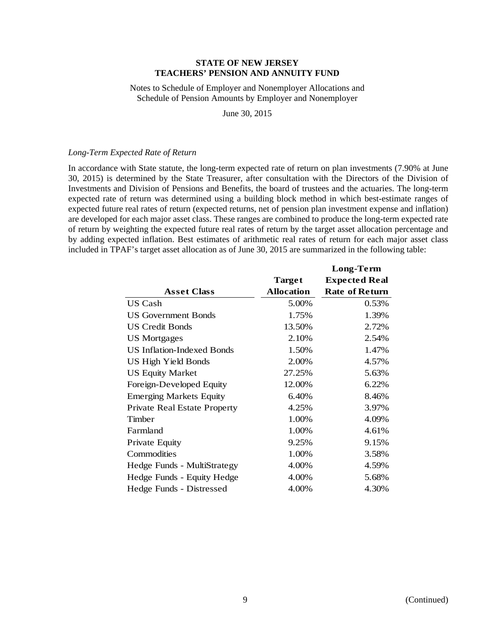Notes to Schedule of Employer and Nonemployer Allocations and Schedule of Pension Amounts by Employer and Nonemployer

June 30, 2015

#### *Long-Term Expected Rate of Return*

In accordance with State statute, the long-term expected rate of return on plan investments (7.90% at June 30, 2015) is determined by the State Treasurer, after consultation with the Directors of the Division of Investments and Division of Pensions and Benefits, the board of trustees and the actuaries. The long-term expected rate of return was determined using a building block method in which best-estimate ranges of expected future real rates of return (expected returns, net of pension plan investment expense and inflation) are developed for each major asset class. These ranges are combined to produce the long-term expected rate of return by weighting the expected future real rates of return by the target asset allocation percentage and by adding expected inflation. Best estimates of arithmetic real rates of return for each major asset class included in TPAF's target asset allocation as of June 30, 2015 are summarized in the following table:

|                                     |            | Long-Term             |
|-------------------------------------|------------|-----------------------|
|                                     | Target     | <b>Expected Real</b>  |
| <b>Asset Class</b>                  | Allocation | <b>Rate of Return</b> |
| US Cash                             | 5.00%      | 0.53%                 |
| <b>US Government Bonds</b>          | 1.75%      | 1.39%                 |
| <b>US Credit Bonds</b>              | 13.50%     | 2.72%                 |
| <b>US</b> Mortgages                 | 2.10%      | 2.54%                 |
| <b>US Inflation-Indexed Bonds</b>   | 1.50%      | 1.47%                 |
| <b>US High Yield Bonds</b>          | 2.00%      | 4.57%                 |
| <b>US Equity Market</b>             | 27.25%     | 5.63%                 |
| Foreign-Developed Equity            | 12.00%     | 6.22%                 |
| <b>Emerging Markets Equity</b>      | 6.40%      | 8.46%                 |
| <b>Private Real Estate Property</b> | 4.25%      | 3.97%                 |
| Timber                              | 1.00%      | 4.09%                 |
| Farmland                            | 1.00%      | 4.61%                 |
| Private Equity                      | 9.25%      | 9.15%                 |
| Commodities                         | 1.00%      | 3.58%                 |
| Hedge Funds - MultiStrategy         | 4.00%      | 4.59%                 |
| Hedge Funds - Equity Hedge          | 4.00%      | 5.68%                 |
| Hedge Funds - Distressed            | 4.00%      | 4.30%                 |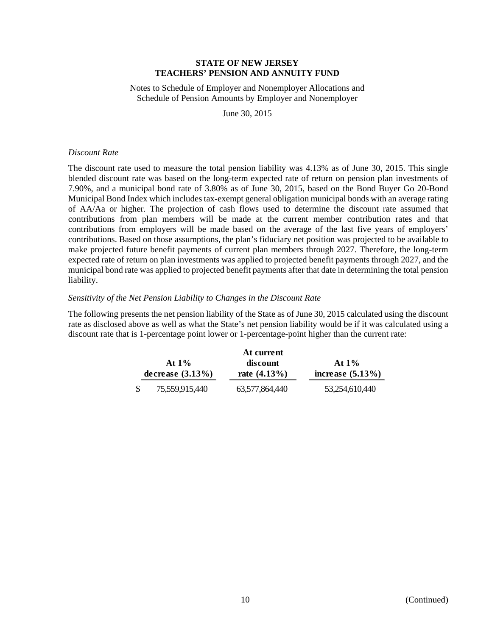Notes to Schedule of Employer and Nonemployer Allocations and Schedule of Pension Amounts by Employer and Nonemployer

June 30, 2015

#### *Discount Rate*

The discount rate used to measure the total pension liability was 4.13% as of June 30, 2015. This single blended discount rate was based on the long-term expected rate of return on pension plan investments of 7.90%, and a municipal bond rate of 3.80% as of June 30, 2015, based on the Bond Buyer Go 20-Bond Municipal Bond Index which includes tax-exempt general obligation municipal bonds with an average rating of AA/Aa or higher. The projection of cash flows used to determine the discount rate assumed that contributions from plan members will be made at the current member contribution rates and that contributions from employers will be made based on the average of the last five years of employers' contributions. Based on those assumptions, the plan's fiduciary net position was projected to be available to make projected future benefit payments of current plan members through 2027. Therefore, the long-term expected rate of return on plan investments was applied to projected benefit payments through 2027, and the municipal bond rate was applied to projected benefit payments after that date in determining the total pension liability.

## *Sensitivity of the Net Pension Liability to Changes in the Discount Rate*

The following presents the net pension liability of the State as of June 30, 2015 calculated using the discount rate as disclosed above as well as what the State's net pension liability would be if it was calculated using a discount rate that is 1-percentage point lower or 1-percentage-point higher than the current rate:

|                                 |                | At current                  |                                 |  |
|---------------------------------|----------------|-----------------------------|---------------------------------|--|
| At $1\%$<br>decrease $(3.13\%)$ |                | discount<br>rate $(4.13\%)$ | At $1\%$<br>increase $(5.13\%)$ |  |
|                                 | 75,559,915,440 | 63,577,864,440              | 53,254,610,440                  |  |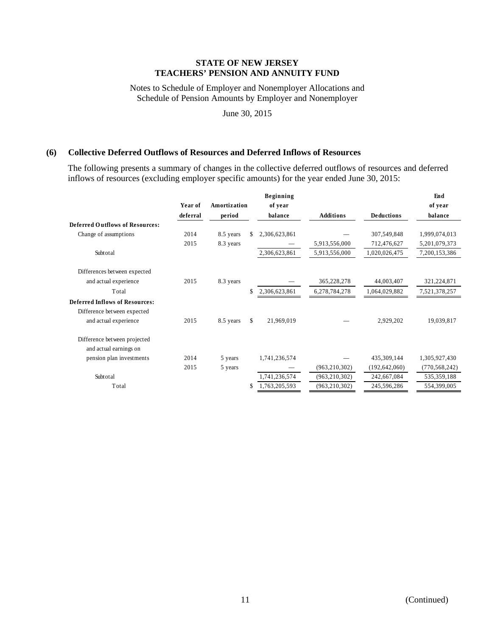Notes to Schedule of Employer and Nonemployer Allocations and Schedule of Pension Amounts by Employer and Nonemployer

June 30, 2015

# **(6) Collective Deferred Outflows of Resources and Deferred Inflows of Resources**

The following presents a summary of changes in the collective deferred outflows of resources and deferred inflows of resources (excluding employer specific amounts) for the year ended June 30, 2015:

|                                        |          |              |    | Beginning     |                  |                   | End             |
|----------------------------------------|----------|--------------|----|---------------|------------------|-------------------|-----------------|
|                                        | Year of  | Amortization |    | of year       |                  |                   | of year         |
|                                        | deferral | period       |    | balance       | <b>Additions</b> | <b>Deductions</b> | balance         |
| <b>Deferred Outflows of Resources:</b> |          |              |    |               |                  |                   |                 |
| Change of assumptions                  | 2014     | 8.5 years    | S. | 2,306,623,861 |                  | 307,549,848       | 1,999,074,013   |
|                                        | 2015     | 8.3 years    |    |               | 5,913,556,000    | 712,476,627       | 5,201,079,373   |
| Subtotal                               |          |              |    | 2,306,623,861 | 5,913,556,000    | 1,020,026,475     | 7,200,153,386   |
| Differences between expected           |          |              |    |               |                  |                   |                 |
| and actual experience                  | 2015     | 8.3 years    |    |               | 365,228,278      | 44,003,407        | 321,224,871     |
| Total                                  |          |              | S. | 2,306,623,861 | 6,278,784,278    | 1,064,029,882     | 7,521,378,257   |
| <b>Deferred Inflows of Resources:</b>  |          |              |    |               |                  |                   |                 |
| Difference between expected            |          |              |    |               |                  |                   |                 |
| and actual experience                  | 2015     | 8.5 years    | \$ | 21,969,019    |                  | 2,929,202         | 19,039,817      |
| Difference between projected           |          |              |    |               |                  |                   |                 |
| and actual earnings on                 |          |              |    |               |                  |                   |                 |
| pension plan investments               | 2014     | 5 years      |    | 1,741,236,574 |                  | 435,309,144       | 1,305,927,430   |
|                                        | 2015     | 5 years      |    |               | (963, 210, 302)  | (192, 642, 060)   | (770, 568, 242) |
| Subtotal                               |          |              |    | 1,741,236,574 | (963, 210, 302)  | 242,667,084       | 535,359,188     |
| Total                                  |          |              |    | 1,763,205,593 | (963, 210, 302)  | 245,596,286       | 554,399,005     |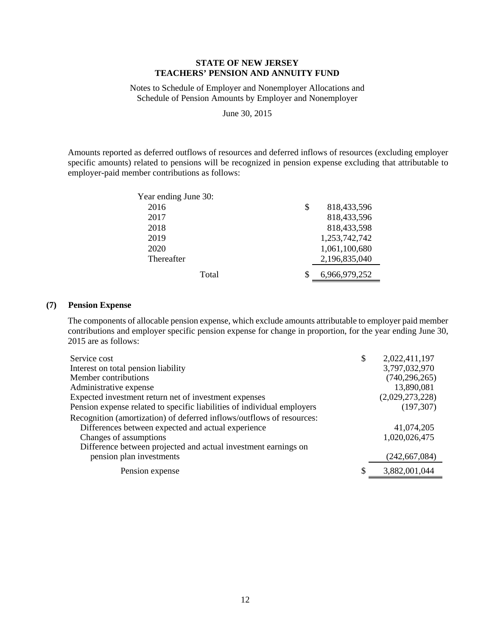Notes to Schedule of Employer and Nonemployer Allocations and Schedule of Pension Amounts by Employer and Nonemployer

June 30, 2015

Amounts reported as deferred outflows of resources and deferred inflows of resources (excluding employer specific amounts) related to pensions will be recognized in pension expense excluding that attributable to employer-paid member contributions as follows:

| Year ending June 30: |                   |
|----------------------|-------------------|
| 2016                 | \$<br>818,433,596 |
| 2017                 | 818,433,596       |
| 2018                 | 818,433,598       |
| 2019                 | 1,253,742,742     |
| 2020                 | 1,061,100,680     |
| Thereafter           | 2,196,835,040     |
| Total                | 6,966,979,252     |

## **(7) Pension Expense**

The components of allocable pension expense, which exclude amounts attributable to employer paid member contributions and employer specific pension expense for change in proportion, for the year ending June 30, 2015 are as follows:

| Service cost                                                            | \$<br>2,022,411,197 |
|-------------------------------------------------------------------------|---------------------|
| Interest on total pension liability                                     | 3,797,032,970       |
| Member contributions                                                    | (740, 296, 265)     |
| Administrative expense                                                  | 13,890,081          |
| Expected investment return net of investment expenses                   | (2,029,273,228)     |
| Pension expense related to specific liabilities of individual employers | (197, 307)          |
| Recognition (amortization) of deferred inflows/outflows of resources:   |                     |
| Differences between expected and actual experience                      | 41,074,205          |
| Changes of assumptions                                                  | 1,020,026,475       |
| Difference between projected and actual investment earnings on          |                     |
| pension plan investments                                                | (242, 667, 084)     |
| Pension expense                                                         | 3,882,001,044       |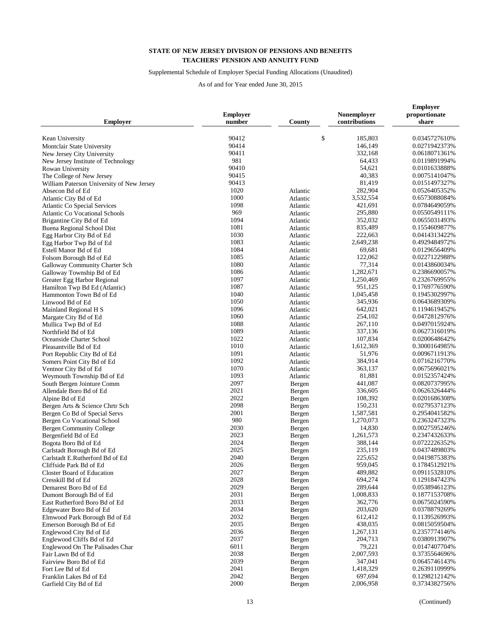## Supplemental Schedule of Employer Special Funding Allocations (Unaudited)

| <b>Employer</b>                                       | <b>Employer</b><br>number | County           | Nonemployer<br>contributions | <b>Employer</b><br>proportionate<br>share |
|-------------------------------------------------------|---------------------------|------------------|------------------------------|-------------------------------------------|
| Kean University                                       | 90412                     | \$               | 185,803                      | 0.0345727610%                             |
| Montclair State University                            | 90414                     |                  | 146,149                      | 0.0271942373%                             |
| New Jersey City University                            | 90411                     |                  | 332.168                      | 0.0618071361%                             |
| New Jersey Institute of Technology                    | 981                       |                  | 64,433                       | 0.0119891994%                             |
| Rowan University                                      | 90410                     |                  | 54,621                       | 0.0101633888%                             |
| The College of New Jersey                             | 90415                     |                  | 40,383                       | 0.0075141047%                             |
| William Paterson University of New Jersey             | 90413                     |                  | 81,419                       | 0.0151497327%                             |
| Absecon Bd of Ed                                      | 1020                      | Atlantic         | 282,904                      | 0.0526405352%                             |
| Atlantic City Bd of Ed                                | 1000                      | Atlantic         | 3,532,554                    | 0.6573088084%                             |
| <b>Atlantic Co Special Services</b>                   | 1098                      | Atlantic         | 421,691                      | 0.0784649059%                             |
| <b>Atlantic Co Vocational Schools</b>                 | 969                       | Atlantic         | 295,880                      | 0.0550549111%                             |
| Brigantine City Bd of Ed                              | 1094                      | Atlantic         | 352,032                      | 0.0655031493%                             |
| Buena Regional School Dist                            | 1081                      | Atlantic         | 835,489                      | 0.1554609877%                             |
| Egg Harbor City Bd of Ed                              | 1030                      | Atlantic         | 222,663                      | 0.0414313422%                             |
| Egg Harbor Twp Bd of Ed                               | 1083                      | Atlantic         | 2,649,238                    | 0.4929484972%                             |
| Estell Manor Bd of Ed                                 | 1084                      | Atlantic         | 69,681                       | 0.0129656409%                             |
| Folsom Borough Bd of Ed                               | 1085                      | Atlantic         | 122,062                      | 0.0227122988%                             |
| Galloway Community Charter Sch                        | 1080                      | Atlantic         | 77,314                       | 0.0143860034%                             |
| Galloway Township Bd of Ed                            | 1086                      | Atlantic         | 1,282,671                    | 0.2386690057%                             |
| Greater Egg Harbor Regional                           | 1097                      | Atlantic         | 1,250,469                    | 0.2326769955%                             |
| Hamilton Twp Bd Ed (Atlantic)                         | 1087                      | Atlantic         | 951,125                      | 0.1769776590%                             |
| Hammonton Town Bd of Ed                               | 1040                      | Atlantic         | 1,045,458                    | 0.1945302997%                             |
| Linwood Bd of Ed                                      | 1050                      | Atlantic         | 345,936                      | 0.0643689309%                             |
| Mainland Regional H S                                 | 1096                      | Atlantic         | 642,021                      | 0.1194619452%                             |
| Margate City Bd of Ed                                 | 1060                      | Atlantic         | 254,102                      | 0.0472812976%                             |
| Mullica Twp Bd of Ed                                  | 1088                      | Atlantic         | 267,110                      | 0.0497015924%                             |
| Northfield Bd of Ed                                   | 1089                      | Atlantic         | 337,136                      | 0.0627316019%                             |
| Oceanside Charter School                              | 1022                      | Atlantic         | 107,834                      | 0.0200648642%                             |
| Pleasantville Bd of Ed                                | 1010                      | Atlantic         | 1,612,369                    | 0.3000164985%                             |
| Port Republic City Bd of Ed                           | 1091                      | Atlantic         | 51,976                       | 0.0096711913%                             |
| Somers Point City Bd of Ed                            | 1092                      | Atlantic         | 384,914                      | 0.0716216770%                             |
| Ventnor City Bd of Ed                                 | 1070                      | Atlantic         | 363,137                      | 0.0675696021%                             |
| Weymouth Township Bd of Ed                            | 1093<br>2097              | Atlantic         | 81,881<br>441,087            | 0.0152357424%<br>0.0820737995%            |
| South Bergen Jointure Comm<br>Allendale Boro Bd of Ed | 2021                      | Bergen           | 336,605                      | 0.0626326444%                             |
| Alpine Bd of Ed                                       | 2022                      | Bergen<br>Bergen | 108,392                      | 0.0201686308%                             |
| Bergen Arts & Science Chrtr Sch                       | 2098                      | Bergen           | 150,231                      | 0.0279537123%                             |
| Bergen Co Bd of Special Servs                         | 2001                      | Bergen           | 1,587,581                    | 0.2954041582%                             |
| Bergen Co Vocational School                           | 980                       | Bergen           | 1,270,073                    | 0.2363247323%                             |
| <b>Bergen Community College</b>                       | 2030                      | Bergen           | 14,830                       | 0.0027595246%                             |
| Bergenfield Bd of Ed                                  | 2023                      | Bergen           | 1,261,573                    | 0.2347432633%                             |
| Bogota Boro Bd of Ed                                  | 2024                      | Bergen           | 388,144                      | 0.0722226352%                             |
| Carlstadt Borough Bd of Ed                            | 2025                      | Bergen           | 235,119                      | 0.0437489803%                             |
| Carlstadt E.Rutherford Bd of Ed                       | 2040                      | Bergen           | 225,652                      | 0.0419875383%                             |
| Cliffside Park Bd of Ed                               | 2026                      | Bergen           | 959,045                      | 0.1784512921%                             |
| <b>Closter Board of Education</b>                     | 2027                      | Bergen           | 489,882                      | 0.0911532810%                             |
| Cresskill Bd of Ed                                    | 2028                      | Bergen           | 694,274                      | 0.1291847423%                             |
| Demarest Boro Bd of Ed                                | 2029                      | Bergen           | 289,644                      | 0.0538946123%                             |
| Dumont Borough Bd of Ed                               | 2031                      | Bergen           | 1,008,833                    | 0.1877153708%                             |
| East Rutherford Boro Bd of Ed                         | 2033                      | Bergen           | 362,776                      | 0.0675024590%                             |
| Edgewater Boro Bd of Ed                               | 2034                      | Bergen           | 203,620                      | 0.0378879269%                             |
| Elmwood Park Borough Bd of Ed                         | 2032                      | Bergen           | 612,412                      | 0.1139526993%                             |
| Emerson Borough Bd of Ed                              | 2035                      | Bergen           | 438,035                      | 0.0815059504%                             |
| Englewood City Bd of Ed                               | 2036                      | Bergen           | 1,267,131                    | 0.2357774146%                             |
| Englewood Cliffs Bd of Ed                             | 2037                      | Bergen           | 204,713                      | 0.0380913907%                             |
| Englewood On The Palisades Char                       | 6011                      | Bergen           | 79,221                       | 0.0147407704%                             |
| Fair Lawn Bd of Ed                                    | 2038                      | Bergen           | 2,007,593                    | 0.3735564696%                             |
| Fairview Boro Bd of Ed                                | 2039                      | Bergen           | 347,041                      | 0.0645746143%                             |
| Fort Lee Bd of Ed                                     | 2041                      | Bergen           | 1,418,329                    | 0.2639110999%                             |
| Franklin Lakes Bd of Ed                               | 2042                      | Bergen           | 697,694                      | 0.1298212142%                             |
| Garfield City Bd of Ed                                | 2000                      | Bergen           | 2,006,958                    | 0.3734382756%                             |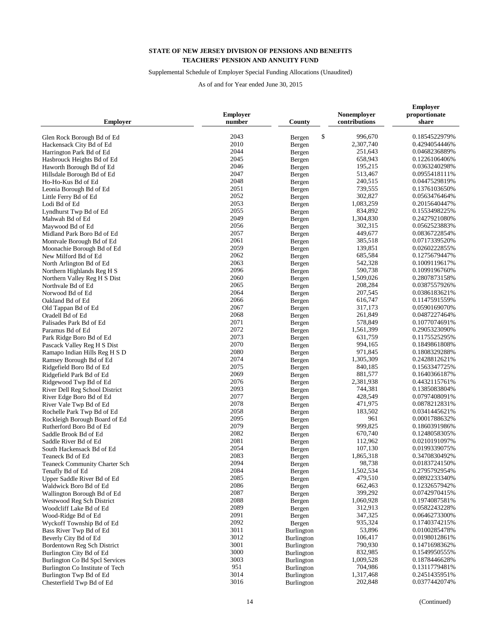## Supplemental Schedule of Employer Special Funding Allocations (Unaudited)

| <b>Employer</b>                 | <b>Employer</b><br>number | County            | Nonemployer<br>contributions | <b>Employer</b><br>proportionate<br>share |
|---------------------------------|---------------------------|-------------------|------------------------------|-------------------------------------------|
|                                 | 2043                      | \$                | 996,670                      | 0.1854522979%                             |
| Glen Rock Borough Bd of Ed      | 2010                      | Bergen            | 2,307,740                    | 0.4294054446%                             |
| Hackensack City Bd of Ed        | 2044                      | Bergen            | 251,643                      | 0.0468236889%                             |
| Harrington Park Bd of Ed        | 2045                      | Bergen            |                              |                                           |
| Hasbrouck Heights Bd of Ed      |                           | Bergen            | 658,943                      | 0.1226106406%                             |
| Haworth Borough Bd of Ed        | 2046<br>2047              | Bergen            | 195,215                      | 0.0363240298%                             |
| Hillsdale Borough Bd of Ed      |                           | Bergen            | 513,467                      | 0.0955418111%                             |
| Ho-Ho-Kus Bd of Ed              | 2048                      | Bergen            | 240,515                      | 0.0447529819%                             |
| Leonia Borough Bd of Ed         | 2051                      | Bergen            | 739,555                      | 0.1376103650%                             |
| Little Ferry Bd of Ed           | 2052                      | Bergen            | 302,827                      | 0.0563476464%                             |
| Lodi Bd of Ed                   | 2053                      | Bergen            | 1,083,259                    | 0.2015640447%                             |
| Lyndhurst Twp Bd of Ed          | 2055                      | Bergen            | 834,892                      | 0.1553498225%                             |
| Mahwah Bd of Ed                 | 2049                      | Bergen            | 1,304,830                    | 0.2427921080%                             |
| Maywood Bd of Ed                | 2056                      | Bergen            | 302,315                      | 0.0562523883%                             |
| Midland Park Boro Bd of Ed      | 2057                      | Bergen            | 449,677                      | 0.0836722854%                             |
| Montvale Borough Bd of Ed       | 2061                      | Bergen            | 385,518                      | 0.0717339520%                             |
| Moonachie Borough Bd of Ed      | 2059                      | Bergen            | 139,851                      | 0.0260222855%                             |
| New Milford Bd of Ed            | 2062                      | Bergen            | 685,584                      | 0.1275679447%                             |
| North Arlington Bd of Ed        | 2063                      | Bergen            | 542,328                      | 0.1009119617%                             |
| Northern Highlands Reg H S      | 2096                      | Bergen            | 590,738                      | 0.1099196760%                             |
| Northern Valley Reg H S Dist    | 2060                      | Bergen            | 1,509,026                    | 0.2807873158%                             |
| Northvale Bd of Ed              | 2065                      | Bergen            | 208,284                      | 0.0387557926%                             |
| Norwood Bd of Ed                | 2064                      | Bergen            | 207,545                      | 0.0386183621%                             |
| Oakland Bd of Ed                | 2066                      | Bergen            | 616,747                      | 0.1147591559%                             |
| Old Tappan Bd of Ed             | 2067                      | Bergen            | 317,173                      | 0.0590169070%                             |
| Oradell Bd of Ed                | 2068                      | Bergen            | 261,849                      | 0.0487227464%                             |
| Palisades Park Bd of Ed         | 2071                      | Bergen            | 578,849                      | 0.1077074691%                             |
| Paramus Bd of Ed                | 2072                      | Bergen            | 1,561,399                    | 0.2905323090%                             |
| Park Ridge Boro Bd of Ed        | 2073                      | Bergen            | 631,759                      | 0.1175525295%                             |
| Pascack Valley Reg H S Dist     | 2070                      | Bergen            | 994,165                      | 0.1849861808%                             |
| Ramapo Indian Hills Reg H S D   | 2080                      | Bergen            | 971,845                      | 0.1808329288%                             |
| Ramsey Borough Bd of Ed         | 2074                      | Bergen            | 1,305,309                    | 0.2428812621%                             |
| Ridgefield Boro Bd of Ed        | 2075                      | Bergen            | 840,185                      | 0.1563347725%                             |
| Ridgefield Park Bd of Ed        | 2069                      | Bergen            | 881,577                      | 0.1640366187%                             |
| Ridgewood Twp Bd of Ed          | 2076                      | Bergen            | 2,381,938                    | 0.4432115761%                             |
| River Dell Reg School District  | 2093                      | Bergen            | 744,381                      | 0.1385083804%                             |
| River Edge Boro Bd of Ed        | 2077                      | Bergen            | 428,549                      | 0.0797408091%                             |
| River Vale Twp Bd of Ed         | 2078                      | Bergen            | 471,975                      | 0.0878212831%                             |
| Rochelle Park Twp Bd of Ed      | 2058                      | Bergen            | 183,502                      | 0.0341445621%                             |
| Rockleigh Borough Board of Ed   | 2095                      | Bergen            | 961                          | 0.0001788632%                             |
| Rutherford Boro Bd of Ed        | 2079                      | Bergen            | 999,825                      | 0.1860391986%                             |
| Saddle Brook Bd of Ed           | 2082                      | Bergen            | 670,740                      | 0.1248058305%                             |
| Saddle River Bd of Ed           | 2081                      | Bergen            | 112,962                      | 0.0210191097%                             |
| South Hackensack Bd of Ed       | 2054                      | Bergen            | 107,130                      | 0.0199339075%                             |
| Teaneck Bd of Ed                | 2083                      | Bergen            | 1,865,318                    | 0.3470830492%                             |
| Teaneck Community Charter Sch   | 2094                      | Bergen            | 98,738                       | 0.0183724150%                             |
| Tenafly Bd of Ed                | 2084                      | Bergen            | 1,502,534                    | 0.2795792954%                             |
| Upper Saddle River Bd of Ed     | 2085                      | Bergen            | 479,510                      | 0.0892233340%                             |
| Waldwick Boro Bd of Ed          | 2086                      | Bergen            | 662,463                      | 0.1232657942%                             |
| Wallington Borough Bd of Ed     | 2087                      | Bergen            | 399,292                      | 0.0742970415%                             |
| Westwood Reg Sch District       | 2088                      | Bergen            | 1,060,928                    | 0.1974087581%                             |
| Woodcliff Lake Bd of Ed         | 2089                      | Bergen            | 312,913                      | 0.0582243228%                             |
| Wood-Ridge Bd of Ed             | 2091                      | Bergen            | 347,325                      | 0.0646273300%                             |
| Wyckoff Township Bd of Ed       | 2092                      | Bergen            | 935,324                      | 0.1740374215%                             |
| Bass River Twp Bd of Ed         | 3011                      | <b>Burlington</b> | 53,896                       | 0.0100285478%                             |
| Beverly City Bd of Ed           | 3012                      | Burlington        | 106,417                      | 0.0198012861%                             |
| Bordentown Reg Sch District     | 3001                      | Burlington        | 790,930                      | 0.1471698362%                             |
| Burlington City Bd of Ed        | 3000                      | <b>Burlington</b> | 832,985                      | 0.1549950555%                             |
| Burlington Co Bd Spcl Services  | 3003                      | Burlington        | 1,009,528                    | 0.1878446628%                             |
| Burlington Co Institute of Tech | 951                       | <b>Burlington</b> | 704,986                      | 0.1311779481%                             |
| Burlington Twp Bd of Ed         | 3014                      | <b>Burlington</b> | 1,317,468                    | 0.2451435951%                             |
| Chesterfield Twp Bd of Ed       | 3016                      | Burlington        | 202,848                      | 0.0377442074%                             |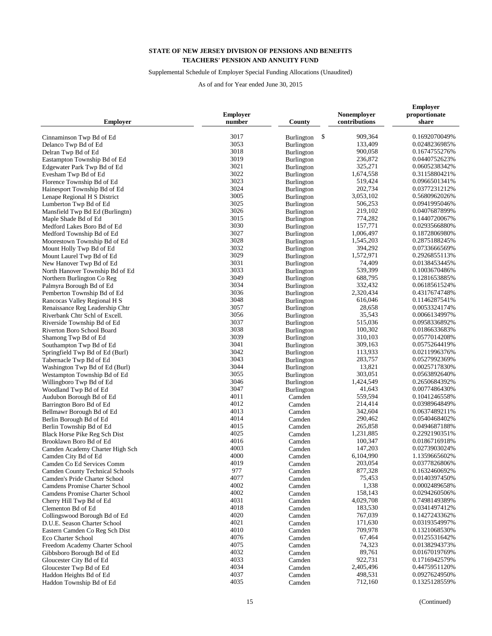## Supplemental Schedule of Employer Special Funding Allocations (Unaudited)

| <b>Employer</b>                       | <b>Employer</b><br>number | County                  | Nonemployer<br>contributions | <b>Employer</b><br>proportionate<br>share |
|---------------------------------------|---------------------------|-------------------------|------------------------------|-------------------------------------------|
| Cinnaminson Twp Bd of Ed              | 3017                      | \$<br><b>Burlington</b> | 909,364                      | 0.1692070049%                             |
| Delanco Twp Bd of Ed                  | 3053                      | Burlington              | 133,409                      | 0.0248236985%                             |
| Delran Twp Bd of Ed                   | 3018                      | Burlington              | 900,058                      | 0.1674755276%                             |
| Eastampton Township Bd of Ed          | 3019                      | Burlington              | 236,872                      | 0.0440752623%                             |
| Edgewater Park Twp Bd of Ed           | 3021                      | Burlington              | 325,271                      | 0.0605238342%                             |
| Evesham Twp Bd of Ed                  | 3022                      | Burlington              | 1,674,558                    | 0.3115880421%                             |
| Florence Township Bd of Ed            | 3023                      | Burlington              | 519,424                      | 0.0966501341%                             |
| Hainesport Township Bd of Ed          | 3024                      |                         | 202,734                      | 0.0377231212%                             |
|                                       | 3005                      | <b>Burlington</b>       | 3,053,102                    | 0.5680962026%                             |
| Lenape Regional H S District          | 3025                      | <b>Burlington</b>       | 506,253                      | 0.0941995046%                             |
| Lumberton Twp Bd of Ed                | 3026                      | Burlington              | 219,102                      | 0.0407687899%                             |
| Mansfield Twp Bd Ed (Burlingtn)       | 3015                      | Burlington              | 774,282                      | 0.1440720067%                             |
| Maple Shade Bd of Ed                  | 3030                      | Burlington              | 157,771                      | 0.0293566880%                             |
| Medford Lakes Boro Bd of Ed           | 3027                      | <b>Burlington</b>       | 1,006,497                    | 0.1872806980%                             |
| Medford Township Bd of Ed             | 3028                      | Burlington              | 1,545,203                    | 0.2875188245%                             |
| Moorestown Township Bd of Ed          | 3032                      | <b>Burlington</b>       | 394,292                      | 0.0733666569%                             |
| Mount Holly Twp Bd of Ed              | 3029                      | Burlington              | 1,572,971                    | 0.2926855113%                             |
| Mount Laurel Twp Bd of Ed             | 3031                      | <b>Burlington</b>       | 74,409                       | 0.0138453445%                             |
| New Hanover Twp Bd of Ed              | 3033                      | Burlington              | 539,399                      |                                           |
| North Hanover Township Bd of Ed       | 3049                      | Burlington              |                              | 0.1003670486%                             |
| Northern Burlington Co Reg            | 3034                      | Burlington              | 688,795                      | 0.1281653885%                             |
| Palmyra Borough Bd of Ed              |                           | Burlington              | 332,432                      | 0.0618561524%                             |
| Pemberton Township Bd of Ed           | 3036<br>3048              | Burlington              | 2,320,434<br>616,046         | 0.4317674748%                             |
| Rancocas Valley Regional H S          |                           | <b>Burlington</b>       |                              | 0.1146287541%                             |
| Renaissance Reg Leadership Chtr       | 3057                      | Burlington              | 28,658                       | 0.0053324174%                             |
| Riverbank Chtr Schl of Excell.        | 3056                      | <b>Burlington</b>       | 35,543                       | 0.0066134997%                             |
| Riverside Township Bd of Ed           | 3037                      | Burlington              | 515,036                      | 0.0958336892%                             |
| Riverton Boro School Board            | 3038                      | <b>Burlington</b>       | 100,302                      | 0.0186633683%                             |
| Shamong Twp Bd of Ed                  | 3039                      | Burlington              | 310,103                      | 0.0577014208%                             |
| Southampton Twp Bd of Ed              | 3041                      | Burlington              | 309,163                      | 0.0575264419%                             |
| Springfield Twp Bd of Ed (Burl)       | 3042                      | <b>Burlington</b>       | 113,933                      | 0.0211996376%                             |
| Tabernacle Twp Bd of Ed               | 3043                      | Burlington              | 283,757                      | 0.0527992369%                             |
| Washington Twp Bd of Ed (Burl)        | 3044                      | Burlington              | 13,821                       | 0.0025717830%                             |
| Westampton Township Bd of Ed          | 3055                      | <b>Burlington</b>       | 303,051                      | 0.0563892640%                             |
| Willingboro Twp Bd of Ed              | 3046                      | <b>Burlington</b>       | 1,424,549                    | 0.2650684392%                             |
| Woodland Twp Bd of Ed                 | 3047                      | Burlington              | 41,643                       | 0.0077486430%                             |
| Audubon Borough Bd of Ed              | 4011                      | Camden                  | 559,594                      | 0.1041246558%                             |
| Barrington Boro Bd of Ed              | 4012                      | Camden                  | 214,414                      | 0.0398964849%                             |
| Bellmawr Borough Bd of Ed             | 4013                      | Camden                  | 342,604                      | 0.0637489211%                             |
| Berlin Borough Bd of Ed               | 4014                      | Camden                  | 290,462                      | 0.0540468402%                             |
| Berlin Township Bd of Ed              | 4015                      | Camden                  | 265,858                      | 0.0494687188%                             |
| <b>Black Horse Pike Reg Sch Dist</b>  | 4025                      | Camden                  | 1,231,885                    | 0.2292190351%                             |
| Brooklawn Boro Bd of Ed               | 4016                      | Camden                  | 100,347                      | 0.0186716918%                             |
| Camden Academy Charter High Sch       | 4003                      | Camden                  | 147,203                      | 0.0273903024%                             |
| Camden City Bd of Ed                  | 4000                      | Camden                  | 6,104,990                    | 1.1359665602%                             |
| Camden Co Ed Services Comm            | 4019                      | Camden                  | 203,054                      | 0.0377826806%                             |
| Camden County Technical Schools       | 977                       | Camden                  | 877,328                      | 0.1632460692%                             |
| Camden's Pride Charter School         | 4077                      | Camden                  | 75,453                       | 0.0140397450%                             |
| <b>Camdens Promise Charter School</b> | 4002                      | Camden                  | 1,338                        | 0.0002489658%                             |
| <b>Camdens Promise Charter School</b> | 4002                      | Camden                  | 158,143                      | 0.0294260506%                             |
| Cherry Hill Twp Bd of Ed              | 4031                      | Camden                  | 4,029,708                    | 0.7498149389%                             |
| Clementon Bd of Ed                    | 4018                      | Camden                  | 183,530                      | 0.0341497412%                             |
| Collingswood Borough Bd of Ed         | 4020                      | Camden                  | 767,039                      | 0.1427243362%                             |
| D.U.E. Season Charter School          | 4021                      | Camden                  | 171,630                      | 0.0319354997%                             |
| Eastern Camden Co Reg Sch Dist        | 4010                      | Camden                  | 709,978                      | 0.1321068530%                             |
| Eco Charter School                    | 4076                      | Camden                  | 67,464                       | 0.0125531642%                             |
| Freedom Academy Charter School        | 4075                      | Camden                  | 74,323                       | 0.0138294373%                             |
| Gibbsboro Borough Bd of Ed            | 4032                      | Camden                  | 89,761                       | 0.0167019769%                             |
| Gloucester City Bd of Ed              | 4033                      | Camden                  | 922,731                      | 0.1716942579%                             |
| Gloucester Twp Bd of Ed               | 4034                      | Camden                  | 2,405,496                    | 0.4475951120%                             |
| Haddon Heights Bd of Ed               | 4037                      | Camden                  | 498,531                      | 0.0927624950%                             |
| Haddon Township Bd of Ed              | 4035                      | Camden                  | 712,160                      | 0.1325128559%                             |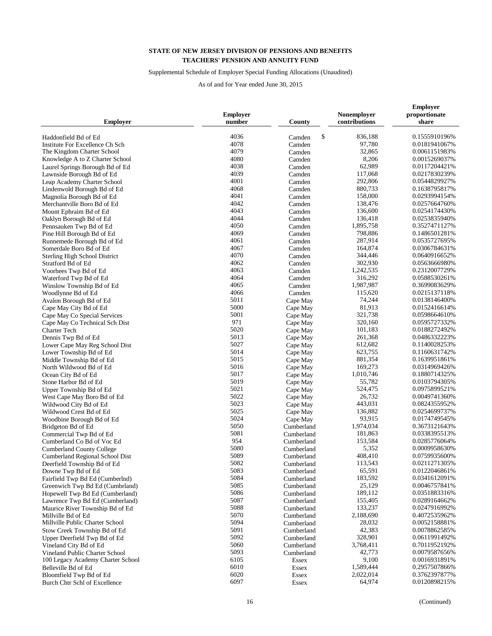## Supplemental Schedule of Employer Special Funding Allocations (Unaudited)

| <b>Employer</b>                      | <b>Employer</b><br>number | County           | Nonemployer<br>contributions | <b>Employer</b><br>proportionate<br>share |
|--------------------------------------|---------------------------|------------------|------------------------------|-------------------------------------------|
| Haddonfield Bd of Ed                 | 4036                      | \$               | 836,188                      | 0.1555910196%                             |
| Institute For Excellence Ch Sch      | 4078                      | Camden<br>Camden | 97,780                       | 0.0181941067%                             |
| The Kingdom Charter School           | 4079                      | Camden           | 32,865                       | 0.0061151983%                             |
| Knowledge A to Z Charter School      | 4080                      |                  | 8,206                        | 0.0015269037%                             |
|                                      |                           | Camden           |                              |                                           |
| Laurel Springs Borough Bd of Ed      | 4038<br>4039              | Camden           | 62,989<br>117,068            | 0.0117204421%                             |
| Lawnside Borough Bd of Ed            |                           | Camden           |                              | 0.0217830239%                             |
| Leap Academy Charter School          | 4001                      | Camden           | 292,806                      | 0.0544829927%                             |
| Lindenwold Borough Bd of Ed          | 4068<br>4041              | Camden           | 880,733                      | 0.1638795817%                             |
| Magnolia Borough Bd of Ed            | 4042                      | Camden           | 158,000                      | 0.0293994154%                             |
| Merchantville Boro Bd of Ed          | 4043                      | Camden           | 138,476<br>136,600           | 0.0257664760%<br>0.0254174430%            |
| Mount Ephraim Bd of Ed               | 4044                      | Camden           |                              |                                           |
| Oaklyn Borough Bd of Ed              | 4050                      | Camden           | 136,418<br>1,895,758         | 0.0253835940%                             |
| Pennsauken Twp Bd of Ed              | 4069                      | Camden           | 798,886                      | 0.3527471127%                             |
| Pine Hill Borough Bd of Ed           | 4061                      | Camden           | 287,914                      | 0.1486501281%                             |
| Runnemede Borough Bd of Ed           |                           | Camden           |                              | 0.0535727695%                             |
| Somerdale Boro Bd of Ed              | 4067                      | Camden           | 164,874                      | 0.0306784631%                             |
| <b>Sterling High School District</b> | 4070                      | Camden           | 344,446                      | 0.0640916652%                             |
| Stratford Bd of Ed                   | 4062                      | Camden           | 302,930                      | 0.0563666980%                             |
| Voorhees Twp Bd of Ed                | 4063                      | Camden           | 1,242,535                    | 0.2312007729%                             |
| Waterford Twp Bd of Ed               | 4064                      | Camden           | 316,292                      | 0.0588530261%                             |
| Winslow Township Bd of Ed            | 4065                      | Camden           | 1,987,987                    | 0.3699083629%                             |
| Woodlynne Bd of Ed                   | 4066                      | Camden           | 115,620                      | 0.0215137118%                             |
| Avalon Borough Bd of Ed              | 5011                      | Cape May         | 74,244                       | 0.0138146400%                             |
| Cape May City Bd of Ed               | 5000                      | Cape May         | 81,913                       | 0.0152416614%                             |
| Cape May Co Special Services         | 5001                      | Cape May         | 321,738                      | 0.0598664610%                             |
| Cape May Co Technical Sch Dist       | 971                       | Cape May         | 320,160                      | 0.0595727332%                             |
| Charter Tech                         | 5020                      | Cape May         | 101,183                      | 0.0188272492%                             |
| Dennis Twp Bd of Ed                  | 5013                      | Cape May         | 261,368                      | 0.0486332223%                             |
| Lower Cape May Reg School Dist       | 5027                      | Cape May         | 612,682                      | 0.1140028253%                             |
| Lower Township Bd of Ed              | 5014                      | Cape May         | 623,755                      | 0.1160631742%                             |
| Middle Township Bd of Ed             | 5015                      | Cape May         | 881,354                      | 0.1639951861%                             |
| North Wildwood Bd of Ed              | 5016                      | Cape May         | 169,273                      | 0.0314969426%                             |
| Ocean City Bd of Ed                  | 5017                      | Cape May         | 1,010,746                    | 0.1880714325%                             |
| Stone Harbor Bd of Ed                | 5019                      | Cape May         | 55,782                       | 0.0103794305%                             |
| Upper Township Bd of Ed              | 5021                      | Cape May         | 524,475                      | 0.0975899521%                             |
| West Cape May Boro Bd of Ed          | 5022                      | Cape May         | 26,732                       | 0.0049741360%                             |
| Wildwood City Bd of Ed               | 5023                      | Cape May         | 443,031                      | 0.0824355952%                             |
| Wildwood Crest Bd of Ed              | 5025                      | Cape May         | 136,882                      | 0.0254699737%                             |
| Woodbine Borough Bd of Ed            | 5024                      | Cape May         | 93,915                       | 0.0174749545%                             |
| Bridgeton Bd of Ed                   | 5050                      | Cumberland       | 1,974,034                    | 0.3673121643%                             |
| Commercial Twp Bd of Ed              | 5081                      | Cumberland       | 181,863                      | 0.0338395513%                             |
| Cumberland Co Bd of Voc Ed           | 954                       | Cumberland       | 153,584                      | 0.0285776064%                             |
| <b>Cumberland County College</b>     | 5080                      | Cumberland       | 5,352                        | 0.0009958630%                             |
| Cumberland Regional School Dist      | 5089                      | Cumberland       | 408,410                      | 0.0759935600%                             |
| Deerfield Township Bd of Ed          | 5082                      | Cumberland       | 113,543                      | 0.0211271305%                             |
| Downe Twp Bd of Ed                   | 5083                      | Cumberland       | 65,591                       | 0.0122046861%                             |
| Fairfield Twp Bd Ed (Cumberlnd)      | 5084                      | Cumberland       | 183,592                      | 0.0341612091%                             |
| Greenwich Twp Bd Ed (Cumbrland)      | 5085                      | Cumberland       | 25,129                       | 0.0046757841%                             |
| Hopewell Twp Bd Ed (Cumberland)      | 5086                      | Cumberland       | 189,112                      | 0.0351883316%                             |
| Lawrence Twp Bd Ed (Cumberland)      | 5087                      | Cumberland       | 155,405                      | 0.0289164662%                             |
| Maurice River Township Bd of Ed      | 5088                      | Cumberland       | 133,237                      | 0.0247916992%                             |
| Millville Bd of Ed                   | 5070                      | Cumberland       | 2,188,690                    | 0.4072535962%                             |
| Millville Public Charter School      | 5094                      | Cumberland       | 28,032                       | 0.0052158881%                             |
| Stow Creek Township Bd of Ed         | 5091                      | Cumberland       | 42,383                       | 0.0078862585%                             |
| Upper Deerfield Twp Bd of Ed         | 5092                      | Cumberland       | 328,901                      | 0.0611991492%                             |
| Vineland City Bd of Ed               | 5060                      | Cumberland       | 3,768,411                    | 0.7011952192%                             |
| Vineland Public Charter School       | 5093                      | Cumberland       | 42,773                       | 0.0079587656%                             |
| 100 Legacy Academy Charter School    | 6105                      | Essex            | 9,100                        | 0.0016931891%                             |
| Belleville Bd of Ed                  | 6010                      | Essex            | 1,589,444                    | 0.2957507866%                             |
| Bloomfield Twp Bd of Ed              | 6020                      | Essex            | 2,022,014                    | 0.3762397877%                             |
| Burch Chtr Schl of Excellence        | 6097                      | Essex            | 64,974                       | 0.0120898215%                             |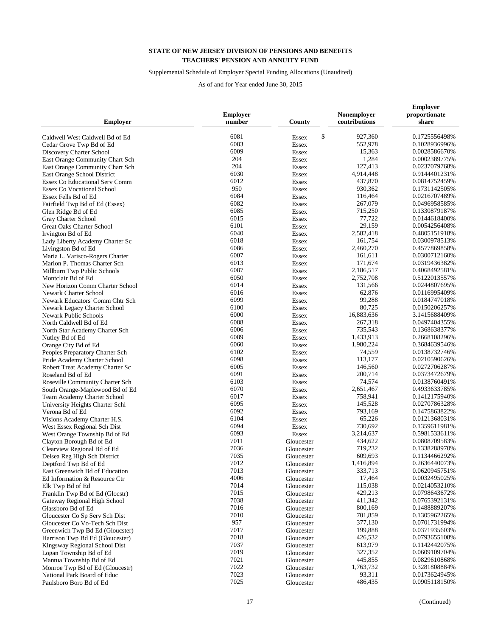## Supplemental Schedule of Employer Special Funding Allocations (Unaudited)

| <b>Employer</b>                       | <b>Employer</b><br>number | County             | Nonemployer<br>contributions | <b>Employer</b><br>proportionate<br>share |
|---------------------------------------|---------------------------|--------------------|------------------------------|-------------------------------------------|
| Caldwell West Caldwell Bd of Ed       | 6081                      | \$<br><b>Essex</b> | 927,360                      | 0.1725556498%                             |
| Cedar Grove Twp Bd of Ed              | 6083                      | <b>Essex</b>       | 552,978                      | 0.1028936996%                             |
| Discovery Charter School              | 6009                      | <b>Essex</b>       | 15,363                       | 0.0028586670%                             |
| East Orange Community Chart Sch       | 204                       | <b>Essex</b>       | 1,284                        | 0.0002389775%                             |
| East Orange Community Chart Sch       | 204                       | <b>Essex</b>       | 127,413                      | 0.0237079768%                             |
| East Orange School District           | 6030                      | <b>Essex</b>       | 4,914,448                    | 0.9144401231%                             |
| <b>Essex Co Educational Serv Comm</b> | 6012                      | Essex              | 437,870                      | 0.0814752459%                             |
| <b>Essex Co Vocational School</b>     | 950                       | <b>Essex</b>       | 930.362                      | 0.1731142505%                             |
| Essex Fells Bd of Ed                  | 6084                      | <b>Essex</b>       | 116,464                      | 0.0216707489%                             |
| Fairfield Twp Bd of Ed (Essex)        | 6082                      | <b>Essex</b>       | 267,079                      | 0.0496958585%                             |
| Glen Ridge Bd of Ed                   | 6085                      | <b>Essex</b>       | 715,250                      | 0.1330879187%                             |
| Gray Charter School                   | 6015                      | <b>Essex</b>       | 77,722                       | 0.0144618400%                             |
| Great Oaks Charter School             | 6101                      | <b>Essex</b>       | 29,159                       | 0.0054256408%                             |
| Irvington Bd of Ed                    | 6040                      | <b>Essex</b>       | 2,582,418                    | 0.4805151918%                             |
| Lady Liberty Academy Charter Sc       | 6018                      | <b>Essex</b>       | 161,754                      | 0.0300978513%                             |
| Livingston Bd of Ed                   | 6086                      | <b>Essex</b>       | 2,460,270                    | 0.4577869858%                             |
| Maria L. Varisco-Rogers Charter       | 6007                      | <b>Essex</b>       | 161,611                      | 0.0300712160%                             |
| Marion P. Thomas Charter Sch          | 6013                      | <b>Essex</b>       | 171,674                      | 0.0319436382%                             |
| Millburn Twp Public Schools           | 6087                      | Essex              | 2,186,517                    | 0.4068492581%                             |
| Montclair Bd of Ed                    | 6050                      | <b>Essex</b>       | 2,752,708                    | 0.5122013557%                             |
| New Horizon Comm Charter School       | 6014                      | <b>Essex</b>       | 131,566                      | 0.0244807695%                             |
| <b>Newark Charter School</b>          | 6016                      | <b>Essex</b>       | 62,876                       | 0.0116995409%                             |
| Newark Educators' Comm Chtr Sch       | 6099                      | <b>Essex</b>       | 99,288                       | 0.0184747018%                             |
| Newark Legacy Charter School          | 6100                      | <b>Essex</b>       | 80,725                       | 0.0150206257%                             |
| <b>Newark Public Schools</b>          | 6000                      | <b>Essex</b>       | 16,883,636                   | 3.1415688409%                             |
| North Caldwell Bd of Ed               | 6088                      | <b>Essex</b>       | 267,318                      | 0.0497404355%                             |
| North Star Academy Charter Sch        | 6006                      | <b>Essex</b>       | 735,543                      | 0.1368638377%                             |
| Nutley Bd of Ed                       | 6089                      | <b>Essex</b>       | 1,433,913                    | 0.2668108296%                             |
| Orange City Bd of Ed                  | 6060                      | <b>Essex</b>       | 1,980,224                    | 0.3684639546%                             |
| Peoples Preparatory Charter Sch       | 6102                      | <b>Essex</b>       | 74,559                       | 0.0138732746%                             |
| Pride Academy Charter School          | 6098                      | <b>Essex</b>       | 113,177                      | 0.0210590626%                             |
| Robert Treat Academy Charter Sc       | 6005                      | <b>Essex</b>       | 146,560                      | 0.0272706287%                             |
| Roseland Bd of Ed                     | 6091                      | <b>Essex</b>       | 200,714                      | 0.0373472679%                             |
| Roseville Community Charter Sch       | 6103                      | <b>Essex</b>       | 74,574                       | 0.0138760491%                             |
| South Orange-Maplewood Bd of Ed       | 6070                      | <b>Essex</b>       | 2,651,467                    | 0.4933633785%                             |
| Team Academy Charter School           | 6017                      | <b>Essex</b>       | 758,941                      | 0.1412175940%                             |
| University Heights Charter Schl       | 6095                      | <b>Essex</b>       | 145,528                      | 0.0270786328%                             |
| Verona Bd of Ed                       | 6092                      | <b>Essex</b>       | 793,169                      | 0.1475863822%                             |
| Visions Academy Charter H.S.          | 6104                      | <b>Essex</b>       | 65,226                       | 0.0121368031%                             |
| West Essex Regional Sch Dist          | 6094                      | Essex              | 730,692                      | 0.1359611981%                             |
| West Orange Township Bd of Ed         | 6093                      | <b>Essex</b>       | 3,214,637                    | 0.5981533611%                             |
| Clayton Borough Bd of Ed              | 7011                      | Gloucester         | 434,622                      | 0.0808709583%                             |
| Clearview Regional Bd of Ed           | 7036                      | Gloucester         | 719,232                      | 0.1338288970%                             |
| Delsea Reg High Sch District          | 7035                      | Gloucester         | 609,693                      | 0.1134466292%                             |
| Deptford Twp Bd of Ed                 | 7012                      | Gloucester         | 1,416,894                    | 0.2636440073%                             |
| East Greenwich Bd of Education        | 7013                      | Gloucester         | 333,713                      | 0.0620945751%                             |
| Ed Information & Resource Ctr         | 4006                      | Gloucester         | 17,464                       | 0.0032495025%                             |
| Elk Twp Bd of Ed                      | 7014                      | Gloucester         | 115,038                      | 0.0214053210%                             |
| Franklin Twp Bd of Ed (Glocstr)       | 7015                      | Gloucester         | 429,213                      | 0.0798643672%                             |
| Gateway Regional High School          | 7038                      | Gloucester         | 411,342                      | 0.0765392131%                             |
| Glassboro Bd of Ed                    | 7016                      | Gloucester         | 800,169                      | 0.1488889207%                             |
| Gloucester Co Sp Serv Sch Dist        | 7010                      | Gloucester         | 701,859                      | 0.1305962265%                             |
| Gloucester Co Vo-Tech Sch Dist        | 957                       | Gloucester         | 377,130                      | 0.0701731994%                             |
| Greenwich Twp Bd Ed (Gloucster)       | 7017                      | Gloucester         | 199,888                      | 0.0371935603%                             |
| Harrison Twp Bd Ed (Gloucester)       | 7018                      | Gloucester         | 426,532                      | 0.0793655108%                             |
| Kingsway Regional School Dist         | 7037                      | Gloucester         | 613,979                      | 0.1142442075%                             |
| Logan Township Bd of Ed               | 7019                      | Gloucester         | 327,352                      | 0.0609109704%                             |
| Mantua Township Bd of Ed              | 7021                      | Gloucester         | 445,855                      | 0.0829610868%                             |
| Monroe Twp Bd of Ed (Gloucestr)       | 7022                      | Gloucester         | 1,763,732                    | 0.3281808884%                             |
| National Park Board of Educ           | 7023                      | Gloucester         | 93,311                       | 0.0173624945%                             |
| Paulsboro Boro Bd of Ed               | 7025                      | Gloucester         | 486,435                      | 0.0905118150%                             |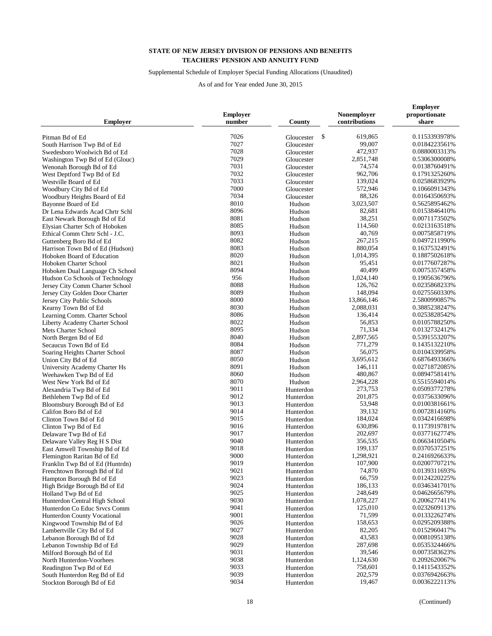## Supplemental Schedule of Employer Special Funding Allocations (Unaudited)

| Employer                        | <b>Employer</b><br>number | County           | Nonemployer<br>contributions | <b>Employer</b><br>proportionate<br>share |
|---------------------------------|---------------------------|------------------|------------------------------|-------------------------------------------|
| Pitman Bd of Ed                 | 7026                      | \$<br>Gloucester | 619,865                      | 0.1153393978%                             |
| South Harrison Twp Bd of Ed     | 7027                      | Gloucester       | 99,007                       | 0.0184223561%                             |
| Swedesboro Woolwich Bd of Ed    | 7028                      | Gloucester       | 472,937                      | 0.0880003313%                             |
| Washington Twp Bd of Ed (Glouc) | 7029                      | Gloucester       | 2,851,748                    | 0.5306300008%                             |
| Wenonah Borough Bd of Ed        | 7031                      | Gloucester       | 74,574                       | 0.0138760491%                             |
| West Deptford Twp Bd of Ed      | 7032                      | Gloucester       | 962,706                      | 0.1791325260%                             |
| Westville Board of Ed           | 7033                      | Gloucester       | 139,024                      | 0.0258683929%                             |
| Woodbury City Bd of Ed          | 7000                      | Gloucester       | 572,946                      | 0.1066091343%                             |
| Woodbury Heights Board of Ed    | 7034                      | Gloucester       | 88,326                       | 0.0164350693%                             |
| Bayonne Board of Ed             | 8010                      | Hudson           | 3,023,507                    | 0.5625895462%                             |
| Dr Lena Edwards Acad Chrtr Schl | 8096                      | Hudson           | 82,681                       | 0.0153846410%                             |
| East Newark Borough Bd of Ed    | 8081                      | Hudson           | 38,251                       | 0.0071173502%                             |
|                                 | 8085                      |                  | 114,560                      | 0.0213163518%                             |
| Elysian Charter Sch of Hoboken  | 8093                      | Hudson<br>Hudson | 40,769                       | 0.0075858719%                             |
| Ethical Comm Chrtr Schl - J.C.  | 8082                      | Hudson           | 267,215                      | 0.0497211990%                             |
| Guttenberg Boro Bd of Ed        | 8083                      |                  | 880,054                      | 0.1637532491%                             |
| Harrison Town Bd of Ed (Hudson) | 8020                      | Hudson<br>Hudson | 1,014,395                    | 0.1887502618%                             |
| Hoboken Board of Education      | 8021                      |                  | 95,451                       | 0.0177607287%                             |
| Hoboken Charter School          | 8094                      | Hudson           | 40,499                       | 0.0075357458%                             |
| Hoboken Dual Language Ch School | 956                       | Hudson           | 1,024,140                    |                                           |
| Hudson Co Schools of Technology |                           | Hudson           |                              | 0.1905636796%                             |
| Jersey City Comm Charter School | 8088                      | Hudson           | 126,762                      | 0.0235868233%                             |
| Jersey City Golden Door Charter | 8089                      | Hudson           | 148,094                      | 0.0275560330%                             |
| Jersey City Public Schools      | 8000                      | Hudson           | 13,866,146<br>2,088,031      | 2.5800990857%                             |
| Kearny Town Bd of Ed            | 8030                      | Hudson           |                              | 0.3885238247%                             |
| Learning Comm. Charter School   | 8086                      | Hudson           | 136,414                      | 0.0253828542%                             |
| Liberty Academy Charter School  | 8022                      | Hudson           | 56,853                       | 0.0105788250%                             |
| Mets Charter School             | 8095                      | Hudson           | 71,334                       | 0.0132732412%                             |
| North Bergen Bd of Ed           | 8040                      | Hudson           | 2,897,565                    | 0.5391553207%                             |
| Secaucus Town Bd of Ed          | 8084                      | Hudson           | 771,279                      | 0.1435132210%                             |
| Soaring Heights Charter School  | 8087                      | Hudson           | 56,075                       | 0.0104339958%                             |
| Union City Bd of Ed             | 8050                      | Hudson           | 3,695,612                    | 0.6876493366%                             |
| University Academy Charter Hs   | 8091                      | Hudson           | 146,111                      | 0.0271872085%                             |
| Weehawken Twp Bd of Ed          | 8060                      | Hudson           | 480,867                      | 0.0894758141%                             |
| West New York Bd of Ed          | 8070                      | Hudson           | 2,964,228                    | 0.5515594014%                             |
| Alexandria Twp Bd of Ed         | 9011                      | Hunterdon        | 273,753                      | 0.0509377278%                             |
| Bethlehem Twp Bd of Ed          | 9012                      | Hunterdon        | 201,875                      | 0.0375633096%                             |
| Bloomsbury Borough Bd of Ed     | 9013                      | Hunterdon        | 53,948                       | 0.0100381661%                             |
| Califon Boro Bd of Ed           | 9014                      | Hunterdon        | 39,132                       | 0.0072814160%                             |
| Clinton Town Bd of Ed           | 9015                      | Hunterdon        | 184,024                      | 0.0342416698%                             |
| Clinton Twp Bd of Ed            | 9016                      | Hunterdon        | 630,896                      | 0.1173919781%                             |
| Delaware Twp Bd of Ed           | 9017                      | Hunterdon        | 202,697                      | 0.0377162774%                             |
| Delaware Valley Reg H S Dist    | 9040                      | Hunterdon        | 356,535                      | 0.0663410504%                             |
| East Amwell Township Bd of Ed   | 9018                      | Hunterdon        | 199,137                      | 0.0370537251%                             |
| Flemington Raritan Bd of Ed     | 9000                      | Hunterdon        | 1,298,921                    | 0.2416926633%                             |
| Franklin Twp Bd of Ed (Huntrdn) | 9019                      | Hunterdon        | 107,900                      | 0.0200770721%                             |
| Frenchtown Borough Bd of Ed     | 9021                      | Hunterdon        | 74,870                       | 0.0139311693%                             |
| Hampton Borough Bd of Ed        | 9023                      | Hunterdon        | 66,759                       | 0.0124220225%                             |
| High Bridge Borough Bd of Ed    | 9024                      | Hunterdon        | 186,133                      | 0.0346341701%                             |
| Holland Twp Bd of Ed            | 9025                      | Hunterdon        | 248,649                      | 0.0462665679%                             |
| Hunterdon Central High School   | 9030                      | Hunterdon        | 1,078,227                    | 0.2006277411%                             |
| Hunterdon Co Educ Srvcs Comm    | 9041                      | Hunterdon        | 125,010                      | 0.0232609113%                             |
| Hunterdon County Vocational     | 9001                      | Hunterdon        | 71,599                       | 0.0133226274%                             |
| Kingwood Township Bd of Ed      | 9026                      | Hunterdon        | 158,653                      | 0.0295209388%                             |
| Lambertville City Bd of Ed      | 9027                      | Hunterdon        | 82,205                       | 0.0152960417%                             |
| Lebanon Borough Bd of Ed        | 9028                      | Hunterdon        | 43,583                       | 0.0081095138%                             |
| Lebanon Township Bd of Ed       | 9029                      | Hunterdon        | 287,698                      | 0.0535324466%                             |
| Milford Borough Bd of Ed        | 9031                      | Hunterdon        | 39,546                       | 0.0073583623%                             |
| North Hunterdon-Voorhees        | 9038                      | Hunterdon        | 1,124,630                    | 0.2092620067%                             |
| Readington Twp Bd of Ed         | 9033                      | Hunterdon        | 758,601                      | 0.1411543352%                             |
| South Hunterdon Reg Bd of Ed    | 9039                      | Hunterdon        | 202,579                      | 0.0376942663%                             |
| Stockton Borough Bd of Ed       | 9034                      | Hunterdon        | 19,467                       | 0.0036222113%                             |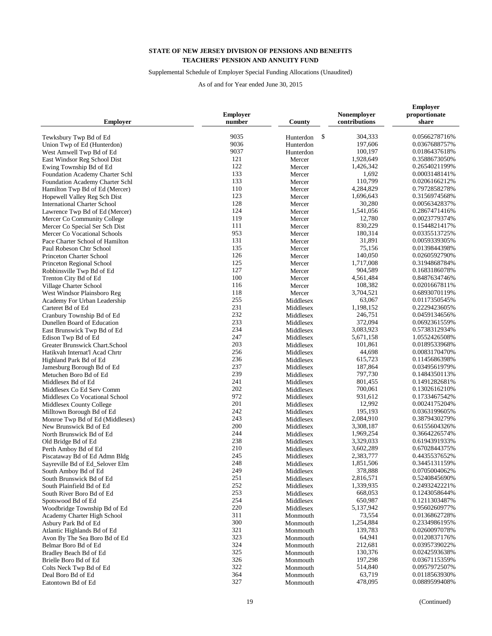## Supplemental Schedule of Employer Special Funding Allocations (Unaudited)

| <b>Employer</b>                                                | <b>Employer</b><br>number | County                 | Nonemployer<br>contributions | <b>Employer</b><br>proportionate<br>share |
|----------------------------------------------------------------|---------------------------|------------------------|------------------------------|-------------------------------------------|
| Tewksbury Twp Bd of Ed                                         | 9035                      | \$<br>Hunterdon        | 304,333                      | 0.0566278716%                             |
| Union Twp of Ed (Hunterdon)                                    | 9036                      | Hunterdon              | 197,606                      | 0.0367688757%                             |
| West Amwell Twp Bd of Ed                                       | 9037                      | Hunterdon              | 100,197                      | 0.0186437618%                             |
| East Windsor Reg School Dist                                   | 121                       | Mercer                 | 1,928,649                    | 0.3588673050%                             |
| Ewing Township Bd of Ed                                        | 122                       | Mercer                 | 1,426,342                    | 0.2654021199%                             |
| Foundation Academy Charter Schl                                | 133                       | Mercer                 | 1,692                        | 0.0003148141%                             |
| Foundation Academy Charter Schl                                | 133                       | Mercer                 | 110,799                      | 0.0206166212%                             |
| Hamilton Twp Bd of Ed (Mercer)                                 | 110                       | Mercer                 | 4,284,829                    | 0.7972858278%                             |
| Hopewell Valley Reg Sch Dist                                   | 123                       | Mercer                 | 1,696,643                    | 0.3156974568%                             |
| <b>International Charter School</b>                            | 128                       | Mercer                 | 30,280                       | 0.0056342837%                             |
| Lawrence Twp Bd of Ed (Mercer)                                 | 124                       | Mercer                 | 1,541,056                    | 0.2867471416%                             |
| Mercer Co Community College                                    | 119                       | Mercer                 | 12,780                       | 0.0023779374%                             |
|                                                                | 111                       | Mercer                 | 830,229                      | 0.1544821417%                             |
| Mercer Co Special Ser Sch Dist<br>Mercer Co Vocational Schools | 953                       | Mercer                 | 180,314                      | 0.0335513725%                             |
| Pace Charter School of Hamilton                                | 131                       | Mercer                 | 31,891                       | 0.0059339305%                             |
| Paul Robeson Chtr School                                       | 135                       |                        | 75,156                       | 0.0139844398%                             |
| Princeton Charter School                                       | 126                       | Mercer<br>Mercer       | 140,050                      | 0.0260592790%                             |
|                                                                | 125                       |                        | 1,717,008                    | 0.3194868784%                             |
| Princeton Regional School                                      | 127                       | Mercer                 | 904,589                      | 0.1683186078%                             |
| Robbinsville Twp Bd of Ed                                      | 100                       | Mercer                 | 4,561,484                    | 0.8487634746%                             |
| Trenton City Bd of Ed                                          | 116                       | Mercer                 | 108,382                      | 0.0201667811%                             |
| Village Charter School                                         | 118                       | Mercer                 | 3,704,521                    | 0.6893070119%                             |
| West Windsor Plainsboro Reg                                    | 255                       | Mercer                 |                              |                                           |
| Academy For Urban Leadership                                   | 231                       | Middlesex              | 63,067<br>1,198,152          | 0.0117350545%<br>0.2229423605%            |
| Carteret Bd of Ed                                              | 232                       | Middlesex              |                              |                                           |
| Cranbury Township Bd of Ed                                     | 233                       | Middlesex              | 246,751<br>372,094           | 0.0459134656%                             |
| Dunellen Board of Education                                    | 234                       | Middlesex              |                              | 0.0692361559%                             |
| East Brunswick Twp Bd of Ed                                    | 247                       | Middlesex              | 3,083,923                    | 0.5738312934%                             |
| Edison Twp Bd of Ed                                            | 203                       | Middlesex              | 5,671,158                    | 1.0552426508%                             |
| Greater Brunswick Chart.School                                 | 256                       | Middlesex              | 101,861<br>44,698            | 0.0189533968%                             |
| Hatikvah Internat'l Acad Chrtr                                 | 236                       | Middlesex              | 615,723                      | 0.0083170470%                             |
| Highland Park Bd of Ed                                         | 237                       | Middlesex              | 187,864                      | 0.1145686398%                             |
| Jamesburg Borough Bd of Ed                                     | 239                       | Middlesex              | 797,730                      | 0.0349561979%                             |
| Metuchen Boro Bd of Ed                                         | 241                       | Middlesex              | 801,455                      | 0.1484350113%<br>0.1491282681%            |
| Middlesex Bd of Ed                                             | 202                       | Middlesex              | 700,061                      | 0.1302616210%                             |
| Middlesex Co Ed Serv Comm                                      | 972                       | Middlesex              | 931,612                      | 0.1733467542%                             |
| Middlesex Co Vocational School                                 | 201                       | Middlesex<br>Middlesex | 12,992                       | 0.0024175204%                             |
| Middlesex County College                                       | 242                       | Middlesex              | 195,193                      | 0.0363199605%                             |
| Milltown Borough Bd of Ed                                      | 243                       |                        | 2,084,910                    | 0.3879430279%                             |
| Monroe Twp Bd of Ed (Middlesex)<br>New Brunswick Bd of Ed      | 200                       | Middlesex<br>Middlesex | 3,308,187                    | 0.6155604326%                             |
| North Brunswick Bd of Ed                                       | 244                       | Middlesex              | 1,969,254                    | 0.3664226574%                             |
| Old Bridge Bd of Ed                                            | 238                       | Middlesex              | 3,329,033                    | 0.6194391933%                             |
| Perth Amboy Bd of Ed                                           | 210                       | Middlesex              | 3,602,289                    | 0.6702844375%                             |
|                                                                | 245                       | Middlesex              | 2,383,777                    | 0.4435537652%                             |
| Piscataway Bd of Ed Admn Bldg                                  | 248                       |                        | 1,851,506                    | 0.3445131159%                             |
| Sayreville Bd of Ed_Selover Elm<br>South Amboy Bd of Ed        | 249                       | Middlesex<br>Middlesex | 378,888                      | 0.0705004062%                             |
| South Brunswick Bd of Ed                                       | 251                       | Middlesex              | 2,816,571                    | 0.5240845690%                             |
|                                                                | 252                       | Middlesex              | 1,339,935                    | 0.2493242221%                             |
| South Plainfield Bd of Ed<br>South River Boro Bd of Ed         | 253                       | Middlesex              | 668,053                      | 0.1243058644%                             |
|                                                                | 254                       |                        | 650,987                      | 0.1211303487%                             |
| Spotswood Bd of Ed                                             | 220                       | Middlesex<br>Middlesex | 5,137,942                    | 0.9560260977%                             |
| Woodbridge Township Bd of Ed                                   | 311                       |                        | 73,554                       | 0.0136862728%                             |
| Academy Charter High School                                    | 300                       | Monmouth<br>Monmouth   | 1,254,884                    | 0.2334986195%                             |
| Asbury Park Bd of Ed                                           | 321                       | Monmouth               | 139,783                      | 0.0260097078%                             |
| Atlantic Highlands Bd of Ed                                    | 323                       |                        | 64,941                       | 0.0120837176%                             |
| Avon By The Sea Boro Bd of Ed<br>Belmar Boro Bd of Ed          | 324                       | Monmouth               | 212,681                      | 0.0395739022%                             |
|                                                                | 325                       | Monmouth               | 130,376                      | 0.0242593638%                             |
| Bradley Beach Bd of Ed                                         | 326                       | Monmouth               | 197,298                      | 0.0367115359%                             |
| Brielle Boro Bd of Ed                                          | 322                       | Monmouth               | 514,840                      | 0.0957972507%                             |
| Colts Neck Twp Bd of Ed<br>Deal Boro Bd of Ed                  | 364                       | Monmouth<br>Monmouth   | 63,719                       | 0.0118563930%                             |
| Eatontown Bd of Ed                                             | 327                       | Monmouth               | 478,095                      | 0.0889599408%                             |
|                                                                |                           |                        |                              |                                           |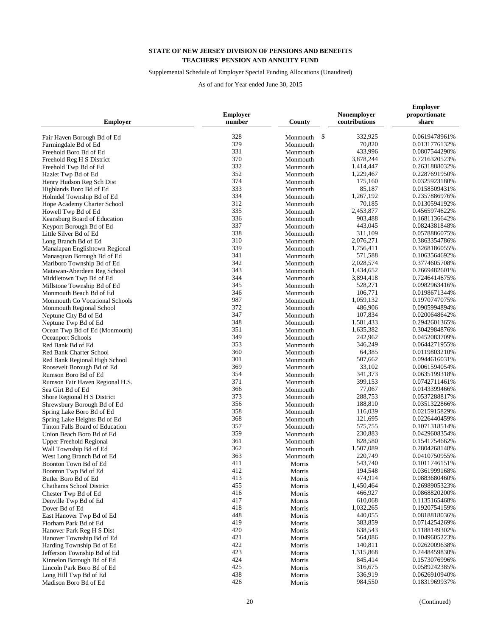## Supplemental Schedule of Employer Special Funding Allocations (Unaudited)

| <b>Employer</b>                               | <b>Employer</b><br>number | County               | Nonemployer<br>contributions | <b>Employer</b><br>proportionate<br>share |
|-----------------------------------------------|---------------------------|----------------------|------------------------------|-------------------------------------------|
| Fair Haven Borough Bd of Ed                   | 328                       | \$<br>Monmouth       | 332,925                      | 0.0619478961%                             |
| Farmingdale Bd of Ed                          | 329                       | Monmouth             | 70,820                       | 0.0131776132%                             |
| Freehold Boro Bd of Ed                        | 331                       | Monmouth             | 433,996                      | 0.0807544290%                             |
| Freehold Reg H S District                     | 370                       | Monmouth             | 3,878,244                    | 0.7216320523%                             |
| Freehold Twp Bd of Ed                         | 332                       | Monmouth             | 1,414,447                    | 0.2631888032%                             |
| Hazlet Twp Bd of Ed                           | 352                       | Monmouth             | 1,229,467                    | 0.2287691950%                             |
| Henry Hudson Reg Sch Dist                     | 374                       | Monmouth             | 175,160                      | 0.0325923180%                             |
| Highlands Boro Bd of Ed                       | 333                       | Monmouth             | 85,187                       | 0.0158509431%                             |
| Holmdel Township Bd of Ed                     | 334                       | Monmouth             | 1,267,192                    | 0.2357886976%                             |
| Hope Academy Charter School                   | 312                       |                      | 70,185                       | 0.0130594192%                             |
|                                               | 335                       | Monmouth<br>Monmouth | 2,453,877                    | 0.4565974622%                             |
| Howell Twp Bd of Ed                           | 336                       |                      | 903,488                      | 0.1681136642%                             |
| Keansburg Board of Education                  | 337                       | Monmouth             |                              |                                           |
| Keyport Borough Bd of Ed                      | 338                       | Monmouth             | 443,045<br>311,109           | 0.0824381848%                             |
| Little Silver Bd of Ed                        |                           | Monmouth             |                              | 0.0578886075%                             |
| Long Branch Bd of Ed                          | 310                       | Monmouth             | 2,076,271                    | 0.3863354786%                             |
| Manalapan Englishtown Regional                | 339                       | Monmouth             | 1,756,411                    | 0.3268186055%                             |
| Manasquan Borough Bd of Ed                    | 341                       | Monmouth             | 571,588                      | 0.1063564692%                             |
| Marlboro Township Bd of Ed                    | 342                       | Monmouth             | 2,028,574                    | 0.3774605708%                             |
| Matawan-Aberdeen Reg School                   | 343                       | Monmouth             | 1,434,652                    | 0.2669482601%                             |
| Middletown Twp Bd of Ed                       | 344                       | Monmouth             | 3,894,418                    | 0.7246414675%                             |
| Millstone Township Bd of Ed                   | 345                       | Monmouth             | 528,271                      | 0.0982963416%                             |
| Monmouth Beach Bd of Ed                       | 346                       | Monmouth             | 106,771                      | 0.0198671344%                             |
| Monmouth Co Vocational Schools                | 987                       | Monmouth             | 1,059,132                    | 0.1970747075%                             |
| Monmouth Regional School                      | 372                       | Monmouth             | 486,906                      | 0.0905994894%                             |
| Neptune City Bd of Ed                         | 347                       | Monmouth             | 107,834                      | 0.0200648642%                             |
| Neptune Twp Bd of Ed                          | 348                       | Monmouth             | 1,581,433                    | 0.2942601365%                             |
| Ocean Twp Bd of Ed (Monmouth)                 | 351                       | Monmouth             | 1,635,382                    | 0.3042984876%                             |
| Oceanport Schools                             | 349                       | Monmouth             | 242,962                      | 0.0452083709%                             |
| Red Bank Bd of Ed                             | 353                       | Monmouth             | 346,249                      | 0.0644271955%                             |
| Red Bank Charter School                       | 360                       | Monmouth             | 64,385                       | 0.0119803210%                             |
| Red Bank Regional High School                 | 301                       | Monmouth             | 507,662                      | 0.0944616031%                             |
| Roosevelt Borough Bd of Ed                    | 369                       | Monmouth             | 33,102                       | 0.0061594054%                             |
| Rumson Boro Bd of Ed                          | 354                       | Monmouth             | 341,373                      | 0.0635199318%                             |
| Rumson Fair Haven Regional H.S.               | 371                       | Monmouth             | 399,153                      | 0.0742711461%                             |
| Sea Girt Bd of Ed                             | 366                       | Monmouth             | 77,067                       | 0.0143399466%                             |
| Shore Regional H S District                   | 373                       | Monmouth             | 288,753                      | 0.0537288817%                             |
| Shrewsbury Borough Bd of Ed                   | 356                       | Monmouth             | 188,810                      | 0.0351322866%                             |
| Spring Lake Boro Bd of Ed                     | 358                       | Monmouth             | 116,039                      | 0.0215915829%                             |
| Spring Lake Heights Bd of Ed                  | 368                       | Monmouth             | 121,695                      | 0.0226440459%                             |
| Tinton Falls Board of Education               | 357                       | Monmouth             | 575,755                      | 0.1071318514%                             |
| Union Beach Boro Bd of Ed                     | 359                       | Monmouth             | 230,883                      | 0.0429608354%                             |
| <b>Upper Freehold Regional</b>                | 361                       | Monmouth             | 828,580                      | 0.1541754662%                             |
| Wall Township Bd of Ed                        | 362                       | Monmouth             | 1,507,089                    | 0.2804268148%                             |
| West Long Branch Bd of Ed                     | 363                       | Monmouth             | 220,749                      | 0.0410750955%                             |
|                                               | 411                       |                      | 543,740                      | 0.1011746151%                             |
| Boonton Town Bd of Ed<br>Boonton Twp Bd of Ed | 412                       | Morris<br>Morris     | 194,548                      | 0.0361999168%                             |
| Butler Boro Bd of Ed                          | 413                       | Morris               | 474,914                      | 0.0883680460%                             |
| <b>Chathams School District</b>               | 455                       | Morris               | 1,450,464                    | 0.2698905323%                             |
|                                               | 416                       |                      | 466,927                      | 0.0868820200%                             |
| Chester Twp Bd of Ed                          | 417                       | Morris               | 610,068                      |                                           |
| Denville Twp Bd of Ed                         |                           | Morris               |                              | 0.1135165468%<br>0.1920754159%            |
| Dover Bd of Ed                                | 418                       | Morris               | 1,032,265                    |                                           |
| East Hanover Twp Bd of Ed                     | 448                       | Morris               | 440,055                      | 0.0818818036%                             |
| Florham Park Bd of Ed                         | 419                       | Morris               | 383,859                      | 0.0714254269%                             |
| Hanover Park Reg H S Dist                     | 420                       | Morris               | 638,543                      | 0.1188149302%                             |
| Hanover Township Bd of Ed                     | 421                       | Morris               | 564,086                      | 0.1049605223%                             |
| Harding Township Bd of Ed                     | 422                       | Morris               | 140,811                      | 0.0262009638%                             |
| Jefferson Township Bd of Ed                   | 423                       | Morris               | 1,315,868                    | 0.2448459830%                             |
| Kinnelon Borough Bd of Ed                     | 424                       | Morris               | 845,414                      | 0.1573076996%                             |
| Lincoln Park Boro Bd of Ed                    | 425                       | Morris               | 316,675                      | 0.0589242385%                             |
| Long Hill Twp Bd of Ed                        | 438                       | Morris               | 336,919                      | 0.0626910940%                             |
| Madison Boro Bd of Ed                         | 426                       | Morris               | 984,550                      | 0.1831969937%                             |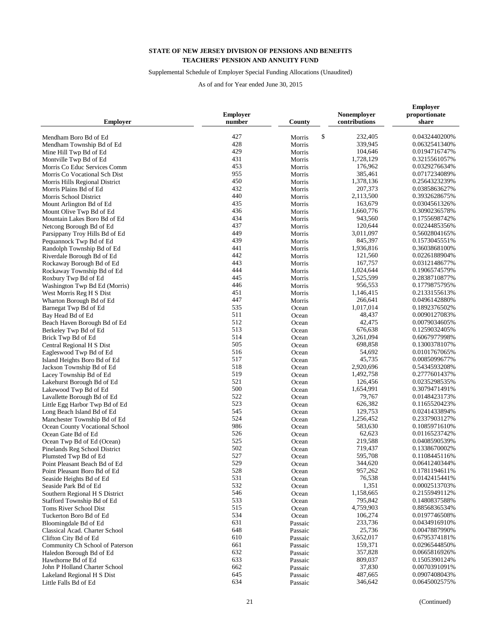## Supplemental Schedule of Employer Special Funding Allocations (Unaudited)

| <b>Employer</b>                 | <b>Employer</b><br>number | County       | Nonemployer<br>contributions | <b>Employer</b><br>proportionate<br>share |
|---------------------------------|---------------------------|--------------|------------------------------|-------------------------------------------|
| Mendham Boro Bd of Ed           | 427                       | \$<br>Morris | 232,405                      | 0.0432440200%                             |
| Mendham Township Bd of Ed       | 428                       | Morris       | 339,945                      | 0.0632541340%                             |
| Mine Hill Twp Bd of Ed          | 429                       | Morris       | 104,646                      | 0.0194716747%                             |
| Montville Twp Bd of Ed          | 431                       | Morris       | 1,728,129                    | 0.3215561057%                             |
| Morris Co Educ Services Comm    | 453                       | Morris       | 176,962                      | 0.0329276634%                             |
| Morris Co Vocational Sch Dist   | 955                       | Morris       | 385,461                      | 0.0717234089%                             |
|                                 | 450                       |              | 1,378,136                    | 0.2564323239%                             |
| Morris Hills Regional District  | 432                       | Morris       | 207,373                      | 0.0385863627%                             |
| Morris Plains Bd of Ed          | 440                       | Morris       | 2,113,500                    | 0.3932628675%                             |
| Morris School District          | 435                       | Morris       |                              | 0.0304561326%                             |
| Mount Arlington Bd of Ed        | 436                       | Morris       | 163,679                      | 0.3090236578%                             |
| Mount Olive Twp Bd of Ed        |                           | Morris       | 1,660,776                    |                                           |
| Mountain Lakes Boro Bd of Ed    | 434                       | Morris       | 943,560                      | 0.1755698742%                             |
| Netcong Borough Bd of Ed        | 437                       | Morris       | 120,644                      | 0.0224485356%                             |
| Parsippany Troy Hills Bd of Ed  | 449                       | Morris       | 3,011,097                    | 0.5602804165%                             |
| Pequannock Twp Bd of Ed         | 439                       | Morris       | 845,397                      | 0.1573045551%                             |
| Randolph Township Bd of Ed      | 441                       | Morris       | 1,936,816                    | 0.3603868100%                             |
| Riverdale Borough Bd of Ed      | 442                       | Morris       | 121,560                      | 0.0226188904%                             |
| Rockaway Borough Bd of Ed       | 443                       | Morris       | 167,757                      | 0.0312148677%                             |
| Rockaway Township Bd of Ed      | 444                       | Morris       | 1,024,644                    | 0.1906574579%                             |
| Roxbury Twp Bd of Ed            | 445                       | Morris       | 1,525,599                    | 0.2838710877%                             |
| Washington Twp Bd Ed (Morris)   | 446                       | Morris       | 956,553                      | 0.1779875795%                             |
| West Morris Reg H S Dist        | 451                       | Morris       | 1,146,415                    | 0.2133155613%                             |
| Wharton Borough Bd of Ed        | 447                       | Morris       | 266,641                      | 0.0496142880%                             |
| Barnegat Twp Bd of Ed           | 535                       | Ocean        | 1,017,014                    | 0.1892376502%                             |
| Bay Head Bd of Ed               | 511                       | Ocean        | 48,437                       | 0.0090127083%                             |
| Beach Haven Borough Bd of Ed    | 512                       | Ocean        | 42,475                       | 0.0079034605%                             |
| Berkeley Twp Bd of Ed           | 513                       | Ocean        | 676,638                      | 0.1259032405%                             |
| Brick Twp Bd of Ed              | 514                       | Ocean        | 3,261,094                    | 0.6067977998%                             |
| Central Regional H S Dist       | 505                       | Ocean        | 698,858                      | 0.1300378107%                             |
| Eagleswood Twp Bd of Ed         | 516                       | Ocean        | 54,692                       | 0.0101767065%                             |
| Island Heights Boro Bd of Ed    | 517                       | Ocean        | 45,735                       | 0.0085099677%                             |
| Jackson Township Bd of Ed       | 518                       | Ocean        | 2,920,696                    | 0.5434593208%                             |
| Lacey Township Bd of Ed         | 519                       | Ocean        | 1,492,758                    | 0.2777601437%                             |
| Lakehurst Borough Bd of Ed      | 521                       | Ocean        | 126,456                      | 0.0235298535%                             |
| Lakewood Twp Bd of Ed           | 500                       | Ocean        | 1,654,991                    | 0.3079471491%                             |
| Lavallette Borough Bd of Ed     | 522                       | Ocean        | 79,767                       | 0.0148423173%                             |
| Little Egg Harbor Twp Bd of Ed  | 523                       | Ocean        | 626,382                      | 0.1165520423%                             |
| Long Beach Island Bd of Ed      | 545                       | Ocean        | 129,753                      | 0.0241433894%                             |
| Manchester Township Bd of Ed    | 524                       | Ocean        | 1,256,452                    | 0.2337903127%                             |
| Ocean County Vocational School  | 986                       | Ocean        | 583,630                      | 0.1085971610%                             |
| Ocean Gate Bd of Ed             | 526                       | Ocean        | 62,623                       | 0.0116523742%                             |
|                                 | 525                       |              | 219,588                      | 0.0408590539%                             |
| Ocean Twp Bd of Ed (Ocean)      | 502                       | Ocean        | 719,437                      | 0.1338670002%                             |
| Pinelands Reg School District   | 527                       | Ocean        | 595,708                      | 0.1108445116%                             |
| Plumsted Twp Bd of Ed           |                           | Ocean        |                              |                                           |
| Point Pleasant Beach Bd of Ed   | 529                       | Ocean        | 344,620                      | 0.0641240344%                             |
| Point Pleasant Boro Bd of Ed    | 528                       | Ocean        | 957,262                      | 0.1781194611%                             |
| Seaside Heights Bd of Ed        | 531                       | Ocean        | 76,538                       | 0.0142415441%                             |
| Seaside Park Bd of Ed           | 532                       | Ocean        | 1,351                        | 0.0002513703%                             |
| Southern Regional H S District  | 546                       | Ocean        | 1,158,665                    | 0.2155949112%                             |
| Stafford Township Bd of Ed      | 533                       | Ocean        | 795,842                      | 0.1480837588%                             |
| Toms River School Dist          | 515                       | Ocean        | 4,759,903                    | 0.8856836534%                             |
| Tuckerton Boro Bd of Ed         | 534                       | Ocean        | 106,274                      | 0.0197746508%                             |
| Bloomingdale Bd of Ed           | 631                       | Passaic      | 233,736                      | 0.0434916910%                             |
| Classical Acad. Charter School  | 648                       | Passaic      | 25,736                       | 0.0047887990%                             |
| Clifton City Bd of Ed           | 610                       | Passaic      | 3,652,017                    | 0.6795374181%                             |
| Community Ch School of Paterson | 661                       | Passaic      | 159,371                      | 0.0296544850%                             |
| Haledon Borough Bd of Ed        | 632                       | Passaic      | 357,828                      | 0.0665816926%                             |
| Hawthorne Bd of Ed              | 633                       | Passaic      | 809,037                      | 0.1505390124%                             |
| John P Holland Charter School   | 662                       | Passaic      | 37,830                       | 0.0070391091%                             |
| Lakeland Regional H S Dist      | 645                       | Passaic      | 487,665                      | 0.0907408043%                             |
| Little Falls Bd of Ed           | 634                       | Passaic      | 346,642                      | 0.0645002575%                             |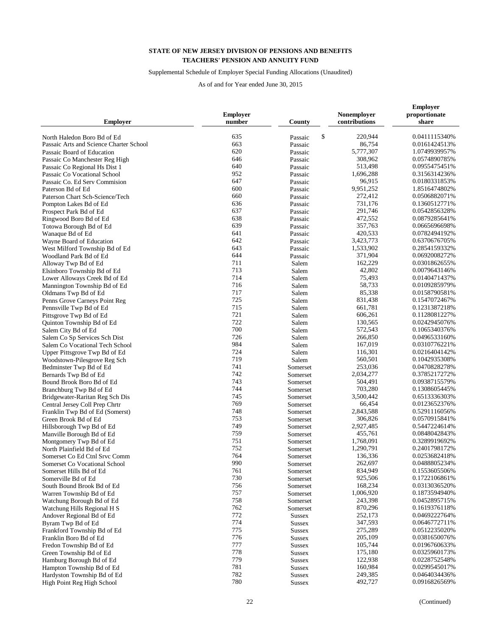## Supplemental Schedule of Employer Special Funding Allocations (Unaudited)

| <b>Employer</b>                                                        | <b>Employer</b><br>number | County             | Nonemployer<br>contributions | <b>Employer</b><br>proportionate<br>share |
|------------------------------------------------------------------------|---------------------------|--------------------|------------------------------|-------------------------------------------|
|                                                                        | 635                       | \$                 | 220,944                      | 0.0411115340%                             |
| North Haledon Boro Bd of Ed<br>Passaic Arts and Science Charter School | 663                       | Passaic            | 86,754                       | 0.0161424513%                             |
| Passaic Board of Education                                             | 620                       | Passaic<br>Passaic | 5,777,307                    | 1.0749939957%                             |
|                                                                        | 646                       |                    | 308,962                      | 0.0574890785%                             |
| Passaic Co Manchester Reg High                                         | 640                       | Passaic            |                              |                                           |
| Passaic Co Regional Hs Dist 1                                          | 952                       | Passaic            | 513,498                      | 0.0955475451%                             |
| Passaic Co Vocational School                                           |                           | Passaic            | 1,696,288                    | 0.3156314236%                             |
| Passaic Co. Ed Serv Commision                                          | 647                       | Passaic            | 96,915                       | 0.0180331853%                             |
| Paterson Bd of Ed                                                      | 600                       | Passaic            | 9,951,252                    | 1.8516474802%                             |
| Paterson Chart Sch-Science/Tech                                        | 660                       | Passaic            | 272,412                      | 0.0506882071%                             |
| Pompton Lakes Bd of Ed                                                 | 636                       | Passaic            | 731,176                      | 0.1360512771%                             |
| Prospect Park Bd of Ed                                                 | 637                       | Passaic            | 291,746                      | 0.0542856328%                             |
| Ringwood Boro Bd of Ed                                                 | 638                       | Passaic            | 472,552                      | 0.0879285641%                             |
| Totowa Borough Bd of Ed                                                | 639                       | Passaic            | 357,763                      | 0.0665696698%                             |
| Wanaque Bd of Ed                                                       | 641                       | Passaic            | 420,533                      | 0.0782494192%                             |
| Wayne Board of Education                                               | 642                       | Passaic            | 3,423,773                    | 0.6370676705%                             |
| West Milford Township Bd of Ed                                         | 643                       | Passaic            | 1,533,902                    | 0.2854159332%                             |
| Woodland Park Bd of Ed                                                 | 644                       | Passaic            | 371,904                      | 0.0692008272%                             |
| Alloway Twp Bd of Ed                                                   | 711                       | Salem              | 162,229                      | 0.0301862655%                             |
| Elsinboro Township Bd of Ed                                            | 713                       | Salem              | 42,802                       | 0.0079643146%                             |
| Lower Alloways Creek Bd of Ed                                          | 714                       | Salem              | 75,493                       | 0.0140471437%                             |
| Mannington Township Bd of Ed                                           | 716                       | Salem              | 58,733                       | 0.0109285979%                             |
| Oldmans Twp Bd of Ed                                                   | 717                       | Salem              | 85,338                       | 0.0158790581%                             |
| Penns Grove Carneys Point Reg                                          | 725                       | Salem              | 831,438                      | 0.1547072467%                             |
| Pennsville Twp Bd of Ed                                                | 715                       | Salem              | 661,781                      | 0.1231387218%                             |
| Pittsgrove Twp Bd of Ed                                                | 721                       | Salem              | 606,261                      | 0.1128081227%                             |
| Quinton Township Bd of Ed                                              | 722                       | Salem              | 130,565                      | 0.0242945076%                             |
| Salem City Bd of Ed                                                    | 700                       | Salem              | 572,543                      | 0.1065340376%                             |
| Salem Co Sp Services Sch Dist                                          | 726                       | Salem              | 266,850                      | 0.0496533160%                             |
| Salem Co Vocational Tech School                                        | 984                       | Salem              | 167,019                      | 0.0310776221%                             |
| Upper Pittsgrove Twp Bd of Ed                                          | 724                       | Salem              | 116,301                      | 0.0216404142%                             |
| Woodstown-Pilesgrove Reg Sch                                           | 719                       | Salem              | 560,501                      | 0.1042935308%                             |
| Bedminster Twp Bd of Ed                                                | 741                       | Somerset           | 253,036                      | 0.0470828278%                             |
| Bernards Twp Bd of Ed                                                  | 742                       | Somerset           | 2,034,277                    | 0.3785217272%                             |
| Bound Brook Boro Bd of Ed                                              | 743                       | Somerset           | 504,491                      | 0.0938715579%                             |
| Branchburg Twp Bd of Ed                                                | 744                       | Somerset           | 703,280                      | 0.1308605445%                             |
| Bridgewater-Raritan Reg Sch Dis                                        | 745                       | Somerset           | 3,500,442                    | 0.6513336303%                             |
| Central Jersey Coll Prep Chrtr                                         | 769                       | Somerset           | 66,454                       | 0.0123652376%                             |
| Franklin Twp Bd of Ed (Somerst)                                        | 748                       | Somerset           | 2,843,588                    | 0.5291116056%                             |
| Green Brook Bd of Ed                                                   | 753                       | Somerset           | 306,826                      | 0.0570915841%                             |
| Hillsborough Twp Bd of Ed                                              | 749                       | Somerset           | 2,927,485                    | 0.5447224614%                             |
| Manville Borough Bd of Ed                                              | 759                       | Somerset           | 455,761                      | 0.0848042843%                             |
| Montgomery Twp Bd of Ed                                                | 751                       | Somerset           | 1,768,091                    | 0.3289919692%                             |
| North Plainfield Bd of Ed                                              | 752                       | Somerset           | 1,290,791                    | 0.2401798172%                             |
| Somerset Co Ed Ctnl Srvc Comm                                          | 764                       | Somerset           | 136,336                      | 0.0253682418%                             |
| Somerset Co Vocational School                                          | 990                       | Somerset           | 262,697                      | 0.0488805234%                             |
| Somerset Hills Bd of Ed                                                | 761                       | Somerset           | 834,949                      | 0.1553605506%                             |
| Somerville Bd of Ed                                                    | 730                       | Somerset           | 925,506                      | 0.1722106861%                             |
| South Bound Brook Bd of Ed                                             | 756                       | Somerset           | 168,234                      | 0.0313036520%                             |
| Warren Township Bd of Ed                                               | 757                       | Somerset           | 1,006,920                    | 0.1873594940%                             |
| Watchung Borough Bd of Ed                                              | 758                       | Somerset           | 243,398                      | 0.0452895715%                             |
| Watchung Hills Regional H S                                            | 762                       | Somerset           | 870,296                      | 0.1619376118%                             |
| Andover Regional Bd of Ed                                              | 772                       | <b>Sussex</b>      | 252,173                      | 0.0469222764%                             |
| Byram Twp Bd of Ed                                                     | 774                       | <b>Sussex</b>      | 347,593                      | 0.0646772711%                             |
| Frankford Township Bd of Ed                                            | 775                       | <b>Sussex</b>      | 275,289                      | 0.0512235020%                             |
| Franklin Boro Bd of Ed                                                 | 776                       | <b>Sussex</b>      | 205,109                      | 0.0381650076%                             |
| Fredon Township Bd of Ed                                               | 777                       | <b>Sussex</b>      | 105,744                      | 0.0196760633%                             |
| Green Township Bd of Ed                                                | 778                       |                    | 175,180                      | 0.0325960173%                             |
|                                                                        | 779                       | <b>Sussex</b>      | 122,938                      | 0.0228752548%                             |
| Hamburg Borough Bd of Ed                                               | 781                       | <b>Sussex</b>      | 160,984                      | 0.0299545017%                             |
| Hampton Township Bd of Ed                                              | 782                       | <b>Sussex</b>      | 249,385                      | 0.0464034436%                             |
| Hardyston Township Bd of Ed                                            | 780                       | <b>Sussex</b>      | 492,727                      | 0.0916826569%                             |
| High Point Reg High School                                             |                           | <b>Sussex</b>      |                              |                                           |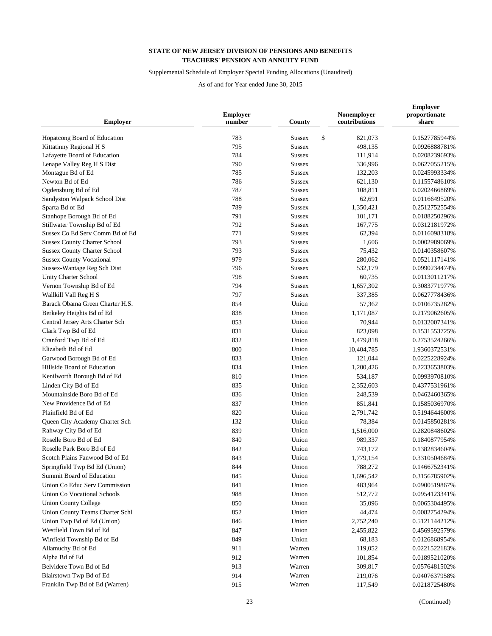## Supplemental Schedule of Employer Special Funding Allocations (Unaudited)

| <b>Employer</b>                     | <b>Employer</b><br>number | County              | Nonemployer<br>contributions | <b>Employer</b><br>proportionate<br>share |
|-------------------------------------|---------------------------|---------------------|------------------------------|-------------------------------------------|
| Hopatcong Board of Education        | 783                       | \$<br><b>Sussex</b> | 821,073                      | 0.1527785944%                             |
| Kittatinny Regional H S             | 795                       | <b>Sussex</b>       | 498,135                      | 0.0926888781%                             |
| Lafayette Board of Education        | 784                       | <b>Sussex</b>       | 111,914                      | 0.0208239693%                             |
| Lenape Valley Reg H S Dist          | 790                       | <b>Sussex</b>       | 336,996                      | 0.0627055215%                             |
| Montague Bd of Ed                   | 785                       | <b>Sussex</b>       | 132,203                      | 0.0245993334%                             |
| Newton Bd of Ed                     | 786                       | <b>Sussex</b>       | 621,130                      | 0.1155748610%                             |
| Ogdensburg Bd of Ed                 | 787                       | <b>Sussex</b>       | 108,811                      | 0.0202466869%                             |
| Sandyston Walpack School Dist       | 788                       | <b>Sussex</b>       | 62,691                       | 0.0116649520%                             |
| Sparta Bd of Ed                     | 789                       | <b>Sussex</b>       | 1,350,421                    | 0.2512752554%                             |
| Stanhope Borough Bd of Ed           | 791                       | <b>Sussex</b>       | 101,171                      | 0.0188250296%                             |
| Stillwater Township Bd of Ed        | 792                       | <b>Sussex</b>       | 167,775                      | 0.0312181972%                             |
| Sussex Co Ed Serv Comm Bd of Ed     | 771                       | <b>Sussex</b>       | 62,394                       | 0.0116098318%                             |
| <b>Sussex County Charter School</b> | 793                       | <b>Sussex</b>       | 1,606                        | 0.0002989069%                             |
| <b>Sussex County Charter School</b> | 793                       | <b>Sussex</b>       | 75,432                       | 0.0140358607%                             |
| <b>Sussex County Vocational</b>     | 979                       | <b>Sussex</b>       | 280,062                      | 0.0521117141%                             |
| Sussex-Wantage Reg Sch Dist         | 796                       | <b>Sussex</b>       | 532,179                      | 0.0990234474%                             |
| Unity Charter School                | 798                       | <b>Sussex</b>       | 60,735                       | 0.0113011217%                             |
| Vernon Township Bd of Ed            | 794                       | <b>Sussex</b>       | 1,657,302                    | 0.3083771977%                             |
| Wallkill Vall Reg H S               | 797                       | <b>Sussex</b>       | 337,385                      | 0.0627778436%                             |
| Barack Obama Green Charter H.S.     | 854                       | Union               | 57,362                       | 0.0106735282%                             |
| Berkeley Heights Bd of Ed           | 838                       | Union               | 1,171,087                    | 0.2179062605%                             |
| Central Jersey Arts Charter Sch     | 853                       | Union               | 70,944                       | 0.0132007341%                             |
| Clark Twp Bd of Ed                  | 831                       | Union               | 823,098                      | 0.1531553725%                             |
| Cranford Twp Bd of Ed               | 832                       | Union               | 1,479,818                    | 0.2753524266%                             |
| Elizabeth Bd of Ed                  | 800                       | Union               | 10,404,785                   | 1.9360372531%                             |
| Garwood Borough Bd of Ed            | 833                       | Union               | 121,044                      | 0.0225228924%                             |
| Hillside Board of Education         | 834                       | Union               | 1,200,426                    | 0.2233653803%                             |
| Kenilworth Borough Bd of Ed         | 810                       | Union               | 534,187                      | 0.0993970810%                             |
| Linden City Bd of Ed                | 835                       | Union               | 2,352,603                    | 0.4377531961%                             |
| Mountainside Boro Bd of Ed          | 836                       | Union               | 248,539                      | 0.0462460365%                             |
| New Providence Bd of Ed             | 837                       | Union               | 851,841                      | 0.1585036970%                             |
| Plainfield Bd of Ed                 | 820                       | Union               | 2,791,742                    | 0.5194644600%                             |
| Queen City Academy Charter Sch      | 132                       | Union               | 78,384                       | 0.0145850281%                             |
| Rahway City Bd of Ed                | 839                       | Union               | 1,516,000                    | 0.2820848602%                             |
| Roselle Boro Bd of Ed               | 840                       | Union               | 989,337                      | 0.1840877954%                             |
| Roselle Park Boro Bd of Ed          | 842                       | Union               | 743,172                      | 0.1382834604%                             |
| Scotch Plains Fanwood Bd of Ed      | 843                       | Union               | 1,779,154                    | 0.3310504684%                             |
| Springfield Twp Bd Ed (Union)       | 844                       | Union               | 788,272                      | 0.1466752341%                             |
| Summit Board of Education           | 845                       | Union               | 1,696,542                    | 0.3156785902%                             |
| Union Co Educ Serv Commission       | 841                       | Union               | 483,964                      | 0.0900519867%                             |
| <b>Union Co Vocational Schools</b>  | 988                       | Union               | 512,772                      | 0.0954123341%                             |
| <b>Union County College</b>         | 850                       | Union               | 35,096                       | 0.0065304495%                             |
| Union County Teams Charter Schl     | 852                       | Union               | 44,474                       | 0.0082754294%                             |
| Union Twp Bd of Ed (Union)          | 846                       | Union               | 2,752,240                    | 0.5121144212%                             |
| Westfield Town Bd of Ed             | 847                       | Union               | 2,455,822                    | 0.4569592579%                             |
| Winfield Township Bd of Ed          | 849                       | Union               | 68,183                       | 0.0126868954%                             |
| Allamuchy Bd of Ed                  | 911                       | Warren              | 119,052                      | 0.0221522183%                             |
| Alpha Bd of Ed                      | 912                       | Warren              | 101,854                      |                                           |
| Belvidere Town Bd of Ed             |                           | Warren              |                              | 0.0189521020%                             |
|                                     | 913                       | Warren              | 309,817                      | 0.0576481502%                             |
| Blairstown Twp Bd of Ed             | 914                       |                     | 219,076                      | 0.0407637958%                             |
| Franklin Twp Bd of Ed (Warren)      | 915                       | Warren              | 117,549                      | 0.0218725480%                             |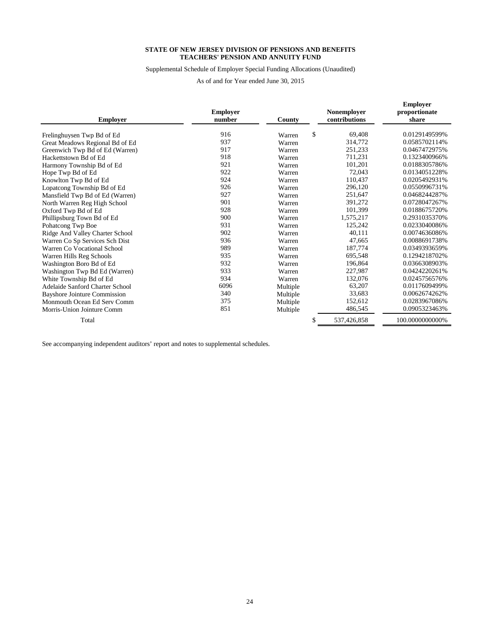Supplemental Schedule of Employer Special Funding Allocations (Unaudited)

As of and for Year ended June 30, 2015

| <b>Employer</b>                     | <b>Employer</b><br>number | County   | <b>Nonemployer</b><br>contributions | <b>Employer</b><br>proportionate<br>share |
|-------------------------------------|---------------------------|----------|-------------------------------------|-------------------------------------------|
| Frelinghuysen Twp Bd of Ed          | 916                       | Warren   | \$<br>69,408                        | 0.0129149599%                             |
| Great Meadows Regional Bd of Ed     | 937                       | Warren   | 314,772                             | 0.0585702114%                             |
| Greenwich Twp Bd of Ed (Warren)     | 917                       | Warren   | 251,233                             | 0.0467472975%                             |
| Hackettstown Bd of Ed               | 918                       | Warren   | 711,231                             | 0.1323400966%                             |
| Harmony Township Bd of Ed           | 921                       | Warren   | 101,201                             | 0.0188305786%                             |
| Hope Twp Bd of Ed                   | 922                       | Warren   | 72,043                              | 0.0134051228%                             |
| Knowlton Twp Bd of Ed               | 924                       | Warren   | 110,437                             | 0.0205492931%                             |
| Lopatcong Township Bd of Ed         | 926                       | Warren   | 296,120                             | 0.0550996731%                             |
| Mansfield Twp Bd of Ed (Warren)     | 927                       | Warren   | 251,647                             | 0.0468244287%                             |
| North Warren Reg High School        | 901                       | Warren   | 391,272                             | 0.0728047267%                             |
| Oxford Twp Bd of Ed                 | 928                       | Warren   | 101,399                             | 0.0188675720%                             |
| Phillipsburg Town Bd of Ed          | 900                       | Warren   | 1,575,217                           | 0.2931035370%                             |
| Pohatcong Twp Boe                   | 931                       | Warren   | 125,242                             | 0.0233040086%                             |
| Ridge And Valley Charter School     | 902                       | Warren   | 40,111                              | 0.0074636086%                             |
| Warren Co Sp Services Sch Dist      | 936                       | Warren   | 47,665                              | 0.0088691738%                             |
| Warren Co Vocational School         | 989                       | Warren   | 187,774                             | 0.0349393659%                             |
| Warren Hills Reg Schools            | 935                       | Warren   | 695,548                             | 0.1294218702%                             |
| Washington Boro Bd of Ed            | 932                       | Warren   | 196,864                             | 0.0366308903%                             |
| Washington Twp Bd Ed (Warren)       | 933                       | Warren   | 227,987                             | 0.0424220261%                             |
| White Township Bd of Ed             | 934                       | Warren   | 132,076                             | 0.0245756576%                             |
| Adelaide Sanford Charter School     | 6096                      | Multiple | 63,207                              | 0.0117609499%                             |
| <b>Bayshore Jointure Commission</b> | 340                       | Multiple | 33,683                              | 0.0062674262%                             |
| Monmouth Ocean Ed Serv Comm         | 375                       | Multiple | 152,612                             | 0.0283967086%                             |
| Morris-Union Jointure Comm          | 851                       | Multiple | 486,545                             | 0.0905323463%                             |
| Total                               |                           |          | \$<br>537,426,858                   | 100.0000000000%                           |

See accompanying independent auditors' report and notes to supplemental schedules.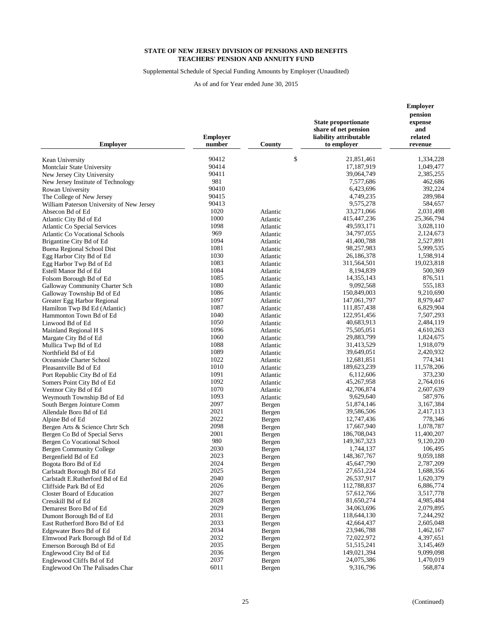Supplemental Schedule of Special Funding Amounts by Employer (Unaudited)

| <b>Employer</b>                                               | <b>Employer</b><br>number | County               | <b>State proportionate</b><br>share of net pension<br>liability attributable<br>to employer | <b>Employer</b><br>pension<br>expense<br>and<br>related<br>revenue |
|---------------------------------------------------------------|---------------------------|----------------------|---------------------------------------------------------------------------------------------|--------------------------------------------------------------------|
| Kean University                                               | 90412                     | \$                   | 21,851,461                                                                                  | 1,334,228                                                          |
| Montclair State University                                    | 90414                     |                      | 17,187,919                                                                                  | 1,049,477                                                          |
| New Jersey City University                                    | 90411                     |                      | 39,064,749                                                                                  | 2,385,255                                                          |
| New Jersey Institute of Technology                            | 981                       |                      | 7,577,686                                                                                   | 462,686                                                            |
| Rowan University                                              | 90410                     |                      | 6,423,696                                                                                   | 392,224                                                            |
| The College of New Jersey                                     | 90415                     |                      | 4,749,235                                                                                   | 289,984                                                            |
| William Paterson University of New Jersey                     | 90413                     |                      | 9,575,278                                                                                   | 584,657                                                            |
| Absecon Bd of Ed                                              | 1020                      | Atlantic             | 33,271,066                                                                                  | 2,031,498                                                          |
| Atlantic City Bd of Ed                                        | 1000                      | Atlantic             | 415, 447, 236                                                                               | 25,366,794                                                         |
| Atlantic Co Special Services                                  | 1098                      | Atlantic             | 49,593,171                                                                                  | 3,028,110                                                          |
| <b>Atlantic Co Vocational Schools</b>                         | 969                       | Atlantic             | 34,797,055                                                                                  | 2,124,673                                                          |
| Brigantine City Bd of Ed                                      | 1094                      | Atlantic             | 41,400,788                                                                                  | 2,527,891                                                          |
| Buena Regional School Dist                                    | 1081                      | Atlantic             | 98,257,983                                                                                  | 5,999,535                                                          |
| Egg Harbor City Bd of Ed                                      | 1030                      | Atlantic             | 26,186,378                                                                                  | 1,598,914                                                          |
| Egg Harbor Twp Bd of Ed                                       | 1083                      | Atlantic             | 311,564,501                                                                                 | 19,023,818                                                         |
| Estell Manor Bd of Ed                                         | 1084                      | Atlantic             | 8,194,839                                                                                   | 500,369                                                            |
| Folsom Borough Bd of Ed                                       | 1085                      | Atlantic             | 14, 355, 143                                                                                | 876,511                                                            |
| Galloway Community Charter Sch                                | 1080                      | Atlantic             | 9,092,568                                                                                   | 555,183                                                            |
| Galloway Township Bd of Ed                                    | 1086                      | Atlantic             | 150,849,003                                                                                 | 9,210,690                                                          |
| Greater Egg Harbor Regional                                   | 1097                      | Atlantic             | 147,061,797                                                                                 | 8,979,447                                                          |
| Hamilton Twp Bd Ed (Atlantic)                                 | 1087<br>1040              | Atlantic             | 111,857,438                                                                                 | 6,829,904                                                          |
| Hammonton Town Bd of Ed                                       | 1050                      | Atlantic             | 122,951,456<br>40,683,913                                                                   | 7,507,293<br>2,484,119                                             |
| Linwood Bd of Ed                                              | 1096                      | Atlantic<br>Atlantic | 75,505,051                                                                                  | 4,610,263                                                          |
| Mainland Regional H S<br>Margate City Bd of Ed                | 1060                      | Atlantic             | 29,883,799                                                                                  | 1,824,675                                                          |
| Mullica Twp Bd of Ed                                          | 1088                      | Atlantic             | 31,413,529                                                                                  | 1,918,079                                                          |
| Northfield Bd of Ed                                           | 1089                      | Atlantic             | 39,649,051                                                                                  | 2,420,932                                                          |
| Oceanside Charter School                                      | 1022                      | Atlantic             | 12,681,851                                                                                  | 774,341                                                            |
| Pleasantville Bd of Ed                                        | 1010                      | Atlantic             | 189,623,239                                                                                 | 11,578,206                                                         |
| Port Republic City Bd of Ed                                   | 1091                      | Atlantic             | 6,112,606                                                                                   | 373,230                                                            |
| Somers Point City Bd of Ed                                    | 1092                      | Atlantic             | 45,267,958                                                                                  | 2,764,016                                                          |
| Ventnor City Bd of Ed                                         | 1070                      | Atlantic             | 42,706,874                                                                                  | 2,607,639                                                          |
| Weymouth Township Bd of Ed                                    | 1093                      | Atlantic             | 9,629,640                                                                                   | 587,976                                                            |
| South Bergen Jointure Comm                                    | 2097                      | Bergen               | 51,874,146                                                                                  | 3,167,384                                                          |
| Allendale Boro Bd of Ed                                       | 2021                      | Bergen               | 39,586,506                                                                                  | 2,417,113                                                          |
| Alpine Bd of Ed                                               | 2022                      | Bergen               | 12,747,436                                                                                  | 778,346                                                            |
| Bergen Arts & Science Chrtr Sch                               | 2098                      | Bergen               | 17,667,940                                                                                  | 1,078,787                                                          |
| Bergen Co Bd of Special Servs                                 | 2001                      | Bergen               | 186,708,043                                                                                 | 11,400,207                                                         |
| Bergen Co Vocational School                                   | 980                       | Bergen               | 149, 367, 323                                                                               | 9,120,220                                                          |
| <b>Bergen Community College</b>                               | 2030                      | Bergen               | 1,744,137                                                                                   | 106,495                                                            |
| Bergenfield Bd of Ed                                          | 2023                      | Bergen               | 148, 367, 767                                                                               | 9,059,188                                                          |
| Bogota Boro Bd of Ed                                          | 2024                      | Bergen               | 45,647,790<br>27,651,224                                                                    | 2,787,209                                                          |
| Carlstadt Borough Bd of Ed<br>Carlstadt E.Rutherford Bd of Ed | 2025<br>2040              | Bergen<br>Bergen     | 26,537,917                                                                                  | 1,688,356<br>1,620,379                                             |
| Cliffside Park Bd of Ed                                       | 2026                      | Bergen               | 112,788,837                                                                                 | 6,886,774                                                          |
| Closter Board of Education                                    | 2027                      | Bergen               | 57,612,766                                                                                  | 3,517,778                                                          |
| Cresskill Bd of Ed                                            | 2028                      | Bergen               | 81,650,274                                                                                  | 4,985,484                                                          |
| Demarest Boro Bd of Ed                                        | 2029                      | Bergen               | 34,063,696                                                                                  | 2,079,895                                                          |
| Dumont Borough Bd of Ed                                       | 2031                      | Bergen               | 118,644,130                                                                                 | 7,244,292                                                          |
| East Rutherford Boro Bd of Ed                                 | 2033                      | Bergen               | 42,664,437                                                                                  | 2,605,048                                                          |
| Edgewater Boro Bd of Ed                                       | 2034                      | Bergen               | 23,946,788                                                                                  | 1,462,167                                                          |
| Elmwood Park Borough Bd of Ed                                 | 2032                      | Bergen               | 72,022,972                                                                                  | 4,397,651                                                          |
| Emerson Borough Bd of Ed                                      | 2035                      | Bergen               | 51, 515, 241                                                                                | 3,145,469                                                          |
| Englewood City Bd of Ed                                       | 2036                      | Bergen               | 149,021,394                                                                                 | 9,099,098                                                          |
| Englewood Cliffs Bd of Ed                                     | 2037                      | Bergen               | 24,075,386                                                                                  | 1,470,019                                                          |
| Englewood On The Palisades Char                               | 6011                      | Bergen               | 9,316,796                                                                                   | 568,874                                                            |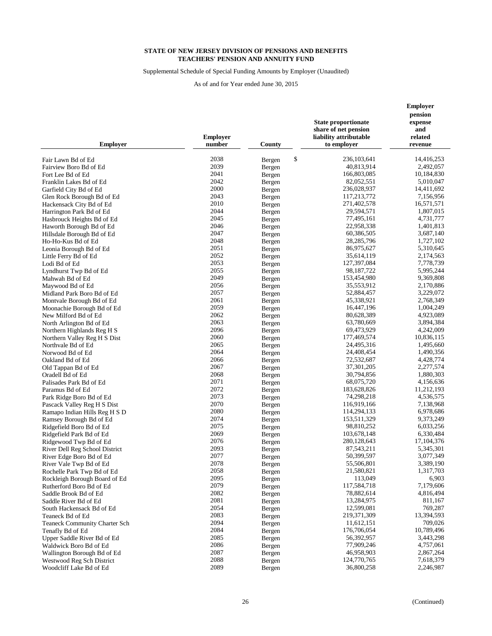Supplemental Schedule of Special Funding Amounts by Employer (Unaudited)

| \$<br>2038<br>236, 103, 641<br>14,416,253<br>Fair Lawn Bd of Ed<br>Bergen<br>2039<br>40,813,914<br>2,492,057<br>Fairview Boro Bd of Ed<br>Bergen<br>2041<br>166,803,085<br>Fort Lee Bd of Ed<br>Bergen<br>10,184,830<br>2042<br>82,052,551<br>5,010,047<br>Franklin Lakes Bd of Ed<br>Bergen<br>2000<br>236,028,937<br>14,411,692<br>Garfield City Bd of Ed<br>Bergen<br>2043<br>117,213,772<br>7,156,956<br>Glen Rock Borough Bd of Ed<br>Bergen<br>2010<br>271,402,578<br>16,571,571<br>Hackensack City Bd of Ed<br>Bergen<br>2044<br>29,594,571<br>1,807,015<br>Harrington Park Bd of Ed<br>Bergen<br>2045<br>77,495,161<br>4,731,777<br>Hasbrouck Heights Bd of Ed<br>Bergen<br>2046<br>22,958,338<br>1,401,813<br>Haworth Borough Bd of Ed<br>Bergen<br>2047<br>60,386,505<br>3,687,140<br>Hillsdale Borough Bd of Ed<br>Bergen<br>2048<br>28, 285, 796<br>1,727,102<br>Ho-Ho-Kus Bd of Ed<br>Bergen<br>2051<br>86,975,627<br>5,310,645<br>Leonia Borough Bd of Ed<br>Bergen<br>2052<br>35,614,119<br>2,174,563<br>Little Ferry Bd of Ed<br>Bergen<br>2053<br>127,397,084<br>7,778,739<br>Lodi Bd of Ed<br>Bergen<br>2055<br>98, 187, 722<br>5,995,244<br>Lyndhurst Twp Bd of Ed<br>Bergen<br>2049<br>153,454,980<br>9,369,808<br>Mahwah Bd of Ed<br>Bergen<br>2056<br>35,553,912<br>2,170,886<br>Bergen<br>Maywood Bd of Ed<br>2057<br>52,884,457<br>3,229,072<br>Midland Park Boro Bd of Ed<br>Bergen<br>2061<br>45,338,921<br>2,768,349<br>Montvale Borough Bd of Ed<br>Bergen<br>2059<br>16,447,196<br>1,004,249<br>Moonachie Borough Bd of Ed<br>Bergen<br>2062<br>80,628,389<br>New Milford Bd of Ed<br>4,923,089<br>Bergen<br>2063<br>63,780,669<br>3,894,384<br>North Arlington Bd of Ed<br>Bergen<br>2096<br>69,473,929<br>4,242,009<br>Northern Highlands Reg H S<br>Bergen<br>2060<br>177,469,574<br>10,836,115<br>Northern Valley Reg H S Dist<br>Bergen<br>2065<br>24,495,316<br>1,495,660<br>Northvale Bd of Ed<br>Bergen<br>2064<br>24,408,454<br>1,490,356<br>Norwood Bd of Ed<br>Bergen<br>2066<br>72,532,687<br>4,428,774<br>Oakland Bd of Ed<br>Bergen<br>2067<br>37,301,205<br>2,277,574<br>Bergen<br>Old Tappan Bd of Ed<br>2068<br>30,794,856<br>1,880,303<br>Oradell Bd of Ed<br>Bergen<br>2071<br>68,075,720<br>4,156,636<br>Palisades Park Bd of Ed<br>Bergen<br>2072<br>183,628,826<br>11,212,193<br>Bergen<br>Paramus Bd of Ed<br>2073<br>74,298,218<br>4,536,575<br>Park Ridge Boro Bd of Ed<br>Bergen<br>2070<br>116,919,166<br>7,138,968<br>Pascack Valley Reg H S Dist<br>Bergen<br>2080<br>114,294,133<br>6,978,686<br>Ramapo Indian Hills Reg H S D<br>Bergen<br>2074<br>153,511,329<br>9,373,249<br>Ramsey Borough Bd of Ed<br>Bergen<br>2075<br>98,810,252<br>6,033,256<br>Ridgefield Boro Bd of Ed<br>Bergen<br>2069<br>103,678,148<br>6,330,484<br>Ridgefield Park Bd of Ed<br>Bergen<br>2076<br>280,128,643<br>17, 104, 376<br>Ridgewood Twp Bd of Ed<br>Bergen<br>2093<br>87,543,211<br>5,345,301<br>River Dell Reg School District<br>Bergen<br>2077<br>50,399,597<br>3,077,349<br>River Edge Boro Bd of Ed<br>Bergen<br>2078<br>55,506,801<br>3,389,190<br>River Vale Twp Bd of Ed<br>Bergen<br>2058<br>21,580,821<br>1,317,703<br>Rochelle Park Twp Bd of Ed<br>Bergen<br>2095<br>113,049<br>6,903<br>Bergen<br>Rockleigh Borough Board of Ed<br>2079<br>117,584,718<br>7,179,606<br>Rutherford Boro Bd of Ed<br>Bergen<br>2082<br>78,882,614<br>Saddle Brook Bd of Ed<br>Bergen<br>4,816,494<br>2081<br>13,284,975<br>811,167<br>Saddle River Bd of Ed<br>Bergen<br>2054<br>12,599,081<br>769,287<br>South Hackensack Bd of Ed<br>Bergen<br>2083<br>219,371,309<br>13,394,593<br>Teaneck Bd of Ed<br>Bergen<br>2094<br>11,612,151<br>709,026<br><b>Teaneck Community Charter Sch</b><br>Bergen<br>2084<br>176,706,054<br>10,789,496<br>Bergen<br>Tenafly Bd of Ed<br>2085<br>56,392,957<br>3,443,298<br>Upper Saddle River Bd of Ed<br>Bergen<br>2086<br>77,909,246<br>4,757,061<br>Waldwick Boro Bd of Ed<br>Bergen<br>2087<br>46,958,903<br>2,867,264<br>Wallington Borough Bd of Ed<br>Bergen<br>2088<br>124,770,765<br>7,618,379<br>Westwood Reg Sch District<br>Bergen<br>2089<br>36,800,258<br>2,246,987<br>Woodcliff Lake Bd of Ed<br>Bergen | <b>Employer</b> | <b>Employer</b><br>number | County | <b>State proportionate</b><br>share of net pension<br>liability attributable<br>to employer | <b>Employer</b><br>pension<br>expense<br>and<br>related<br>revenue |
|-----------------------------------------------------------------------------------------------------------------------------------------------------------------------------------------------------------------------------------------------------------------------------------------------------------------------------------------------------------------------------------------------------------------------------------------------------------------------------------------------------------------------------------------------------------------------------------------------------------------------------------------------------------------------------------------------------------------------------------------------------------------------------------------------------------------------------------------------------------------------------------------------------------------------------------------------------------------------------------------------------------------------------------------------------------------------------------------------------------------------------------------------------------------------------------------------------------------------------------------------------------------------------------------------------------------------------------------------------------------------------------------------------------------------------------------------------------------------------------------------------------------------------------------------------------------------------------------------------------------------------------------------------------------------------------------------------------------------------------------------------------------------------------------------------------------------------------------------------------------------------------------------------------------------------------------------------------------------------------------------------------------------------------------------------------------------------------------------------------------------------------------------------------------------------------------------------------------------------------------------------------------------------------------------------------------------------------------------------------------------------------------------------------------------------------------------------------------------------------------------------------------------------------------------------------------------------------------------------------------------------------------------------------------------------------------------------------------------------------------------------------------------------------------------------------------------------------------------------------------------------------------------------------------------------------------------------------------------------------------------------------------------------------------------------------------------------------------------------------------------------------------------------------------------------------------------------------------------------------------------------------------------------------------------------------------------------------------------------------------------------------------------------------------------------------------------------------------------------------------------------------------------------------------------------------------------------------------------------------------------------------------------------------------------------------------------------------------------------------------------------------------------------------------------------------------------------------------------------------------------------------------------------------------------------------------------------------------------------------------------------------------------------------------------------------------------------------------------------------------------------------------------------------------------------------------------------|-----------------|---------------------------|--------|---------------------------------------------------------------------------------------------|--------------------------------------------------------------------|
|                                                                                                                                                                                                                                                                                                                                                                                                                                                                                                                                                                                                                                                                                                                                                                                                                                                                                                                                                                                                                                                                                                                                                                                                                                                                                                                                                                                                                                                                                                                                                                                                                                                                                                                                                                                                                                                                                                                                                                                                                                                                                                                                                                                                                                                                                                                                                                                                                                                                                                                                                                                                                                                                                                                                                                                                                                                                                                                                                                                                                                                                                                                                                                                                                                                                                                                                                                                                                                                                                                                                                                                                                                                                                                                                                                                                                                                                                                                                                                                                                                                                                                                                                                                                     |                 |                           |        |                                                                                             |                                                                    |
|                                                                                                                                                                                                                                                                                                                                                                                                                                                                                                                                                                                                                                                                                                                                                                                                                                                                                                                                                                                                                                                                                                                                                                                                                                                                                                                                                                                                                                                                                                                                                                                                                                                                                                                                                                                                                                                                                                                                                                                                                                                                                                                                                                                                                                                                                                                                                                                                                                                                                                                                                                                                                                                                                                                                                                                                                                                                                                                                                                                                                                                                                                                                                                                                                                                                                                                                                                                                                                                                                                                                                                                                                                                                                                                                                                                                                                                                                                                                                                                                                                                                                                                                                                                                     |                 |                           |        |                                                                                             |                                                                    |
|                                                                                                                                                                                                                                                                                                                                                                                                                                                                                                                                                                                                                                                                                                                                                                                                                                                                                                                                                                                                                                                                                                                                                                                                                                                                                                                                                                                                                                                                                                                                                                                                                                                                                                                                                                                                                                                                                                                                                                                                                                                                                                                                                                                                                                                                                                                                                                                                                                                                                                                                                                                                                                                                                                                                                                                                                                                                                                                                                                                                                                                                                                                                                                                                                                                                                                                                                                                                                                                                                                                                                                                                                                                                                                                                                                                                                                                                                                                                                                                                                                                                                                                                                                                                     |                 |                           |        |                                                                                             |                                                                    |
|                                                                                                                                                                                                                                                                                                                                                                                                                                                                                                                                                                                                                                                                                                                                                                                                                                                                                                                                                                                                                                                                                                                                                                                                                                                                                                                                                                                                                                                                                                                                                                                                                                                                                                                                                                                                                                                                                                                                                                                                                                                                                                                                                                                                                                                                                                                                                                                                                                                                                                                                                                                                                                                                                                                                                                                                                                                                                                                                                                                                                                                                                                                                                                                                                                                                                                                                                                                                                                                                                                                                                                                                                                                                                                                                                                                                                                                                                                                                                                                                                                                                                                                                                                                                     |                 |                           |        |                                                                                             |                                                                    |
|                                                                                                                                                                                                                                                                                                                                                                                                                                                                                                                                                                                                                                                                                                                                                                                                                                                                                                                                                                                                                                                                                                                                                                                                                                                                                                                                                                                                                                                                                                                                                                                                                                                                                                                                                                                                                                                                                                                                                                                                                                                                                                                                                                                                                                                                                                                                                                                                                                                                                                                                                                                                                                                                                                                                                                                                                                                                                                                                                                                                                                                                                                                                                                                                                                                                                                                                                                                                                                                                                                                                                                                                                                                                                                                                                                                                                                                                                                                                                                                                                                                                                                                                                                                                     |                 |                           |        |                                                                                             |                                                                    |
|                                                                                                                                                                                                                                                                                                                                                                                                                                                                                                                                                                                                                                                                                                                                                                                                                                                                                                                                                                                                                                                                                                                                                                                                                                                                                                                                                                                                                                                                                                                                                                                                                                                                                                                                                                                                                                                                                                                                                                                                                                                                                                                                                                                                                                                                                                                                                                                                                                                                                                                                                                                                                                                                                                                                                                                                                                                                                                                                                                                                                                                                                                                                                                                                                                                                                                                                                                                                                                                                                                                                                                                                                                                                                                                                                                                                                                                                                                                                                                                                                                                                                                                                                                                                     |                 |                           |        |                                                                                             |                                                                    |
|                                                                                                                                                                                                                                                                                                                                                                                                                                                                                                                                                                                                                                                                                                                                                                                                                                                                                                                                                                                                                                                                                                                                                                                                                                                                                                                                                                                                                                                                                                                                                                                                                                                                                                                                                                                                                                                                                                                                                                                                                                                                                                                                                                                                                                                                                                                                                                                                                                                                                                                                                                                                                                                                                                                                                                                                                                                                                                                                                                                                                                                                                                                                                                                                                                                                                                                                                                                                                                                                                                                                                                                                                                                                                                                                                                                                                                                                                                                                                                                                                                                                                                                                                                                                     |                 |                           |        |                                                                                             |                                                                    |
|                                                                                                                                                                                                                                                                                                                                                                                                                                                                                                                                                                                                                                                                                                                                                                                                                                                                                                                                                                                                                                                                                                                                                                                                                                                                                                                                                                                                                                                                                                                                                                                                                                                                                                                                                                                                                                                                                                                                                                                                                                                                                                                                                                                                                                                                                                                                                                                                                                                                                                                                                                                                                                                                                                                                                                                                                                                                                                                                                                                                                                                                                                                                                                                                                                                                                                                                                                                                                                                                                                                                                                                                                                                                                                                                                                                                                                                                                                                                                                                                                                                                                                                                                                                                     |                 |                           |        |                                                                                             |                                                                    |
|                                                                                                                                                                                                                                                                                                                                                                                                                                                                                                                                                                                                                                                                                                                                                                                                                                                                                                                                                                                                                                                                                                                                                                                                                                                                                                                                                                                                                                                                                                                                                                                                                                                                                                                                                                                                                                                                                                                                                                                                                                                                                                                                                                                                                                                                                                                                                                                                                                                                                                                                                                                                                                                                                                                                                                                                                                                                                                                                                                                                                                                                                                                                                                                                                                                                                                                                                                                                                                                                                                                                                                                                                                                                                                                                                                                                                                                                                                                                                                                                                                                                                                                                                                                                     |                 |                           |        |                                                                                             |                                                                    |
|                                                                                                                                                                                                                                                                                                                                                                                                                                                                                                                                                                                                                                                                                                                                                                                                                                                                                                                                                                                                                                                                                                                                                                                                                                                                                                                                                                                                                                                                                                                                                                                                                                                                                                                                                                                                                                                                                                                                                                                                                                                                                                                                                                                                                                                                                                                                                                                                                                                                                                                                                                                                                                                                                                                                                                                                                                                                                                                                                                                                                                                                                                                                                                                                                                                                                                                                                                                                                                                                                                                                                                                                                                                                                                                                                                                                                                                                                                                                                                                                                                                                                                                                                                                                     |                 |                           |        |                                                                                             |                                                                    |
|                                                                                                                                                                                                                                                                                                                                                                                                                                                                                                                                                                                                                                                                                                                                                                                                                                                                                                                                                                                                                                                                                                                                                                                                                                                                                                                                                                                                                                                                                                                                                                                                                                                                                                                                                                                                                                                                                                                                                                                                                                                                                                                                                                                                                                                                                                                                                                                                                                                                                                                                                                                                                                                                                                                                                                                                                                                                                                                                                                                                                                                                                                                                                                                                                                                                                                                                                                                                                                                                                                                                                                                                                                                                                                                                                                                                                                                                                                                                                                                                                                                                                                                                                                                                     |                 |                           |        |                                                                                             |                                                                    |
|                                                                                                                                                                                                                                                                                                                                                                                                                                                                                                                                                                                                                                                                                                                                                                                                                                                                                                                                                                                                                                                                                                                                                                                                                                                                                                                                                                                                                                                                                                                                                                                                                                                                                                                                                                                                                                                                                                                                                                                                                                                                                                                                                                                                                                                                                                                                                                                                                                                                                                                                                                                                                                                                                                                                                                                                                                                                                                                                                                                                                                                                                                                                                                                                                                                                                                                                                                                                                                                                                                                                                                                                                                                                                                                                                                                                                                                                                                                                                                                                                                                                                                                                                                                                     |                 |                           |        |                                                                                             |                                                                    |
|                                                                                                                                                                                                                                                                                                                                                                                                                                                                                                                                                                                                                                                                                                                                                                                                                                                                                                                                                                                                                                                                                                                                                                                                                                                                                                                                                                                                                                                                                                                                                                                                                                                                                                                                                                                                                                                                                                                                                                                                                                                                                                                                                                                                                                                                                                                                                                                                                                                                                                                                                                                                                                                                                                                                                                                                                                                                                                                                                                                                                                                                                                                                                                                                                                                                                                                                                                                                                                                                                                                                                                                                                                                                                                                                                                                                                                                                                                                                                                                                                                                                                                                                                                                                     |                 |                           |        |                                                                                             |                                                                    |
|                                                                                                                                                                                                                                                                                                                                                                                                                                                                                                                                                                                                                                                                                                                                                                                                                                                                                                                                                                                                                                                                                                                                                                                                                                                                                                                                                                                                                                                                                                                                                                                                                                                                                                                                                                                                                                                                                                                                                                                                                                                                                                                                                                                                                                                                                                                                                                                                                                                                                                                                                                                                                                                                                                                                                                                                                                                                                                                                                                                                                                                                                                                                                                                                                                                                                                                                                                                                                                                                                                                                                                                                                                                                                                                                                                                                                                                                                                                                                                                                                                                                                                                                                                                                     |                 |                           |        |                                                                                             |                                                                    |
|                                                                                                                                                                                                                                                                                                                                                                                                                                                                                                                                                                                                                                                                                                                                                                                                                                                                                                                                                                                                                                                                                                                                                                                                                                                                                                                                                                                                                                                                                                                                                                                                                                                                                                                                                                                                                                                                                                                                                                                                                                                                                                                                                                                                                                                                                                                                                                                                                                                                                                                                                                                                                                                                                                                                                                                                                                                                                                                                                                                                                                                                                                                                                                                                                                                                                                                                                                                                                                                                                                                                                                                                                                                                                                                                                                                                                                                                                                                                                                                                                                                                                                                                                                                                     |                 |                           |        |                                                                                             |                                                                    |
|                                                                                                                                                                                                                                                                                                                                                                                                                                                                                                                                                                                                                                                                                                                                                                                                                                                                                                                                                                                                                                                                                                                                                                                                                                                                                                                                                                                                                                                                                                                                                                                                                                                                                                                                                                                                                                                                                                                                                                                                                                                                                                                                                                                                                                                                                                                                                                                                                                                                                                                                                                                                                                                                                                                                                                                                                                                                                                                                                                                                                                                                                                                                                                                                                                                                                                                                                                                                                                                                                                                                                                                                                                                                                                                                                                                                                                                                                                                                                                                                                                                                                                                                                                                                     |                 |                           |        |                                                                                             |                                                                    |
|                                                                                                                                                                                                                                                                                                                                                                                                                                                                                                                                                                                                                                                                                                                                                                                                                                                                                                                                                                                                                                                                                                                                                                                                                                                                                                                                                                                                                                                                                                                                                                                                                                                                                                                                                                                                                                                                                                                                                                                                                                                                                                                                                                                                                                                                                                                                                                                                                                                                                                                                                                                                                                                                                                                                                                                                                                                                                                                                                                                                                                                                                                                                                                                                                                                                                                                                                                                                                                                                                                                                                                                                                                                                                                                                                                                                                                                                                                                                                                                                                                                                                                                                                                                                     |                 |                           |        |                                                                                             |                                                                    |
|                                                                                                                                                                                                                                                                                                                                                                                                                                                                                                                                                                                                                                                                                                                                                                                                                                                                                                                                                                                                                                                                                                                                                                                                                                                                                                                                                                                                                                                                                                                                                                                                                                                                                                                                                                                                                                                                                                                                                                                                                                                                                                                                                                                                                                                                                                                                                                                                                                                                                                                                                                                                                                                                                                                                                                                                                                                                                                                                                                                                                                                                                                                                                                                                                                                                                                                                                                                                                                                                                                                                                                                                                                                                                                                                                                                                                                                                                                                                                                                                                                                                                                                                                                                                     |                 |                           |        |                                                                                             |                                                                    |
|                                                                                                                                                                                                                                                                                                                                                                                                                                                                                                                                                                                                                                                                                                                                                                                                                                                                                                                                                                                                                                                                                                                                                                                                                                                                                                                                                                                                                                                                                                                                                                                                                                                                                                                                                                                                                                                                                                                                                                                                                                                                                                                                                                                                                                                                                                                                                                                                                                                                                                                                                                                                                                                                                                                                                                                                                                                                                                                                                                                                                                                                                                                                                                                                                                                                                                                                                                                                                                                                                                                                                                                                                                                                                                                                                                                                                                                                                                                                                                                                                                                                                                                                                                                                     |                 |                           |        |                                                                                             |                                                                    |
|                                                                                                                                                                                                                                                                                                                                                                                                                                                                                                                                                                                                                                                                                                                                                                                                                                                                                                                                                                                                                                                                                                                                                                                                                                                                                                                                                                                                                                                                                                                                                                                                                                                                                                                                                                                                                                                                                                                                                                                                                                                                                                                                                                                                                                                                                                                                                                                                                                                                                                                                                                                                                                                                                                                                                                                                                                                                                                                                                                                                                                                                                                                                                                                                                                                                                                                                                                                                                                                                                                                                                                                                                                                                                                                                                                                                                                                                                                                                                                                                                                                                                                                                                                                                     |                 |                           |        |                                                                                             |                                                                    |
|                                                                                                                                                                                                                                                                                                                                                                                                                                                                                                                                                                                                                                                                                                                                                                                                                                                                                                                                                                                                                                                                                                                                                                                                                                                                                                                                                                                                                                                                                                                                                                                                                                                                                                                                                                                                                                                                                                                                                                                                                                                                                                                                                                                                                                                                                                                                                                                                                                                                                                                                                                                                                                                                                                                                                                                                                                                                                                                                                                                                                                                                                                                                                                                                                                                                                                                                                                                                                                                                                                                                                                                                                                                                                                                                                                                                                                                                                                                                                                                                                                                                                                                                                                                                     |                 |                           |        |                                                                                             |                                                                    |
|                                                                                                                                                                                                                                                                                                                                                                                                                                                                                                                                                                                                                                                                                                                                                                                                                                                                                                                                                                                                                                                                                                                                                                                                                                                                                                                                                                                                                                                                                                                                                                                                                                                                                                                                                                                                                                                                                                                                                                                                                                                                                                                                                                                                                                                                                                                                                                                                                                                                                                                                                                                                                                                                                                                                                                                                                                                                                                                                                                                                                                                                                                                                                                                                                                                                                                                                                                                                                                                                                                                                                                                                                                                                                                                                                                                                                                                                                                                                                                                                                                                                                                                                                                                                     |                 |                           |        |                                                                                             |                                                                    |
|                                                                                                                                                                                                                                                                                                                                                                                                                                                                                                                                                                                                                                                                                                                                                                                                                                                                                                                                                                                                                                                                                                                                                                                                                                                                                                                                                                                                                                                                                                                                                                                                                                                                                                                                                                                                                                                                                                                                                                                                                                                                                                                                                                                                                                                                                                                                                                                                                                                                                                                                                                                                                                                                                                                                                                                                                                                                                                                                                                                                                                                                                                                                                                                                                                                                                                                                                                                                                                                                                                                                                                                                                                                                                                                                                                                                                                                                                                                                                                                                                                                                                                                                                                                                     |                 |                           |        |                                                                                             |                                                                    |
|                                                                                                                                                                                                                                                                                                                                                                                                                                                                                                                                                                                                                                                                                                                                                                                                                                                                                                                                                                                                                                                                                                                                                                                                                                                                                                                                                                                                                                                                                                                                                                                                                                                                                                                                                                                                                                                                                                                                                                                                                                                                                                                                                                                                                                                                                                                                                                                                                                                                                                                                                                                                                                                                                                                                                                                                                                                                                                                                                                                                                                                                                                                                                                                                                                                                                                                                                                                                                                                                                                                                                                                                                                                                                                                                                                                                                                                                                                                                                                                                                                                                                                                                                                                                     |                 |                           |        |                                                                                             |                                                                    |
|                                                                                                                                                                                                                                                                                                                                                                                                                                                                                                                                                                                                                                                                                                                                                                                                                                                                                                                                                                                                                                                                                                                                                                                                                                                                                                                                                                                                                                                                                                                                                                                                                                                                                                                                                                                                                                                                                                                                                                                                                                                                                                                                                                                                                                                                                                                                                                                                                                                                                                                                                                                                                                                                                                                                                                                                                                                                                                                                                                                                                                                                                                                                                                                                                                                                                                                                                                                                                                                                                                                                                                                                                                                                                                                                                                                                                                                                                                                                                                                                                                                                                                                                                                                                     |                 |                           |        |                                                                                             |                                                                    |
|                                                                                                                                                                                                                                                                                                                                                                                                                                                                                                                                                                                                                                                                                                                                                                                                                                                                                                                                                                                                                                                                                                                                                                                                                                                                                                                                                                                                                                                                                                                                                                                                                                                                                                                                                                                                                                                                                                                                                                                                                                                                                                                                                                                                                                                                                                                                                                                                                                                                                                                                                                                                                                                                                                                                                                                                                                                                                                                                                                                                                                                                                                                                                                                                                                                                                                                                                                                                                                                                                                                                                                                                                                                                                                                                                                                                                                                                                                                                                                                                                                                                                                                                                                                                     |                 |                           |        |                                                                                             |                                                                    |
|                                                                                                                                                                                                                                                                                                                                                                                                                                                                                                                                                                                                                                                                                                                                                                                                                                                                                                                                                                                                                                                                                                                                                                                                                                                                                                                                                                                                                                                                                                                                                                                                                                                                                                                                                                                                                                                                                                                                                                                                                                                                                                                                                                                                                                                                                                                                                                                                                                                                                                                                                                                                                                                                                                                                                                                                                                                                                                                                                                                                                                                                                                                                                                                                                                                                                                                                                                                                                                                                                                                                                                                                                                                                                                                                                                                                                                                                                                                                                                                                                                                                                                                                                                                                     |                 |                           |        |                                                                                             |                                                                    |
|                                                                                                                                                                                                                                                                                                                                                                                                                                                                                                                                                                                                                                                                                                                                                                                                                                                                                                                                                                                                                                                                                                                                                                                                                                                                                                                                                                                                                                                                                                                                                                                                                                                                                                                                                                                                                                                                                                                                                                                                                                                                                                                                                                                                                                                                                                                                                                                                                                                                                                                                                                                                                                                                                                                                                                                                                                                                                                                                                                                                                                                                                                                                                                                                                                                                                                                                                                                                                                                                                                                                                                                                                                                                                                                                                                                                                                                                                                                                                                                                                                                                                                                                                                                                     |                 |                           |        |                                                                                             |                                                                    |
|                                                                                                                                                                                                                                                                                                                                                                                                                                                                                                                                                                                                                                                                                                                                                                                                                                                                                                                                                                                                                                                                                                                                                                                                                                                                                                                                                                                                                                                                                                                                                                                                                                                                                                                                                                                                                                                                                                                                                                                                                                                                                                                                                                                                                                                                                                                                                                                                                                                                                                                                                                                                                                                                                                                                                                                                                                                                                                                                                                                                                                                                                                                                                                                                                                                                                                                                                                                                                                                                                                                                                                                                                                                                                                                                                                                                                                                                                                                                                                                                                                                                                                                                                                                                     |                 |                           |        |                                                                                             |                                                                    |
|                                                                                                                                                                                                                                                                                                                                                                                                                                                                                                                                                                                                                                                                                                                                                                                                                                                                                                                                                                                                                                                                                                                                                                                                                                                                                                                                                                                                                                                                                                                                                                                                                                                                                                                                                                                                                                                                                                                                                                                                                                                                                                                                                                                                                                                                                                                                                                                                                                                                                                                                                                                                                                                                                                                                                                                                                                                                                                                                                                                                                                                                                                                                                                                                                                                                                                                                                                                                                                                                                                                                                                                                                                                                                                                                                                                                                                                                                                                                                                                                                                                                                                                                                                                                     |                 |                           |        |                                                                                             |                                                                    |
|                                                                                                                                                                                                                                                                                                                                                                                                                                                                                                                                                                                                                                                                                                                                                                                                                                                                                                                                                                                                                                                                                                                                                                                                                                                                                                                                                                                                                                                                                                                                                                                                                                                                                                                                                                                                                                                                                                                                                                                                                                                                                                                                                                                                                                                                                                                                                                                                                                                                                                                                                                                                                                                                                                                                                                                                                                                                                                                                                                                                                                                                                                                                                                                                                                                                                                                                                                                                                                                                                                                                                                                                                                                                                                                                                                                                                                                                                                                                                                                                                                                                                                                                                                                                     |                 |                           |        |                                                                                             |                                                                    |
|                                                                                                                                                                                                                                                                                                                                                                                                                                                                                                                                                                                                                                                                                                                                                                                                                                                                                                                                                                                                                                                                                                                                                                                                                                                                                                                                                                                                                                                                                                                                                                                                                                                                                                                                                                                                                                                                                                                                                                                                                                                                                                                                                                                                                                                                                                                                                                                                                                                                                                                                                                                                                                                                                                                                                                                                                                                                                                                                                                                                                                                                                                                                                                                                                                                                                                                                                                                                                                                                                                                                                                                                                                                                                                                                                                                                                                                                                                                                                                                                                                                                                                                                                                                                     |                 |                           |        |                                                                                             |                                                                    |
|                                                                                                                                                                                                                                                                                                                                                                                                                                                                                                                                                                                                                                                                                                                                                                                                                                                                                                                                                                                                                                                                                                                                                                                                                                                                                                                                                                                                                                                                                                                                                                                                                                                                                                                                                                                                                                                                                                                                                                                                                                                                                                                                                                                                                                                                                                                                                                                                                                                                                                                                                                                                                                                                                                                                                                                                                                                                                                                                                                                                                                                                                                                                                                                                                                                                                                                                                                                                                                                                                                                                                                                                                                                                                                                                                                                                                                                                                                                                                                                                                                                                                                                                                                                                     |                 |                           |        |                                                                                             |                                                                    |
|                                                                                                                                                                                                                                                                                                                                                                                                                                                                                                                                                                                                                                                                                                                                                                                                                                                                                                                                                                                                                                                                                                                                                                                                                                                                                                                                                                                                                                                                                                                                                                                                                                                                                                                                                                                                                                                                                                                                                                                                                                                                                                                                                                                                                                                                                                                                                                                                                                                                                                                                                                                                                                                                                                                                                                                                                                                                                                                                                                                                                                                                                                                                                                                                                                                                                                                                                                                                                                                                                                                                                                                                                                                                                                                                                                                                                                                                                                                                                                                                                                                                                                                                                                                                     |                 |                           |        |                                                                                             |                                                                    |
|                                                                                                                                                                                                                                                                                                                                                                                                                                                                                                                                                                                                                                                                                                                                                                                                                                                                                                                                                                                                                                                                                                                                                                                                                                                                                                                                                                                                                                                                                                                                                                                                                                                                                                                                                                                                                                                                                                                                                                                                                                                                                                                                                                                                                                                                                                                                                                                                                                                                                                                                                                                                                                                                                                                                                                                                                                                                                                                                                                                                                                                                                                                                                                                                                                                                                                                                                                                                                                                                                                                                                                                                                                                                                                                                                                                                                                                                                                                                                                                                                                                                                                                                                                                                     |                 |                           |        |                                                                                             |                                                                    |
|                                                                                                                                                                                                                                                                                                                                                                                                                                                                                                                                                                                                                                                                                                                                                                                                                                                                                                                                                                                                                                                                                                                                                                                                                                                                                                                                                                                                                                                                                                                                                                                                                                                                                                                                                                                                                                                                                                                                                                                                                                                                                                                                                                                                                                                                                                                                                                                                                                                                                                                                                                                                                                                                                                                                                                                                                                                                                                                                                                                                                                                                                                                                                                                                                                                                                                                                                                                                                                                                                                                                                                                                                                                                                                                                                                                                                                                                                                                                                                                                                                                                                                                                                                                                     |                 |                           |        |                                                                                             |                                                                    |
|                                                                                                                                                                                                                                                                                                                                                                                                                                                                                                                                                                                                                                                                                                                                                                                                                                                                                                                                                                                                                                                                                                                                                                                                                                                                                                                                                                                                                                                                                                                                                                                                                                                                                                                                                                                                                                                                                                                                                                                                                                                                                                                                                                                                                                                                                                                                                                                                                                                                                                                                                                                                                                                                                                                                                                                                                                                                                                                                                                                                                                                                                                                                                                                                                                                                                                                                                                                                                                                                                                                                                                                                                                                                                                                                                                                                                                                                                                                                                                                                                                                                                                                                                                                                     |                 |                           |        |                                                                                             |                                                                    |
|                                                                                                                                                                                                                                                                                                                                                                                                                                                                                                                                                                                                                                                                                                                                                                                                                                                                                                                                                                                                                                                                                                                                                                                                                                                                                                                                                                                                                                                                                                                                                                                                                                                                                                                                                                                                                                                                                                                                                                                                                                                                                                                                                                                                                                                                                                                                                                                                                                                                                                                                                                                                                                                                                                                                                                                                                                                                                                                                                                                                                                                                                                                                                                                                                                                                                                                                                                                                                                                                                                                                                                                                                                                                                                                                                                                                                                                                                                                                                                                                                                                                                                                                                                                                     |                 |                           |        |                                                                                             |                                                                    |
|                                                                                                                                                                                                                                                                                                                                                                                                                                                                                                                                                                                                                                                                                                                                                                                                                                                                                                                                                                                                                                                                                                                                                                                                                                                                                                                                                                                                                                                                                                                                                                                                                                                                                                                                                                                                                                                                                                                                                                                                                                                                                                                                                                                                                                                                                                                                                                                                                                                                                                                                                                                                                                                                                                                                                                                                                                                                                                                                                                                                                                                                                                                                                                                                                                                                                                                                                                                                                                                                                                                                                                                                                                                                                                                                                                                                                                                                                                                                                                                                                                                                                                                                                                                                     |                 |                           |        |                                                                                             |                                                                    |
|                                                                                                                                                                                                                                                                                                                                                                                                                                                                                                                                                                                                                                                                                                                                                                                                                                                                                                                                                                                                                                                                                                                                                                                                                                                                                                                                                                                                                                                                                                                                                                                                                                                                                                                                                                                                                                                                                                                                                                                                                                                                                                                                                                                                                                                                                                                                                                                                                                                                                                                                                                                                                                                                                                                                                                                                                                                                                                                                                                                                                                                                                                                                                                                                                                                                                                                                                                                                                                                                                                                                                                                                                                                                                                                                                                                                                                                                                                                                                                                                                                                                                                                                                                                                     |                 |                           |        |                                                                                             |                                                                    |
|                                                                                                                                                                                                                                                                                                                                                                                                                                                                                                                                                                                                                                                                                                                                                                                                                                                                                                                                                                                                                                                                                                                                                                                                                                                                                                                                                                                                                                                                                                                                                                                                                                                                                                                                                                                                                                                                                                                                                                                                                                                                                                                                                                                                                                                                                                                                                                                                                                                                                                                                                                                                                                                                                                                                                                                                                                                                                                                                                                                                                                                                                                                                                                                                                                                                                                                                                                                                                                                                                                                                                                                                                                                                                                                                                                                                                                                                                                                                                                                                                                                                                                                                                                                                     |                 |                           |        |                                                                                             |                                                                    |
|                                                                                                                                                                                                                                                                                                                                                                                                                                                                                                                                                                                                                                                                                                                                                                                                                                                                                                                                                                                                                                                                                                                                                                                                                                                                                                                                                                                                                                                                                                                                                                                                                                                                                                                                                                                                                                                                                                                                                                                                                                                                                                                                                                                                                                                                                                                                                                                                                                                                                                                                                                                                                                                                                                                                                                                                                                                                                                                                                                                                                                                                                                                                                                                                                                                                                                                                                                                                                                                                                                                                                                                                                                                                                                                                                                                                                                                                                                                                                                                                                                                                                                                                                                                                     |                 |                           |        |                                                                                             |                                                                    |
|                                                                                                                                                                                                                                                                                                                                                                                                                                                                                                                                                                                                                                                                                                                                                                                                                                                                                                                                                                                                                                                                                                                                                                                                                                                                                                                                                                                                                                                                                                                                                                                                                                                                                                                                                                                                                                                                                                                                                                                                                                                                                                                                                                                                                                                                                                                                                                                                                                                                                                                                                                                                                                                                                                                                                                                                                                                                                                                                                                                                                                                                                                                                                                                                                                                                                                                                                                                                                                                                                                                                                                                                                                                                                                                                                                                                                                                                                                                                                                                                                                                                                                                                                                                                     |                 |                           |        |                                                                                             |                                                                    |
|                                                                                                                                                                                                                                                                                                                                                                                                                                                                                                                                                                                                                                                                                                                                                                                                                                                                                                                                                                                                                                                                                                                                                                                                                                                                                                                                                                                                                                                                                                                                                                                                                                                                                                                                                                                                                                                                                                                                                                                                                                                                                                                                                                                                                                                                                                                                                                                                                                                                                                                                                                                                                                                                                                                                                                                                                                                                                                                                                                                                                                                                                                                                                                                                                                                                                                                                                                                                                                                                                                                                                                                                                                                                                                                                                                                                                                                                                                                                                                                                                                                                                                                                                                                                     |                 |                           |        |                                                                                             |                                                                    |
|                                                                                                                                                                                                                                                                                                                                                                                                                                                                                                                                                                                                                                                                                                                                                                                                                                                                                                                                                                                                                                                                                                                                                                                                                                                                                                                                                                                                                                                                                                                                                                                                                                                                                                                                                                                                                                                                                                                                                                                                                                                                                                                                                                                                                                                                                                                                                                                                                                                                                                                                                                                                                                                                                                                                                                                                                                                                                                                                                                                                                                                                                                                                                                                                                                                                                                                                                                                                                                                                                                                                                                                                                                                                                                                                                                                                                                                                                                                                                                                                                                                                                                                                                                                                     |                 |                           |        |                                                                                             |                                                                    |
|                                                                                                                                                                                                                                                                                                                                                                                                                                                                                                                                                                                                                                                                                                                                                                                                                                                                                                                                                                                                                                                                                                                                                                                                                                                                                                                                                                                                                                                                                                                                                                                                                                                                                                                                                                                                                                                                                                                                                                                                                                                                                                                                                                                                                                                                                                                                                                                                                                                                                                                                                                                                                                                                                                                                                                                                                                                                                                                                                                                                                                                                                                                                                                                                                                                                                                                                                                                                                                                                                                                                                                                                                                                                                                                                                                                                                                                                                                                                                                                                                                                                                                                                                                                                     |                 |                           |        |                                                                                             |                                                                    |
|                                                                                                                                                                                                                                                                                                                                                                                                                                                                                                                                                                                                                                                                                                                                                                                                                                                                                                                                                                                                                                                                                                                                                                                                                                                                                                                                                                                                                                                                                                                                                                                                                                                                                                                                                                                                                                                                                                                                                                                                                                                                                                                                                                                                                                                                                                                                                                                                                                                                                                                                                                                                                                                                                                                                                                                                                                                                                                                                                                                                                                                                                                                                                                                                                                                                                                                                                                                                                                                                                                                                                                                                                                                                                                                                                                                                                                                                                                                                                                                                                                                                                                                                                                                                     |                 |                           |        |                                                                                             |                                                                    |
|                                                                                                                                                                                                                                                                                                                                                                                                                                                                                                                                                                                                                                                                                                                                                                                                                                                                                                                                                                                                                                                                                                                                                                                                                                                                                                                                                                                                                                                                                                                                                                                                                                                                                                                                                                                                                                                                                                                                                                                                                                                                                                                                                                                                                                                                                                                                                                                                                                                                                                                                                                                                                                                                                                                                                                                                                                                                                                                                                                                                                                                                                                                                                                                                                                                                                                                                                                                                                                                                                                                                                                                                                                                                                                                                                                                                                                                                                                                                                                                                                                                                                                                                                                                                     |                 |                           |        |                                                                                             |                                                                    |
|                                                                                                                                                                                                                                                                                                                                                                                                                                                                                                                                                                                                                                                                                                                                                                                                                                                                                                                                                                                                                                                                                                                                                                                                                                                                                                                                                                                                                                                                                                                                                                                                                                                                                                                                                                                                                                                                                                                                                                                                                                                                                                                                                                                                                                                                                                                                                                                                                                                                                                                                                                                                                                                                                                                                                                                                                                                                                                                                                                                                                                                                                                                                                                                                                                                                                                                                                                                                                                                                                                                                                                                                                                                                                                                                                                                                                                                                                                                                                                                                                                                                                                                                                                                                     |                 |                           |        |                                                                                             |                                                                    |
|                                                                                                                                                                                                                                                                                                                                                                                                                                                                                                                                                                                                                                                                                                                                                                                                                                                                                                                                                                                                                                                                                                                                                                                                                                                                                                                                                                                                                                                                                                                                                                                                                                                                                                                                                                                                                                                                                                                                                                                                                                                                                                                                                                                                                                                                                                                                                                                                                                                                                                                                                                                                                                                                                                                                                                                                                                                                                                                                                                                                                                                                                                                                                                                                                                                                                                                                                                                                                                                                                                                                                                                                                                                                                                                                                                                                                                                                                                                                                                                                                                                                                                                                                                                                     |                 |                           |        |                                                                                             |                                                                    |
|                                                                                                                                                                                                                                                                                                                                                                                                                                                                                                                                                                                                                                                                                                                                                                                                                                                                                                                                                                                                                                                                                                                                                                                                                                                                                                                                                                                                                                                                                                                                                                                                                                                                                                                                                                                                                                                                                                                                                                                                                                                                                                                                                                                                                                                                                                                                                                                                                                                                                                                                                                                                                                                                                                                                                                                                                                                                                                                                                                                                                                                                                                                                                                                                                                                                                                                                                                                                                                                                                                                                                                                                                                                                                                                                                                                                                                                                                                                                                                                                                                                                                                                                                                                                     |                 |                           |        |                                                                                             |                                                                    |
|                                                                                                                                                                                                                                                                                                                                                                                                                                                                                                                                                                                                                                                                                                                                                                                                                                                                                                                                                                                                                                                                                                                                                                                                                                                                                                                                                                                                                                                                                                                                                                                                                                                                                                                                                                                                                                                                                                                                                                                                                                                                                                                                                                                                                                                                                                                                                                                                                                                                                                                                                                                                                                                                                                                                                                                                                                                                                                                                                                                                                                                                                                                                                                                                                                                                                                                                                                                                                                                                                                                                                                                                                                                                                                                                                                                                                                                                                                                                                                                                                                                                                                                                                                                                     |                 |                           |        |                                                                                             |                                                                    |
|                                                                                                                                                                                                                                                                                                                                                                                                                                                                                                                                                                                                                                                                                                                                                                                                                                                                                                                                                                                                                                                                                                                                                                                                                                                                                                                                                                                                                                                                                                                                                                                                                                                                                                                                                                                                                                                                                                                                                                                                                                                                                                                                                                                                                                                                                                                                                                                                                                                                                                                                                                                                                                                                                                                                                                                                                                                                                                                                                                                                                                                                                                                                                                                                                                                                                                                                                                                                                                                                                                                                                                                                                                                                                                                                                                                                                                                                                                                                                                                                                                                                                                                                                                                                     |                 |                           |        |                                                                                             |                                                                    |
|                                                                                                                                                                                                                                                                                                                                                                                                                                                                                                                                                                                                                                                                                                                                                                                                                                                                                                                                                                                                                                                                                                                                                                                                                                                                                                                                                                                                                                                                                                                                                                                                                                                                                                                                                                                                                                                                                                                                                                                                                                                                                                                                                                                                                                                                                                                                                                                                                                                                                                                                                                                                                                                                                                                                                                                                                                                                                                                                                                                                                                                                                                                                                                                                                                                                                                                                                                                                                                                                                                                                                                                                                                                                                                                                                                                                                                                                                                                                                                                                                                                                                                                                                                                                     |                 |                           |        |                                                                                             |                                                                    |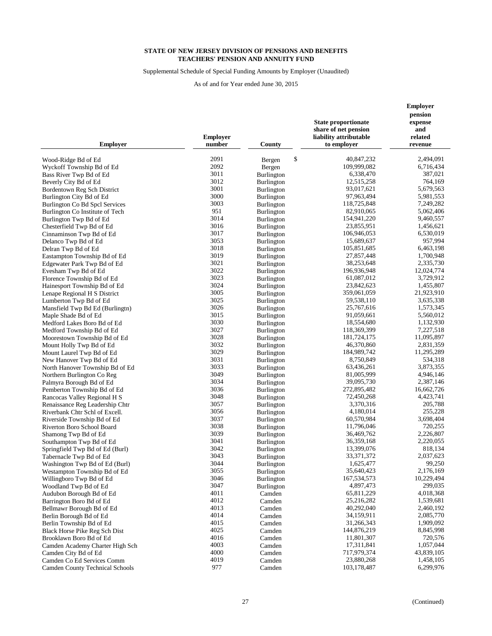Supplemental Schedule of Special Funding Amounts by Employer (Unaudited)

| <b>Employer</b>                                  | <b>Employer</b><br>number | County                                 | <b>State proportionate</b><br>share of net pension<br>liability attributable<br>to employer | <b>Employer</b><br>pension<br>expense<br>and<br>related<br>revenue |
|--------------------------------------------------|---------------------------|----------------------------------------|---------------------------------------------------------------------------------------------|--------------------------------------------------------------------|
|                                                  | 2091                      | \$                                     | 40,847,232                                                                                  | 2,494,091                                                          |
| Wood-Ridge Bd of Ed                              | 2092                      | Bergen                                 | 109,999,082                                                                                 | 6,716,434                                                          |
| Wyckoff Township Bd of Ed                        | 3011                      | Bergen<br>Burlington                   | 6,338,470                                                                                   | 387,021                                                            |
| Bass River Twp Bd of Ed<br>Beverly City Bd of Ed | 3012                      | <b>Burlington</b>                      | 12,515,258                                                                                  | 764,169                                                            |
| Bordentown Reg Sch District                      | 3001                      | <b>Burlington</b>                      | 93,017,621                                                                                  | 5,679,563                                                          |
| Burlington City Bd of Ed                         | 3000                      | Burlington                             | 97,963,494                                                                                  | 5,981,553                                                          |
| Burlington Co Bd Spcl Services                   | 3003                      | <b>Burlington</b>                      | 118,725,848                                                                                 | 7,249,282                                                          |
| Burlington Co Institute of Tech                  | 951                       | <b>Burlington</b>                      | 82,910,065                                                                                  | 5,062,406                                                          |
| Burlington Twp Bd of Ed                          | 3014                      | Burlington                             | 154,941,220                                                                                 | 9,460,557                                                          |
| Chesterfield Twp Bd of Ed                        | 3016                      | <b>Burlington</b>                      | 23,855,951                                                                                  | 1,456,621                                                          |
| Cinnaminson Twp Bd of Ed                         | 3017                      | <b>Burlington</b>                      | 106,946,053                                                                                 | 6,530,019                                                          |
| Delanco Twp Bd of Ed                             | 3053                      | Burlington                             | 15,689,637                                                                                  | 957,994                                                            |
| Delran Twp Bd of Ed                              | 3018                      | Burlington                             | 105,851,685                                                                                 | 6,463,198                                                          |
| Eastampton Township Bd of Ed                     | 3019                      | Burlington                             | 27,857,448                                                                                  | 1,700,948                                                          |
| Edgewater Park Twp Bd of Ed                      | 3021                      | <b>Burlington</b>                      | 38,253,648                                                                                  | 2,335,730                                                          |
| Evesham Twp Bd of Ed                             | 3022                      | <b>Burlington</b>                      | 196,936,948                                                                                 | 12,024,774                                                         |
| Florence Township Bd of Ed                       | 3023                      | Burlington                             | 61,087,012                                                                                  | 3,729,912                                                          |
| Hainesport Township Bd of Ed                     | 3024                      | Burlington                             | 23,842,623                                                                                  | 1,455,807                                                          |
| Lenape Regional H S District                     | 3005                      | <b>Burlington</b>                      | 359,061,059                                                                                 | 21,923,910                                                         |
| Lumberton Twp Bd of Ed                           | 3025                      | Burlington                             | 59,538,110                                                                                  | 3,635,338                                                          |
| Mansfield Twp Bd Ed (Burlingtn)                  | 3026                      | <b>Burlington</b>                      | 25,767,616                                                                                  | 1,573,345                                                          |
| Maple Shade Bd of Ed                             | 3015                      | Burlington                             | 91,059,661                                                                                  | 5,560,012                                                          |
| Medford Lakes Boro Bd of Ed                      | 3030                      | Burlington                             | 18,554,680                                                                                  | 1,132,930                                                          |
| Medford Township Bd of Ed                        | 3027                      | <b>Burlington</b>                      | 118,369,399                                                                                 | 7,227,518                                                          |
| Moorestown Township Bd of Ed                     | 3028                      | Burlington                             | 181,724,175                                                                                 | 11,095,897                                                         |
| Mount Holly Twp Bd of Ed                         | 3032                      | <b>Burlington</b>                      | 46,370,860                                                                                  | 2,831,359                                                          |
| Mount Laurel Twp Bd of Ed                        | 3029                      | <b>Burlington</b>                      | 184,989,742                                                                                 | 11,295,289                                                         |
| New Hanover Twp Bd of Ed                         | 3031                      | <b>Burlington</b>                      | 8,750,849                                                                                   | 534,318                                                            |
| North Hanover Township Bd of Ed                  | 3033                      | Burlington                             | 63,436,261                                                                                  | 3,873,355                                                          |
| Northern Burlington Co Reg                       | 3049                      | <b>Burlington</b>                      | 81,005,999                                                                                  | 4,946,146                                                          |
| Palmyra Borough Bd of Ed                         | 3034                      | <b>Burlington</b>                      | 39,095,730                                                                                  | 2,387,146                                                          |
| Pemberton Township Bd of Ed                      | 3036                      | Burlington                             | 272,895,482                                                                                 | 16,662,726                                                         |
| Rancocas Valley Regional H S                     | 3048                      | <b>Burlington</b>                      | 72,450,268                                                                                  | 4,423,741                                                          |
| Renaissance Reg Leadership Chtr                  | 3057                      | <b>Burlington</b>                      | 3,370,316                                                                                   | 205,788                                                            |
| Riverbank Chtr Schl of Excell.                   | 3056                      | <b>Burlington</b>                      | 4,180,014                                                                                   | 255,228<br>3,698,404                                               |
| Riverside Township Bd of Ed                      | 3037                      | <b>Burlington</b>                      | 60,570,984                                                                                  |                                                                    |
| Riverton Boro School Board                       | 3038<br>3039              | <b>Burlington</b>                      | 11,796,046<br>36,469,762                                                                    | 720,255<br>2,226,807                                               |
| Shamong Twp Bd of Ed<br>Southampton Twp Bd of Ed | 3041                      | <b>Burlington</b>                      | 36,359,168                                                                                  | 2,220,055                                                          |
| Springfield Twp Bd of Ed (Burl)                  | 3042                      | <b>Burlington</b><br><b>Burlington</b> | 13,399,076                                                                                  | 818,134                                                            |
| Tabernacle Twp Bd of Ed                          | 3043                      | <b>Burlington</b>                      | 33, 371, 372                                                                                | 2,037,623                                                          |
| Washington Twp Bd of Ed (Burl)                   | 3044                      | Burlington                             | 1,625,477                                                                                   | 99,250                                                             |
| Westampton Township Bd of Ed                     | 3055                      | Burlington                             | 35,640,423                                                                                  | 2,176,169                                                          |
| Willingboro Twp Bd of Ed                         | 3046                      | Burlington                             | 167,534,573                                                                                 | 10,229,494                                                         |
| Woodland Twp Bd of Ed                            | 3047                      | Burlington                             | 4,897,473                                                                                   | 299,035                                                            |
| Audubon Borough Bd of Ed                         | 4011                      | Camden                                 | 65,811,229                                                                                  | 4,018,368                                                          |
| Barrington Boro Bd of Ed                         | 4012                      | Camden                                 | 25,216,282                                                                                  | 1,539,681                                                          |
| Bellmawr Borough Bd of Ed                        | 4013                      | Camden                                 | 40,292,040                                                                                  | 2,460,192                                                          |
| Berlin Borough Bd of Ed                          | 4014                      | Camden                                 | 34,159,911                                                                                  | 2,085,770                                                          |
| Berlin Township Bd of Ed                         | 4015                      | Camden                                 | 31,266,343                                                                                  | 1,909,092                                                          |
| <b>Black Horse Pike Reg Sch Dist</b>             | 4025                      | Camden                                 | 144,876,219                                                                                 | 8,845,998                                                          |
| Brooklawn Boro Bd of Ed                          | 4016                      | Camden                                 | 11,801,307                                                                                  | 720,576                                                            |
| Camden Academy Charter High Sch                  | 4003                      | Camden                                 | 17,311,841                                                                                  | 1,057,044                                                          |
| Camden City Bd of Ed                             | 4000                      | Camden                                 | 717,979,374                                                                                 | 43,839,105                                                         |
| Camden Co Ed Services Comm                       | 4019                      | Camden                                 | 23,880,268                                                                                  | 1,458,105                                                          |
| <b>Camden County Technical Schools</b>           | 977                       | Camden                                 | 103,178,487                                                                                 | 6,299,976                                                          |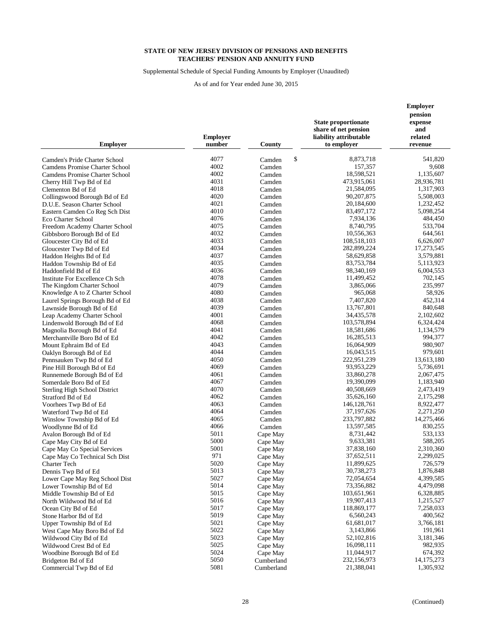Supplemental Schedule of Special Funding Amounts by Employer (Unaudited)

| 4077<br>\$<br>8,873,718<br>541.820<br>Camden's Pride Charter School<br>Camden<br>4002<br>157,357<br>9,608<br>Camdens Promise Charter School<br>Camden<br>4002<br>18,598,521<br>Camdens Promise Charter School<br>Camden<br>1,135,607<br>4031<br>473,915,061<br>28,936,781<br>Cherry Hill Twp Bd of Ed<br>Camden<br>4018<br>21,584,095<br>1,317,903<br>Clementon Bd of Ed<br>Camden<br>4020<br>90, 207, 875<br>5,508,003<br>Collingswood Borough Bd of Ed<br>Camden<br>4021<br>20,184,600<br>1,232,452<br>Camden<br>D.U.E. Season Charter School<br>4010<br>83,497,172<br>5,098,254<br>Camden<br>Eastern Camden Co Reg Sch Dist<br>4076<br>7,934,136<br>484,450<br>Camden<br>Eco Charter School<br>4075<br>533,704<br>8,740,795<br>Camden<br>Freedom Academy Charter School<br>4032<br>10,556,363<br>644,561<br>Gibbsboro Borough Bd of Ed<br>Camden<br>4033<br>108,518,103<br>6,626,007<br>Camden<br>Gloucester City Bd of Ed<br>4034<br>282,899,224<br>17,273,545<br>Gloucester Twp Bd of Ed<br>Camden<br>4037<br>58,629,858<br>3,579,881<br>Camden<br>Haddon Heights Bd of Ed<br>4035<br>83,753,784<br>5,113,923<br>Camden<br>Haddon Township Bd of Ed<br>4036<br>98,340,169<br>6,004,553<br>Haddonfield Bd of Ed<br>Camden<br>4078<br>11,499,452<br>702,145<br>Institute For Excellence Ch Sch<br>Camden<br>4079<br>235,997<br>The Kingdom Charter School<br>3,865,066<br>Camden<br>4080<br>Knowledge A to Z Charter School<br>965,068<br>58,926<br>Camden<br>4038<br>7,407,820<br>452,314<br>Camden<br>Laurel Springs Borough Bd of Ed<br>4039<br>840,648<br>13,767,801<br>Camden<br>Lawnside Borough Bd of Ed<br>4001<br>34,435,578<br>2,102,602<br>Leap Academy Charter School<br>Camden<br>4068<br>Camden<br>103,578,894<br>6,324,424<br>Lindenwold Borough Bd of Ed<br>4041<br>18,581,686<br>1,134,579<br>Camden<br>Magnolia Borough Bd of Ed<br>4042<br>16,285,513<br>994,377<br>Merchantville Boro Bd of Ed<br>Camden<br>4043<br>980,907<br>Camden<br>16,064,909<br>Mount Ephraim Bd of Ed<br>4044<br>16,043,515<br>979,601<br>Camden<br>Oaklyn Borough Bd of Ed<br>4050<br>222,951,239<br>13,613,180<br>Camden<br>Pennsauken Twp Bd of Ed<br>4069<br>93,953,229<br>5,736,691<br>Camden<br>Pine Hill Borough Bd of Ed<br>4061<br>33,860,278<br>2,067,475<br>Camden<br>Runnemede Borough Bd of Ed<br>4067<br>19,390,099<br>1,183,940<br>Camden<br>Somerdale Boro Bd of Ed<br>4070<br>40,508,669<br>2,473,419<br>Camden<br><b>Sterling High School District</b><br>4062<br>35,626,160<br>Camden<br>2,175,298<br>Stratford Bd of Ed<br>4063<br>146, 128, 761<br>8,922,477<br>Camden<br>Voorhees Twp Bd of Ed<br>4064<br>37, 197, 626<br>2,271,250<br>Waterford Twp Bd of Ed<br>Camden<br>4065<br>233,797,882<br>14,275,466<br>Camden<br>Winslow Township Bd of Ed<br>4066<br>13,597,585<br>830,255<br>Camden<br>Woodlynne Bd of Ed<br>5011<br>8,731,442<br>533,133<br>Cape May<br>Avalon Borough Bd of Ed<br>5000<br>9,633,381<br>588,205<br>Cape May City Bd of Ed<br>Cape May<br>5001<br>37,838,160<br>2,310,360<br>Cape May Co Special Services<br>Cape May<br>971<br>37,652,511<br>2,299,025<br>Cape May Co Technical Sch Dist<br>Cape May<br>5020<br>11,899,625<br>726,579<br>Charter Tech<br>Cape May<br>5013<br>30,738,273<br>1,876,848<br>Dennis Twp Bd of Ed<br>Cape May<br>5027<br>72,054,654<br>4,399,585<br>Lower Cape May Reg School Dist<br>Cape May<br>5014<br>73,356,882<br>4,479,098<br>Lower Township Bd of Ed<br>Cape May<br>5015<br>103,651,961<br>Middle Township Bd of Ed<br>Cape May<br>6,328,885<br>5016<br>19,907,413<br>1,215,527<br>North Wildwood Bd of Ed<br>Cape May<br>5017<br>118,869,177<br>7,258,033<br>Ocean City Bd of Ed<br>Cape May<br>5019<br>6,560,243<br>400,562<br>Stone Harbor Bd of Ed<br>Cape May<br>5021<br>61,681,017<br>3,766,181<br>Cape May<br>Upper Township Bd of Ed<br>5022<br>3,143,866<br>191,961<br>Cape May<br>West Cape May Boro Bd of Ed<br>5023<br>52,102,816<br>3,181,346<br>Wildwood City Bd of Ed<br>Cape May<br>5025<br>982,935<br>16,098,111<br>Wildwood Crest Bd of Ed<br>Cape May<br>5024<br>11,044,917<br>674,392<br>Woodbine Borough Bd of Ed<br>Cape May<br>5050<br>232,156,973<br>14, 175, 273<br>Cumberland<br>Bridgeton Bd of Ed<br>5081<br>21,388,041<br>1,305,932<br>Commercial Twp Bd of Ed<br>Cumberland | <b>Employer</b> | <b>Employer</b><br>number | County | <b>State proportionate</b><br>share of net pension<br>liability attributable<br>to employer | <b>Employer</b><br>pension<br>expense<br>and<br>related<br>revenue |
|----------------------------------------------------------------------------------------------------------------------------------------------------------------------------------------------------------------------------------------------------------------------------------------------------------------------------------------------------------------------------------------------------------------------------------------------------------------------------------------------------------------------------------------------------------------------------------------------------------------------------------------------------------------------------------------------------------------------------------------------------------------------------------------------------------------------------------------------------------------------------------------------------------------------------------------------------------------------------------------------------------------------------------------------------------------------------------------------------------------------------------------------------------------------------------------------------------------------------------------------------------------------------------------------------------------------------------------------------------------------------------------------------------------------------------------------------------------------------------------------------------------------------------------------------------------------------------------------------------------------------------------------------------------------------------------------------------------------------------------------------------------------------------------------------------------------------------------------------------------------------------------------------------------------------------------------------------------------------------------------------------------------------------------------------------------------------------------------------------------------------------------------------------------------------------------------------------------------------------------------------------------------------------------------------------------------------------------------------------------------------------------------------------------------------------------------------------------------------------------------------------------------------------------------------------------------------------------------------------------------------------------------------------------------------------------------------------------------------------------------------------------------------------------------------------------------------------------------------------------------------------------------------------------------------------------------------------------------------------------------------------------------------------------------------------------------------------------------------------------------------------------------------------------------------------------------------------------------------------------------------------------------------------------------------------------------------------------------------------------------------------------------------------------------------------------------------------------------------------------------------------------------------------------------------------------------------------------------------------------------------------------------------------------------------------------------------------------------------------------------------------------------------------------------------------------------------------------------------------------------------------------------------------------------------------------------------------------------------------------------------------------------------------------------------------------------------------------------------------------------------------------------------------------------------------------------------------------------------------------------------------------------------------------------|-----------------|---------------------------|--------|---------------------------------------------------------------------------------------------|--------------------------------------------------------------------|
|                                                                                                                                                                                                                                                                                                                                                                                                                                                                                                                                                                                                                                                                                                                                                                                                                                                                                                                                                                                                                                                                                                                                                                                                                                                                                                                                                                                                                                                                                                                                                                                                                                                                                                                                                                                                                                                                                                                                                                                                                                                                                                                                                                                                                                                                                                                                                                                                                                                                                                                                                                                                                                                                                                                                                                                                                                                                                                                                                                                                                                                                                                                                                                                                                                                                                                                                                                                                                                                                                                                                                                                                                                                                                                                                                                                                                                                                                                                                                                                                                                                                                                                                                                                                                                                                                              |                 |                           |        |                                                                                             |                                                                    |
|                                                                                                                                                                                                                                                                                                                                                                                                                                                                                                                                                                                                                                                                                                                                                                                                                                                                                                                                                                                                                                                                                                                                                                                                                                                                                                                                                                                                                                                                                                                                                                                                                                                                                                                                                                                                                                                                                                                                                                                                                                                                                                                                                                                                                                                                                                                                                                                                                                                                                                                                                                                                                                                                                                                                                                                                                                                                                                                                                                                                                                                                                                                                                                                                                                                                                                                                                                                                                                                                                                                                                                                                                                                                                                                                                                                                                                                                                                                                                                                                                                                                                                                                                                                                                                                                                              |                 |                           |        |                                                                                             |                                                                    |
|                                                                                                                                                                                                                                                                                                                                                                                                                                                                                                                                                                                                                                                                                                                                                                                                                                                                                                                                                                                                                                                                                                                                                                                                                                                                                                                                                                                                                                                                                                                                                                                                                                                                                                                                                                                                                                                                                                                                                                                                                                                                                                                                                                                                                                                                                                                                                                                                                                                                                                                                                                                                                                                                                                                                                                                                                                                                                                                                                                                                                                                                                                                                                                                                                                                                                                                                                                                                                                                                                                                                                                                                                                                                                                                                                                                                                                                                                                                                                                                                                                                                                                                                                                                                                                                                                              |                 |                           |        |                                                                                             |                                                                    |
|                                                                                                                                                                                                                                                                                                                                                                                                                                                                                                                                                                                                                                                                                                                                                                                                                                                                                                                                                                                                                                                                                                                                                                                                                                                                                                                                                                                                                                                                                                                                                                                                                                                                                                                                                                                                                                                                                                                                                                                                                                                                                                                                                                                                                                                                                                                                                                                                                                                                                                                                                                                                                                                                                                                                                                                                                                                                                                                                                                                                                                                                                                                                                                                                                                                                                                                                                                                                                                                                                                                                                                                                                                                                                                                                                                                                                                                                                                                                                                                                                                                                                                                                                                                                                                                                                              |                 |                           |        |                                                                                             |                                                                    |
|                                                                                                                                                                                                                                                                                                                                                                                                                                                                                                                                                                                                                                                                                                                                                                                                                                                                                                                                                                                                                                                                                                                                                                                                                                                                                                                                                                                                                                                                                                                                                                                                                                                                                                                                                                                                                                                                                                                                                                                                                                                                                                                                                                                                                                                                                                                                                                                                                                                                                                                                                                                                                                                                                                                                                                                                                                                                                                                                                                                                                                                                                                                                                                                                                                                                                                                                                                                                                                                                                                                                                                                                                                                                                                                                                                                                                                                                                                                                                                                                                                                                                                                                                                                                                                                                                              |                 |                           |        |                                                                                             |                                                                    |
|                                                                                                                                                                                                                                                                                                                                                                                                                                                                                                                                                                                                                                                                                                                                                                                                                                                                                                                                                                                                                                                                                                                                                                                                                                                                                                                                                                                                                                                                                                                                                                                                                                                                                                                                                                                                                                                                                                                                                                                                                                                                                                                                                                                                                                                                                                                                                                                                                                                                                                                                                                                                                                                                                                                                                                                                                                                                                                                                                                                                                                                                                                                                                                                                                                                                                                                                                                                                                                                                                                                                                                                                                                                                                                                                                                                                                                                                                                                                                                                                                                                                                                                                                                                                                                                                                              |                 |                           |        |                                                                                             |                                                                    |
|                                                                                                                                                                                                                                                                                                                                                                                                                                                                                                                                                                                                                                                                                                                                                                                                                                                                                                                                                                                                                                                                                                                                                                                                                                                                                                                                                                                                                                                                                                                                                                                                                                                                                                                                                                                                                                                                                                                                                                                                                                                                                                                                                                                                                                                                                                                                                                                                                                                                                                                                                                                                                                                                                                                                                                                                                                                                                                                                                                                                                                                                                                                                                                                                                                                                                                                                                                                                                                                                                                                                                                                                                                                                                                                                                                                                                                                                                                                                                                                                                                                                                                                                                                                                                                                                                              |                 |                           |        |                                                                                             |                                                                    |
|                                                                                                                                                                                                                                                                                                                                                                                                                                                                                                                                                                                                                                                                                                                                                                                                                                                                                                                                                                                                                                                                                                                                                                                                                                                                                                                                                                                                                                                                                                                                                                                                                                                                                                                                                                                                                                                                                                                                                                                                                                                                                                                                                                                                                                                                                                                                                                                                                                                                                                                                                                                                                                                                                                                                                                                                                                                                                                                                                                                                                                                                                                                                                                                                                                                                                                                                                                                                                                                                                                                                                                                                                                                                                                                                                                                                                                                                                                                                                                                                                                                                                                                                                                                                                                                                                              |                 |                           |        |                                                                                             |                                                                    |
|                                                                                                                                                                                                                                                                                                                                                                                                                                                                                                                                                                                                                                                                                                                                                                                                                                                                                                                                                                                                                                                                                                                                                                                                                                                                                                                                                                                                                                                                                                                                                                                                                                                                                                                                                                                                                                                                                                                                                                                                                                                                                                                                                                                                                                                                                                                                                                                                                                                                                                                                                                                                                                                                                                                                                                                                                                                                                                                                                                                                                                                                                                                                                                                                                                                                                                                                                                                                                                                                                                                                                                                                                                                                                                                                                                                                                                                                                                                                                                                                                                                                                                                                                                                                                                                                                              |                 |                           |        |                                                                                             |                                                                    |
|                                                                                                                                                                                                                                                                                                                                                                                                                                                                                                                                                                                                                                                                                                                                                                                                                                                                                                                                                                                                                                                                                                                                                                                                                                                                                                                                                                                                                                                                                                                                                                                                                                                                                                                                                                                                                                                                                                                                                                                                                                                                                                                                                                                                                                                                                                                                                                                                                                                                                                                                                                                                                                                                                                                                                                                                                                                                                                                                                                                                                                                                                                                                                                                                                                                                                                                                                                                                                                                                                                                                                                                                                                                                                                                                                                                                                                                                                                                                                                                                                                                                                                                                                                                                                                                                                              |                 |                           |        |                                                                                             |                                                                    |
|                                                                                                                                                                                                                                                                                                                                                                                                                                                                                                                                                                                                                                                                                                                                                                                                                                                                                                                                                                                                                                                                                                                                                                                                                                                                                                                                                                                                                                                                                                                                                                                                                                                                                                                                                                                                                                                                                                                                                                                                                                                                                                                                                                                                                                                                                                                                                                                                                                                                                                                                                                                                                                                                                                                                                                                                                                                                                                                                                                                                                                                                                                                                                                                                                                                                                                                                                                                                                                                                                                                                                                                                                                                                                                                                                                                                                                                                                                                                                                                                                                                                                                                                                                                                                                                                                              |                 |                           |        |                                                                                             |                                                                    |
|                                                                                                                                                                                                                                                                                                                                                                                                                                                                                                                                                                                                                                                                                                                                                                                                                                                                                                                                                                                                                                                                                                                                                                                                                                                                                                                                                                                                                                                                                                                                                                                                                                                                                                                                                                                                                                                                                                                                                                                                                                                                                                                                                                                                                                                                                                                                                                                                                                                                                                                                                                                                                                                                                                                                                                                                                                                                                                                                                                                                                                                                                                                                                                                                                                                                                                                                                                                                                                                                                                                                                                                                                                                                                                                                                                                                                                                                                                                                                                                                                                                                                                                                                                                                                                                                                              |                 |                           |        |                                                                                             |                                                                    |
|                                                                                                                                                                                                                                                                                                                                                                                                                                                                                                                                                                                                                                                                                                                                                                                                                                                                                                                                                                                                                                                                                                                                                                                                                                                                                                                                                                                                                                                                                                                                                                                                                                                                                                                                                                                                                                                                                                                                                                                                                                                                                                                                                                                                                                                                                                                                                                                                                                                                                                                                                                                                                                                                                                                                                                                                                                                                                                                                                                                                                                                                                                                                                                                                                                                                                                                                                                                                                                                                                                                                                                                                                                                                                                                                                                                                                                                                                                                                                                                                                                                                                                                                                                                                                                                                                              |                 |                           |        |                                                                                             |                                                                    |
|                                                                                                                                                                                                                                                                                                                                                                                                                                                                                                                                                                                                                                                                                                                                                                                                                                                                                                                                                                                                                                                                                                                                                                                                                                                                                                                                                                                                                                                                                                                                                                                                                                                                                                                                                                                                                                                                                                                                                                                                                                                                                                                                                                                                                                                                                                                                                                                                                                                                                                                                                                                                                                                                                                                                                                                                                                                                                                                                                                                                                                                                                                                                                                                                                                                                                                                                                                                                                                                                                                                                                                                                                                                                                                                                                                                                                                                                                                                                                                                                                                                                                                                                                                                                                                                                                              |                 |                           |        |                                                                                             |                                                                    |
|                                                                                                                                                                                                                                                                                                                                                                                                                                                                                                                                                                                                                                                                                                                                                                                                                                                                                                                                                                                                                                                                                                                                                                                                                                                                                                                                                                                                                                                                                                                                                                                                                                                                                                                                                                                                                                                                                                                                                                                                                                                                                                                                                                                                                                                                                                                                                                                                                                                                                                                                                                                                                                                                                                                                                                                                                                                                                                                                                                                                                                                                                                                                                                                                                                                                                                                                                                                                                                                                                                                                                                                                                                                                                                                                                                                                                                                                                                                                                                                                                                                                                                                                                                                                                                                                                              |                 |                           |        |                                                                                             |                                                                    |
|                                                                                                                                                                                                                                                                                                                                                                                                                                                                                                                                                                                                                                                                                                                                                                                                                                                                                                                                                                                                                                                                                                                                                                                                                                                                                                                                                                                                                                                                                                                                                                                                                                                                                                                                                                                                                                                                                                                                                                                                                                                                                                                                                                                                                                                                                                                                                                                                                                                                                                                                                                                                                                                                                                                                                                                                                                                                                                                                                                                                                                                                                                                                                                                                                                                                                                                                                                                                                                                                                                                                                                                                                                                                                                                                                                                                                                                                                                                                                                                                                                                                                                                                                                                                                                                                                              |                 |                           |        |                                                                                             |                                                                    |
|                                                                                                                                                                                                                                                                                                                                                                                                                                                                                                                                                                                                                                                                                                                                                                                                                                                                                                                                                                                                                                                                                                                                                                                                                                                                                                                                                                                                                                                                                                                                                                                                                                                                                                                                                                                                                                                                                                                                                                                                                                                                                                                                                                                                                                                                                                                                                                                                                                                                                                                                                                                                                                                                                                                                                                                                                                                                                                                                                                                                                                                                                                                                                                                                                                                                                                                                                                                                                                                                                                                                                                                                                                                                                                                                                                                                                                                                                                                                                                                                                                                                                                                                                                                                                                                                                              |                 |                           |        |                                                                                             |                                                                    |
|                                                                                                                                                                                                                                                                                                                                                                                                                                                                                                                                                                                                                                                                                                                                                                                                                                                                                                                                                                                                                                                                                                                                                                                                                                                                                                                                                                                                                                                                                                                                                                                                                                                                                                                                                                                                                                                                                                                                                                                                                                                                                                                                                                                                                                                                                                                                                                                                                                                                                                                                                                                                                                                                                                                                                                                                                                                                                                                                                                                                                                                                                                                                                                                                                                                                                                                                                                                                                                                                                                                                                                                                                                                                                                                                                                                                                                                                                                                                                                                                                                                                                                                                                                                                                                                                                              |                 |                           |        |                                                                                             |                                                                    |
|                                                                                                                                                                                                                                                                                                                                                                                                                                                                                                                                                                                                                                                                                                                                                                                                                                                                                                                                                                                                                                                                                                                                                                                                                                                                                                                                                                                                                                                                                                                                                                                                                                                                                                                                                                                                                                                                                                                                                                                                                                                                                                                                                                                                                                                                                                                                                                                                                                                                                                                                                                                                                                                                                                                                                                                                                                                                                                                                                                                                                                                                                                                                                                                                                                                                                                                                                                                                                                                                                                                                                                                                                                                                                                                                                                                                                                                                                                                                                                                                                                                                                                                                                                                                                                                                                              |                 |                           |        |                                                                                             |                                                                    |
|                                                                                                                                                                                                                                                                                                                                                                                                                                                                                                                                                                                                                                                                                                                                                                                                                                                                                                                                                                                                                                                                                                                                                                                                                                                                                                                                                                                                                                                                                                                                                                                                                                                                                                                                                                                                                                                                                                                                                                                                                                                                                                                                                                                                                                                                                                                                                                                                                                                                                                                                                                                                                                                                                                                                                                                                                                                                                                                                                                                                                                                                                                                                                                                                                                                                                                                                                                                                                                                                                                                                                                                                                                                                                                                                                                                                                                                                                                                                                                                                                                                                                                                                                                                                                                                                                              |                 |                           |        |                                                                                             |                                                                    |
|                                                                                                                                                                                                                                                                                                                                                                                                                                                                                                                                                                                                                                                                                                                                                                                                                                                                                                                                                                                                                                                                                                                                                                                                                                                                                                                                                                                                                                                                                                                                                                                                                                                                                                                                                                                                                                                                                                                                                                                                                                                                                                                                                                                                                                                                                                                                                                                                                                                                                                                                                                                                                                                                                                                                                                                                                                                                                                                                                                                                                                                                                                                                                                                                                                                                                                                                                                                                                                                                                                                                                                                                                                                                                                                                                                                                                                                                                                                                                                                                                                                                                                                                                                                                                                                                                              |                 |                           |        |                                                                                             |                                                                    |
|                                                                                                                                                                                                                                                                                                                                                                                                                                                                                                                                                                                                                                                                                                                                                                                                                                                                                                                                                                                                                                                                                                                                                                                                                                                                                                                                                                                                                                                                                                                                                                                                                                                                                                                                                                                                                                                                                                                                                                                                                                                                                                                                                                                                                                                                                                                                                                                                                                                                                                                                                                                                                                                                                                                                                                                                                                                                                                                                                                                                                                                                                                                                                                                                                                                                                                                                                                                                                                                                                                                                                                                                                                                                                                                                                                                                                                                                                                                                                                                                                                                                                                                                                                                                                                                                                              |                 |                           |        |                                                                                             |                                                                    |
|                                                                                                                                                                                                                                                                                                                                                                                                                                                                                                                                                                                                                                                                                                                                                                                                                                                                                                                                                                                                                                                                                                                                                                                                                                                                                                                                                                                                                                                                                                                                                                                                                                                                                                                                                                                                                                                                                                                                                                                                                                                                                                                                                                                                                                                                                                                                                                                                                                                                                                                                                                                                                                                                                                                                                                                                                                                                                                                                                                                                                                                                                                                                                                                                                                                                                                                                                                                                                                                                                                                                                                                                                                                                                                                                                                                                                                                                                                                                                                                                                                                                                                                                                                                                                                                                                              |                 |                           |        |                                                                                             |                                                                    |
|                                                                                                                                                                                                                                                                                                                                                                                                                                                                                                                                                                                                                                                                                                                                                                                                                                                                                                                                                                                                                                                                                                                                                                                                                                                                                                                                                                                                                                                                                                                                                                                                                                                                                                                                                                                                                                                                                                                                                                                                                                                                                                                                                                                                                                                                                                                                                                                                                                                                                                                                                                                                                                                                                                                                                                                                                                                                                                                                                                                                                                                                                                                                                                                                                                                                                                                                                                                                                                                                                                                                                                                                                                                                                                                                                                                                                                                                                                                                                                                                                                                                                                                                                                                                                                                                                              |                 |                           |        |                                                                                             |                                                                    |
|                                                                                                                                                                                                                                                                                                                                                                                                                                                                                                                                                                                                                                                                                                                                                                                                                                                                                                                                                                                                                                                                                                                                                                                                                                                                                                                                                                                                                                                                                                                                                                                                                                                                                                                                                                                                                                                                                                                                                                                                                                                                                                                                                                                                                                                                                                                                                                                                                                                                                                                                                                                                                                                                                                                                                                                                                                                                                                                                                                                                                                                                                                                                                                                                                                                                                                                                                                                                                                                                                                                                                                                                                                                                                                                                                                                                                                                                                                                                                                                                                                                                                                                                                                                                                                                                                              |                 |                           |        |                                                                                             |                                                                    |
|                                                                                                                                                                                                                                                                                                                                                                                                                                                                                                                                                                                                                                                                                                                                                                                                                                                                                                                                                                                                                                                                                                                                                                                                                                                                                                                                                                                                                                                                                                                                                                                                                                                                                                                                                                                                                                                                                                                                                                                                                                                                                                                                                                                                                                                                                                                                                                                                                                                                                                                                                                                                                                                                                                                                                                                                                                                                                                                                                                                                                                                                                                                                                                                                                                                                                                                                                                                                                                                                                                                                                                                                                                                                                                                                                                                                                                                                                                                                                                                                                                                                                                                                                                                                                                                                                              |                 |                           |        |                                                                                             |                                                                    |
|                                                                                                                                                                                                                                                                                                                                                                                                                                                                                                                                                                                                                                                                                                                                                                                                                                                                                                                                                                                                                                                                                                                                                                                                                                                                                                                                                                                                                                                                                                                                                                                                                                                                                                                                                                                                                                                                                                                                                                                                                                                                                                                                                                                                                                                                                                                                                                                                                                                                                                                                                                                                                                                                                                                                                                                                                                                                                                                                                                                                                                                                                                                                                                                                                                                                                                                                                                                                                                                                                                                                                                                                                                                                                                                                                                                                                                                                                                                                                                                                                                                                                                                                                                                                                                                                                              |                 |                           |        |                                                                                             |                                                                    |
|                                                                                                                                                                                                                                                                                                                                                                                                                                                                                                                                                                                                                                                                                                                                                                                                                                                                                                                                                                                                                                                                                                                                                                                                                                                                                                                                                                                                                                                                                                                                                                                                                                                                                                                                                                                                                                                                                                                                                                                                                                                                                                                                                                                                                                                                                                                                                                                                                                                                                                                                                                                                                                                                                                                                                                                                                                                                                                                                                                                                                                                                                                                                                                                                                                                                                                                                                                                                                                                                                                                                                                                                                                                                                                                                                                                                                                                                                                                                                                                                                                                                                                                                                                                                                                                                                              |                 |                           |        |                                                                                             |                                                                    |
|                                                                                                                                                                                                                                                                                                                                                                                                                                                                                                                                                                                                                                                                                                                                                                                                                                                                                                                                                                                                                                                                                                                                                                                                                                                                                                                                                                                                                                                                                                                                                                                                                                                                                                                                                                                                                                                                                                                                                                                                                                                                                                                                                                                                                                                                                                                                                                                                                                                                                                                                                                                                                                                                                                                                                                                                                                                                                                                                                                                                                                                                                                                                                                                                                                                                                                                                                                                                                                                                                                                                                                                                                                                                                                                                                                                                                                                                                                                                                                                                                                                                                                                                                                                                                                                                                              |                 |                           |        |                                                                                             |                                                                    |
|                                                                                                                                                                                                                                                                                                                                                                                                                                                                                                                                                                                                                                                                                                                                                                                                                                                                                                                                                                                                                                                                                                                                                                                                                                                                                                                                                                                                                                                                                                                                                                                                                                                                                                                                                                                                                                                                                                                                                                                                                                                                                                                                                                                                                                                                                                                                                                                                                                                                                                                                                                                                                                                                                                                                                                                                                                                                                                                                                                                                                                                                                                                                                                                                                                                                                                                                                                                                                                                                                                                                                                                                                                                                                                                                                                                                                                                                                                                                                                                                                                                                                                                                                                                                                                                                                              |                 |                           |        |                                                                                             |                                                                    |
|                                                                                                                                                                                                                                                                                                                                                                                                                                                                                                                                                                                                                                                                                                                                                                                                                                                                                                                                                                                                                                                                                                                                                                                                                                                                                                                                                                                                                                                                                                                                                                                                                                                                                                                                                                                                                                                                                                                                                                                                                                                                                                                                                                                                                                                                                                                                                                                                                                                                                                                                                                                                                                                                                                                                                                                                                                                                                                                                                                                                                                                                                                                                                                                                                                                                                                                                                                                                                                                                                                                                                                                                                                                                                                                                                                                                                                                                                                                                                                                                                                                                                                                                                                                                                                                                                              |                 |                           |        |                                                                                             |                                                                    |
|                                                                                                                                                                                                                                                                                                                                                                                                                                                                                                                                                                                                                                                                                                                                                                                                                                                                                                                                                                                                                                                                                                                                                                                                                                                                                                                                                                                                                                                                                                                                                                                                                                                                                                                                                                                                                                                                                                                                                                                                                                                                                                                                                                                                                                                                                                                                                                                                                                                                                                                                                                                                                                                                                                                                                                                                                                                                                                                                                                                                                                                                                                                                                                                                                                                                                                                                                                                                                                                                                                                                                                                                                                                                                                                                                                                                                                                                                                                                                                                                                                                                                                                                                                                                                                                                                              |                 |                           |        |                                                                                             |                                                                    |
|                                                                                                                                                                                                                                                                                                                                                                                                                                                                                                                                                                                                                                                                                                                                                                                                                                                                                                                                                                                                                                                                                                                                                                                                                                                                                                                                                                                                                                                                                                                                                                                                                                                                                                                                                                                                                                                                                                                                                                                                                                                                                                                                                                                                                                                                                                                                                                                                                                                                                                                                                                                                                                                                                                                                                                                                                                                                                                                                                                                                                                                                                                                                                                                                                                                                                                                                                                                                                                                                                                                                                                                                                                                                                                                                                                                                                                                                                                                                                                                                                                                                                                                                                                                                                                                                                              |                 |                           |        |                                                                                             |                                                                    |
|                                                                                                                                                                                                                                                                                                                                                                                                                                                                                                                                                                                                                                                                                                                                                                                                                                                                                                                                                                                                                                                                                                                                                                                                                                                                                                                                                                                                                                                                                                                                                                                                                                                                                                                                                                                                                                                                                                                                                                                                                                                                                                                                                                                                                                                                                                                                                                                                                                                                                                                                                                                                                                                                                                                                                                                                                                                                                                                                                                                                                                                                                                                                                                                                                                                                                                                                                                                                                                                                                                                                                                                                                                                                                                                                                                                                                                                                                                                                                                                                                                                                                                                                                                                                                                                                                              |                 |                           |        |                                                                                             |                                                                    |
|                                                                                                                                                                                                                                                                                                                                                                                                                                                                                                                                                                                                                                                                                                                                                                                                                                                                                                                                                                                                                                                                                                                                                                                                                                                                                                                                                                                                                                                                                                                                                                                                                                                                                                                                                                                                                                                                                                                                                                                                                                                                                                                                                                                                                                                                                                                                                                                                                                                                                                                                                                                                                                                                                                                                                                                                                                                                                                                                                                                                                                                                                                                                                                                                                                                                                                                                                                                                                                                                                                                                                                                                                                                                                                                                                                                                                                                                                                                                                                                                                                                                                                                                                                                                                                                                                              |                 |                           |        |                                                                                             |                                                                    |
|                                                                                                                                                                                                                                                                                                                                                                                                                                                                                                                                                                                                                                                                                                                                                                                                                                                                                                                                                                                                                                                                                                                                                                                                                                                                                                                                                                                                                                                                                                                                                                                                                                                                                                                                                                                                                                                                                                                                                                                                                                                                                                                                                                                                                                                                                                                                                                                                                                                                                                                                                                                                                                                                                                                                                                                                                                                                                                                                                                                                                                                                                                                                                                                                                                                                                                                                                                                                                                                                                                                                                                                                                                                                                                                                                                                                                                                                                                                                                                                                                                                                                                                                                                                                                                                                                              |                 |                           |        |                                                                                             |                                                                    |
|                                                                                                                                                                                                                                                                                                                                                                                                                                                                                                                                                                                                                                                                                                                                                                                                                                                                                                                                                                                                                                                                                                                                                                                                                                                                                                                                                                                                                                                                                                                                                                                                                                                                                                                                                                                                                                                                                                                                                                                                                                                                                                                                                                                                                                                                                                                                                                                                                                                                                                                                                                                                                                                                                                                                                                                                                                                                                                                                                                                                                                                                                                                                                                                                                                                                                                                                                                                                                                                                                                                                                                                                                                                                                                                                                                                                                                                                                                                                                                                                                                                                                                                                                                                                                                                                                              |                 |                           |        |                                                                                             |                                                                    |
|                                                                                                                                                                                                                                                                                                                                                                                                                                                                                                                                                                                                                                                                                                                                                                                                                                                                                                                                                                                                                                                                                                                                                                                                                                                                                                                                                                                                                                                                                                                                                                                                                                                                                                                                                                                                                                                                                                                                                                                                                                                                                                                                                                                                                                                                                                                                                                                                                                                                                                                                                                                                                                                                                                                                                                                                                                                                                                                                                                                                                                                                                                                                                                                                                                                                                                                                                                                                                                                                                                                                                                                                                                                                                                                                                                                                                                                                                                                                                                                                                                                                                                                                                                                                                                                                                              |                 |                           |        |                                                                                             |                                                                    |
|                                                                                                                                                                                                                                                                                                                                                                                                                                                                                                                                                                                                                                                                                                                                                                                                                                                                                                                                                                                                                                                                                                                                                                                                                                                                                                                                                                                                                                                                                                                                                                                                                                                                                                                                                                                                                                                                                                                                                                                                                                                                                                                                                                                                                                                                                                                                                                                                                                                                                                                                                                                                                                                                                                                                                                                                                                                                                                                                                                                                                                                                                                                                                                                                                                                                                                                                                                                                                                                                                                                                                                                                                                                                                                                                                                                                                                                                                                                                                                                                                                                                                                                                                                                                                                                                                              |                 |                           |        |                                                                                             |                                                                    |
|                                                                                                                                                                                                                                                                                                                                                                                                                                                                                                                                                                                                                                                                                                                                                                                                                                                                                                                                                                                                                                                                                                                                                                                                                                                                                                                                                                                                                                                                                                                                                                                                                                                                                                                                                                                                                                                                                                                                                                                                                                                                                                                                                                                                                                                                                                                                                                                                                                                                                                                                                                                                                                                                                                                                                                                                                                                                                                                                                                                                                                                                                                                                                                                                                                                                                                                                                                                                                                                                                                                                                                                                                                                                                                                                                                                                                                                                                                                                                                                                                                                                                                                                                                                                                                                                                              |                 |                           |        |                                                                                             |                                                                    |
|                                                                                                                                                                                                                                                                                                                                                                                                                                                                                                                                                                                                                                                                                                                                                                                                                                                                                                                                                                                                                                                                                                                                                                                                                                                                                                                                                                                                                                                                                                                                                                                                                                                                                                                                                                                                                                                                                                                                                                                                                                                                                                                                                                                                                                                                                                                                                                                                                                                                                                                                                                                                                                                                                                                                                                                                                                                                                                                                                                                                                                                                                                                                                                                                                                                                                                                                                                                                                                                                                                                                                                                                                                                                                                                                                                                                                                                                                                                                                                                                                                                                                                                                                                                                                                                                                              |                 |                           |        |                                                                                             |                                                                    |
|                                                                                                                                                                                                                                                                                                                                                                                                                                                                                                                                                                                                                                                                                                                                                                                                                                                                                                                                                                                                                                                                                                                                                                                                                                                                                                                                                                                                                                                                                                                                                                                                                                                                                                                                                                                                                                                                                                                                                                                                                                                                                                                                                                                                                                                                                                                                                                                                                                                                                                                                                                                                                                                                                                                                                                                                                                                                                                                                                                                                                                                                                                                                                                                                                                                                                                                                                                                                                                                                                                                                                                                                                                                                                                                                                                                                                                                                                                                                                                                                                                                                                                                                                                                                                                                                                              |                 |                           |        |                                                                                             |                                                                    |
|                                                                                                                                                                                                                                                                                                                                                                                                                                                                                                                                                                                                                                                                                                                                                                                                                                                                                                                                                                                                                                                                                                                                                                                                                                                                                                                                                                                                                                                                                                                                                                                                                                                                                                                                                                                                                                                                                                                                                                                                                                                                                                                                                                                                                                                                                                                                                                                                                                                                                                                                                                                                                                                                                                                                                                                                                                                                                                                                                                                                                                                                                                                                                                                                                                                                                                                                                                                                                                                                                                                                                                                                                                                                                                                                                                                                                                                                                                                                                                                                                                                                                                                                                                                                                                                                                              |                 |                           |        |                                                                                             |                                                                    |
|                                                                                                                                                                                                                                                                                                                                                                                                                                                                                                                                                                                                                                                                                                                                                                                                                                                                                                                                                                                                                                                                                                                                                                                                                                                                                                                                                                                                                                                                                                                                                                                                                                                                                                                                                                                                                                                                                                                                                                                                                                                                                                                                                                                                                                                                                                                                                                                                                                                                                                                                                                                                                                                                                                                                                                                                                                                                                                                                                                                                                                                                                                                                                                                                                                                                                                                                                                                                                                                                                                                                                                                                                                                                                                                                                                                                                                                                                                                                                                                                                                                                                                                                                                                                                                                                                              |                 |                           |        |                                                                                             |                                                                    |
|                                                                                                                                                                                                                                                                                                                                                                                                                                                                                                                                                                                                                                                                                                                                                                                                                                                                                                                                                                                                                                                                                                                                                                                                                                                                                                                                                                                                                                                                                                                                                                                                                                                                                                                                                                                                                                                                                                                                                                                                                                                                                                                                                                                                                                                                                                                                                                                                                                                                                                                                                                                                                                                                                                                                                                                                                                                                                                                                                                                                                                                                                                                                                                                                                                                                                                                                                                                                                                                                                                                                                                                                                                                                                                                                                                                                                                                                                                                                                                                                                                                                                                                                                                                                                                                                                              |                 |                           |        |                                                                                             |                                                                    |
|                                                                                                                                                                                                                                                                                                                                                                                                                                                                                                                                                                                                                                                                                                                                                                                                                                                                                                                                                                                                                                                                                                                                                                                                                                                                                                                                                                                                                                                                                                                                                                                                                                                                                                                                                                                                                                                                                                                                                                                                                                                                                                                                                                                                                                                                                                                                                                                                                                                                                                                                                                                                                                                                                                                                                                                                                                                                                                                                                                                                                                                                                                                                                                                                                                                                                                                                                                                                                                                                                                                                                                                                                                                                                                                                                                                                                                                                                                                                                                                                                                                                                                                                                                                                                                                                                              |                 |                           |        |                                                                                             |                                                                    |
|                                                                                                                                                                                                                                                                                                                                                                                                                                                                                                                                                                                                                                                                                                                                                                                                                                                                                                                                                                                                                                                                                                                                                                                                                                                                                                                                                                                                                                                                                                                                                                                                                                                                                                                                                                                                                                                                                                                                                                                                                                                                                                                                                                                                                                                                                                                                                                                                                                                                                                                                                                                                                                                                                                                                                                                                                                                                                                                                                                                                                                                                                                                                                                                                                                                                                                                                                                                                                                                                                                                                                                                                                                                                                                                                                                                                                                                                                                                                                                                                                                                                                                                                                                                                                                                                                              |                 |                           |        |                                                                                             |                                                                    |
|                                                                                                                                                                                                                                                                                                                                                                                                                                                                                                                                                                                                                                                                                                                                                                                                                                                                                                                                                                                                                                                                                                                                                                                                                                                                                                                                                                                                                                                                                                                                                                                                                                                                                                                                                                                                                                                                                                                                                                                                                                                                                                                                                                                                                                                                                                                                                                                                                                                                                                                                                                                                                                                                                                                                                                                                                                                                                                                                                                                                                                                                                                                                                                                                                                                                                                                                                                                                                                                                                                                                                                                                                                                                                                                                                                                                                                                                                                                                                                                                                                                                                                                                                                                                                                                                                              |                 |                           |        |                                                                                             |                                                                    |
|                                                                                                                                                                                                                                                                                                                                                                                                                                                                                                                                                                                                                                                                                                                                                                                                                                                                                                                                                                                                                                                                                                                                                                                                                                                                                                                                                                                                                                                                                                                                                                                                                                                                                                                                                                                                                                                                                                                                                                                                                                                                                                                                                                                                                                                                                                                                                                                                                                                                                                                                                                                                                                                                                                                                                                                                                                                                                                                                                                                                                                                                                                                                                                                                                                                                                                                                                                                                                                                                                                                                                                                                                                                                                                                                                                                                                                                                                                                                                                                                                                                                                                                                                                                                                                                                                              |                 |                           |        |                                                                                             |                                                                    |
|                                                                                                                                                                                                                                                                                                                                                                                                                                                                                                                                                                                                                                                                                                                                                                                                                                                                                                                                                                                                                                                                                                                                                                                                                                                                                                                                                                                                                                                                                                                                                                                                                                                                                                                                                                                                                                                                                                                                                                                                                                                                                                                                                                                                                                                                                                                                                                                                                                                                                                                                                                                                                                                                                                                                                                                                                                                                                                                                                                                                                                                                                                                                                                                                                                                                                                                                                                                                                                                                                                                                                                                                                                                                                                                                                                                                                                                                                                                                                                                                                                                                                                                                                                                                                                                                                              |                 |                           |        |                                                                                             |                                                                    |
|                                                                                                                                                                                                                                                                                                                                                                                                                                                                                                                                                                                                                                                                                                                                                                                                                                                                                                                                                                                                                                                                                                                                                                                                                                                                                                                                                                                                                                                                                                                                                                                                                                                                                                                                                                                                                                                                                                                                                                                                                                                                                                                                                                                                                                                                                                                                                                                                                                                                                                                                                                                                                                                                                                                                                                                                                                                                                                                                                                                                                                                                                                                                                                                                                                                                                                                                                                                                                                                                                                                                                                                                                                                                                                                                                                                                                                                                                                                                                                                                                                                                                                                                                                                                                                                                                              |                 |                           |        |                                                                                             |                                                                    |
|                                                                                                                                                                                                                                                                                                                                                                                                                                                                                                                                                                                                                                                                                                                                                                                                                                                                                                                                                                                                                                                                                                                                                                                                                                                                                                                                                                                                                                                                                                                                                                                                                                                                                                                                                                                                                                                                                                                                                                                                                                                                                                                                                                                                                                                                                                                                                                                                                                                                                                                                                                                                                                                                                                                                                                                                                                                                                                                                                                                                                                                                                                                                                                                                                                                                                                                                                                                                                                                                                                                                                                                                                                                                                                                                                                                                                                                                                                                                                                                                                                                                                                                                                                                                                                                                                              |                 |                           |        |                                                                                             |                                                                    |
|                                                                                                                                                                                                                                                                                                                                                                                                                                                                                                                                                                                                                                                                                                                                                                                                                                                                                                                                                                                                                                                                                                                                                                                                                                                                                                                                                                                                                                                                                                                                                                                                                                                                                                                                                                                                                                                                                                                                                                                                                                                                                                                                                                                                                                                                                                                                                                                                                                                                                                                                                                                                                                                                                                                                                                                                                                                                                                                                                                                                                                                                                                                                                                                                                                                                                                                                                                                                                                                                                                                                                                                                                                                                                                                                                                                                                                                                                                                                                                                                                                                                                                                                                                                                                                                                                              |                 |                           |        |                                                                                             |                                                                    |
|                                                                                                                                                                                                                                                                                                                                                                                                                                                                                                                                                                                                                                                                                                                                                                                                                                                                                                                                                                                                                                                                                                                                                                                                                                                                                                                                                                                                                                                                                                                                                                                                                                                                                                                                                                                                                                                                                                                                                                                                                                                                                                                                                                                                                                                                                                                                                                                                                                                                                                                                                                                                                                                                                                                                                                                                                                                                                                                                                                                                                                                                                                                                                                                                                                                                                                                                                                                                                                                                                                                                                                                                                                                                                                                                                                                                                                                                                                                                                                                                                                                                                                                                                                                                                                                                                              |                 |                           |        |                                                                                             |                                                                    |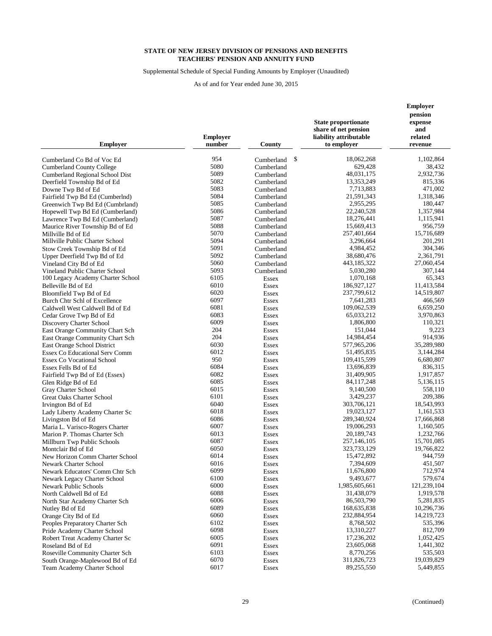Supplemental Schedule of Special Funding Amounts by Employer (Unaudited)

| <b>Employer</b>                                       | <b>Employer</b><br>number | County                       | <b>State proportionate</b><br>share of net pension<br>liability attributable<br>to employer | <b>Employer</b><br>pension<br>expense<br>and<br>related<br>revenue |
|-------------------------------------------------------|---------------------------|------------------------------|---------------------------------------------------------------------------------------------|--------------------------------------------------------------------|
|                                                       |                           |                              |                                                                                             |                                                                    |
| Cumberland Co Bd of Voc Ed                            | 954                       | \$<br>Cumberland             | 18,062,268                                                                                  | 1,102,864                                                          |
| <b>Cumberland County College</b>                      | 5080                      | Cumberland                   | 629,428                                                                                     | 38,432                                                             |
| Cumberland Regional School Dist                       | 5089                      | Cumberland                   | 48,031,175                                                                                  | 2,932,736                                                          |
| Deerfield Township Bd of Ed                           | 5082                      | Cumberland                   | 13,353,249                                                                                  | 815,336                                                            |
| Downe Twp Bd of Ed                                    | 5083<br>5084              | Cumberland                   | 7,713,883<br>21,591,343                                                                     | 471,002                                                            |
| Fairfield Twp Bd Ed (Cumberlnd)                       | 5085                      | Cumberland                   |                                                                                             | 1,318,346                                                          |
| Greenwich Twp Bd Ed (Cumbrland)                       | 5086                      | Cumberland                   | 2,955,295                                                                                   | 180,447<br>1,357,984                                               |
| Hopewell Twp Bd Ed (Cumberland)                       | 5087                      | Cumberland                   | 22,240,528<br>18,276,441                                                                    | 1,115,941                                                          |
| Lawrence Twp Bd Ed (Cumberland)                       | 5088                      | Cumberland                   | 15,669,413                                                                                  | 956,759                                                            |
| Maurice River Township Bd of Ed<br>Millville Bd of Ed | 5070                      | Cumberland<br>Cumberland     | 257,401,664                                                                                 | 15,716,689                                                         |
| Millville Public Charter School                       | 5094                      | Cumberland                   | 3,296,664                                                                                   | 201,291                                                            |
| Stow Creek Township Bd of Ed                          | 5091                      | Cumberland                   | 4,984,452                                                                                   | 304,346                                                            |
| Upper Deerfield Twp Bd of Ed                          | 5092                      | Cumberland                   | 38,680,476                                                                                  | 2,361,791                                                          |
| Vineland City Bd of Ed                                | 5060                      | Cumberland                   | 443,185,322                                                                                 | 27,060,454                                                         |
| Vineland Public Charter School                        | 5093                      | Cumberland                   | 5,030,280                                                                                   | 307,144                                                            |
| 100 Legacy Academy Charter School                     | 6105                      | Essex                        | 1,070,168                                                                                   | 65,343                                                             |
| Belleville Bd of Ed                                   | 6010                      | Essex                        | 186,927,127                                                                                 | 11,413,584                                                         |
| Bloomfield Twp Bd of Ed                               | 6020                      | Essex                        | 237,799,612                                                                                 | 14,519,807                                                         |
| Burch Chtr Schl of Excellence                         | 6097                      | Essex                        | 7,641,283                                                                                   | 466,569                                                            |
| Caldwell West Caldwell Bd of Ed                       | 6081                      | Essex                        | 109,062,539                                                                                 | 6,659,250                                                          |
| Cedar Grove Twp Bd of Ed                              | 6083                      | Essex                        | 65,033,212                                                                                  | 3,970,863                                                          |
| Discovery Charter School                              | 6009                      | Essex                        | 1.806.800                                                                                   | 110,321                                                            |
| East Orange Community Chart Sch                       | 204                       | Essex                        | 151,044                                                                                     | 9,223                                                              |
| East Orange Community Chart Sch                       | 204                       | Essex                        | 14,984,454                                                                                  | 914,936                                                            |
| East Orange School District                           | 6030                      | Essex                        | 577,965,206                                                                                 | 35,289,980                                                         |
| Essex Co Educational Serv Comm                        | 6012                      | Essex                        | 51,495,835                                                                                  | 3,144,284                                                          |
| <b>Essex Co Vocational School</b>                     | 950                       | Essex                        | 109,415,599                                                                                 | 6,680,807                                                          |
| Essex Fells Bd of Ed                                  | 6084                      | Essex                        | 13,696,839                                                                                  | 836,315                                                            |
| Fairfield Twp Bd of Ed (Essex)                        | 6082                      | Essex                        | 31,409,905                                                                                  | 1,917,857                                                          |
| Glen Ridge Bd of Ed                                   | 6085                      | Essex                        | 84, 117, 248                                                                                | 5,136,115                                                          |
| Gray Charter School                                   | 6015                      | Essex                        | 9,140,500                                                                                   | 558,110                                                            |
| <b>Great Oaks Charter School</b>                      | 6101                      | Essex                        | 3,429,237                                                                                   | 209,386                                                            |
| Irvington Bd of Ed                                    | 6040                      | Essex                        | 303,706,121                                                                                 | 18,543,993                                                         |
| Lady Liberty Academy Charter Sc                       | 6018                      | Essex                        | 19,023,127                                                                                  | 1,161,533                                                          |
| Livingston Bd of Ed                                   | 6086                      | Essex                        | 289,340,924                                                                                 | 17,666,868                                                         |
| Maria L. Varisco-Rogers Charter                       | 6007                      | Essex                        | 19,006,293                                                                                  | 1,160,505                                                          |
| Marion P. Thomas Charter Sch                          | 6013                      | Essex                        | 20,189,743                                                                                  | 1,232,766                                                          |
| Millburn Twp Public Schools                           | 6087                      | Essex                        | 257,146,105                                                                                 | 15,701,085                                                         |
| Montclair Bd of Ed                                    | 6050                      | Essex                        | 323,733,129                                                                                 | 19,766,822                                                         |
| New Horizon Comm Charter School                       | 6014                      | Essex                        | 15,472,892                                                                                  | 944,759                                                            |
| Newark Charter School                                 | 6016                      | Essex                        | 7,394,609                                                                                   | 451,507                                                            |
| Newark Educators' Comm Chtr Sch                       | 6099<br>6100              | <b>Essex</b>                 | 11,676,800<br>9,493,677                                                                     | 712,974<br>579,674                                                 |
| Newark Legacy Charter School                          | 6000                      | Essex                        | 1,985,605,661                                                                               | 121,239,104                                                        |
| Newark Public Schools<br>North Caldwell Bd of Ed      | 6088                      | <b>Essex</b><br><b>Essex</b> | 31,438,079                                                                                  | 1,919,578                                                          |
| North Star Academy Charter Sch                        | 6006                      | <b>Essex</b>                 | 86,503,790                                                                                  | 5,281,835                                                          |
| Nutley Bd of Ed                                       | 6089                      | <b>Essex</b>                 | 168,635,838                                                                                 | 10,296,736                                                         |
| Orange City Bd of Ed                                  | 6060                      | <b>Essex</b>                 | 232,884,954                                                                                 | 14,219,723                                                         |
| Peoples Preparatory Charter Sch                       | 6102                      | <b>Essex</b>                 | 8,768,502                                                                                   | 535,396                                                            |
| Pride Academy Charter School                          | 6098                      | <b>Essex</b>                 | 13,310,227                                                                                  | 812,709                                                            |
| Robert Treat Academy Charter Sc                       | 6005                      | <b>Essex</b>                 | 17,236,202                                                                                  | 1,052,425                                                          |
| Roseland Bd of Ed                                     | 6091                      | <b>Essex</b>                 | 23,605,068                                                                                  | 1,441,302                                                          |
| Roseville Community Charter Sch                       | 6103                      | <b>Essex</b>                 | 8,770,256                                                                                   | 535,503                                                            |
| South Orange-Maplewood Bd of Ed                       | 6070                      | <b>Essex</b>                 | 311,826,723                                                                                 | 19,039,829                                                         |
| Team Academy Charter School                           | 6017                      | Essex                        | 89,255,550                                                                                  | 5,449,855                                                          |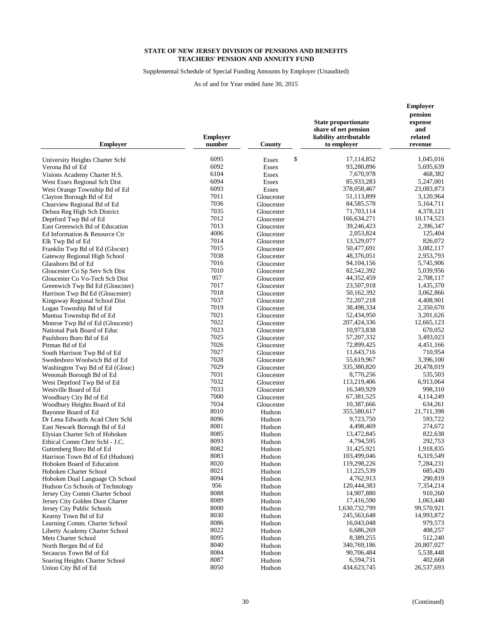Supplemental Schedule of Special Funding Amounts by Employer (Unaudited)

As of and for Year ended June 30, 2015

|                                 | <b>Employer</b> |                    | <b>State proportionate</b><br>share of net pension<br>liability attributable | pension<br>expense<br>and<br>related |  |
|---------------------------------|-----------------|--------------------|------------------------------------------------------------------------------|--------------------------------------|--|
| <b>Employer</b>                 | number          | County             | to employer                                                                  | revenue                              |  |
| University Heights Charter Schl | 6095            | \$<br><b>Essex</b> | 17,114,852                                                                   | 1,045,016                            |  |
| Verona Bd of Ed                 | 6092            | <b>Essex</b>       | 93,280,896                                                                   | 5,695,639                            |  |
| Visions Academy Charter H.S.    | 6104            | <b>Essex</b>       | 7,670,978                                                                    | 468,382                              |  |
| West Essex Regional Sch Dist    | 6094            | <b>Essex</b>       | 85,933,283                                                                   | 5,247,001                            |  |
| West Orange Township Bd of Ed   | 6093            | <b>Essex</b>       | 378,058,467                                                                  | 23,083,873                           |  |
| Clayton Borough Bd of Ed        | 7011            | Gloucester         | 51,113,899                                                                   | 3,120,964                            |  |
| Clearview Regional Bd of Ed     | 7036            | Gloucester         | 84, 585, 578                                                                 | 5,164,711                            |  |
| Delsea Reg High Sch District    | 7035            | Gloucester         | 71,703,114                                                                   | 4,378,121                            |  |
| Deptford Twp Bd of Ed           | 7012            | Gloucester         | 166,634,271                                                                  | 10,174,523                           |  |
| East Greenwich Bd of Education  | 7013            | Gloucester         | 39,246,423                                                                   | 2,396,347                            |  |
| Ed Information & Resource Ctr   | 4006            | Gloucester         | 2,053,824                                                                    | 125,404                              |  |
| Elk Twp Bd of Ed                | 7014            | Gloucester         | 13,529,077                                                                   | 826,072                              |  |
| Franklin Twp Bd of Ed (Glocstr) | 7015            | Gloucester         | 50,477,691                                                                   | 3,082,117                            |  |
| Gateway Regional High School    | 7038            | Gloucester         | 48,376,051                                                                   | 2,953,793                            |  |
| Glassboro Bd of Ed              | 7016            | Gloucester         | 94, 104, 156                                                                 | 5,745,906                            |  |
| Gloucester Co Sp Serv Sch Dist  | 7010            | Gloucester         | 82,542,392                                                                   | 5,039,956                            |  |
| Gloucester Co Vo-Tech Sch Dist  | 957             | Gloucester         | 44,352,459                                                                   | 2,708,117                            |  |
| Greenwich Twp Bd Ed (Gloucster) | 7017            | Gloucester         | 23,507,918                                                                   | 1,435,370                            |  |
| Harrison Twp Bd Ed (Gloucester) | 7018            | Gloucester         | 50,162,392                                                                   | 3,062,866                            |  |
| Kingsway Regional School Dist   | 7037            | Gloucester         | 72, 207, 218                                                                 | 4,408,901                            |  |
| Logan Township Bd of Ed         | 7019            | Gloucester         | 38,498,334                                                                   | 2,350,670                            |  |
| Mantua Township Bd of Ed        | 7021            | Gloucester         | 52,434,950                                                                   | 3,201,626                            |  |
| Monroe Twp Bd of Ed (Gloucestr) | 7022            | Gloucester         | 207,424,336                                                                  | 12,665,123                           |  |
| National Park Board of Educ     | 7023            | Gloucester         | 10,973,838                                                                   | 670,052                              |  |
| Paulsboro Boro Bd of Ed         | 7025            | Gloucester         | 57, 207, 332                                                                 | 3,493,023                            |  |
| Pitman Bd of Ed                 | 7026            | Gloucester         | 72,899,425                                                                   | 4,451,166                            |  |
| South Harrison Twp Bd of Ed     | 7027            | Gloucester         | 11,643,716                                                                   | 710,954                              |  |
| Swedesboro Woolwich Bd of Ed    | 7028            | Gloucester         | 55,619,967                                                                   | 3,396,100                            |  |
| Washington Twp Bd of Ed (Glouc) | 7029            | Gloucester         | 335,380,820                                                                  | 20,478,019                           |  |
| Wenonah Borough Bd of Ed        | 7031            | Gloucester         | 8,770,256                                                                    | 535,503                              |  |
| West Deptford Twp Bd of Ed      | 7032            | Gloucester         | 113,219,406                                                                  | 6,913,064                            |  |
| Westville Board of Ed           | 7033            | Gloucester         | 16,349,929                                                                   | 998,310                              |  |
| Woodbury City Bd of Ed          | 7000            | Gloucester         | 67, 381, 525                                                                 | 4,114,249                            |  |
| Woodbury Heights Board of Ed    | 7034            | Gloucester         | 10,387,666                                                                   | 634,261                              |  |
| Bayonne Board of Ed             | 8010            | Hudson             | 355,580,617                                                                  | 21,711,398                           |  |
| Dr Lena Edwards Acad Chrtr Schl | 8096            | Hudson             | 9,723,750                                                                    | 593,722                              |  |
| East Newark Borough Bd of Ed    | 8081            | Hudson             | 4,498,469                                                                    | 274,672                              |  |
| Elysian Charter Sch of Hoboken  | 8085            | Hudson             | 13,472,845                                                                   | 822,638                              |  |
| Ethical Comm Chrtr Schl - J.C.  | 8093            | Hudson             | 4,794,595                                                                    | 292,753                              |  |
| Guttenberg Boro Bd of Ed        | 8082            | Hudson             | 31,425,921                                                                   | 1,918,835                            |  |
| Harrison Town Bd of Ed (Hudson) | 8083            | Hudson             | 103,499,046                                                                  | 6,319,549                            |  |
| Hoboken Board of Education      | 8020            | Hudson             | 119,298,226                                                                  | 7,284,231                            |  |
| Hoboken Charter School          | 8021            | Hudson             | 11,225,539                                                                   | 685,420                              |  |
| Hoboken Dual Language Ch School | 8094            | Hudson             | 4,762,913                                                                    | 290,819                              |  |
| Hudson Co Schools of Technology | 956             | Hudson             | 120,444,383                                                                  | 7,354,214                            |  |
| Jersey City Comm Charter School | 8088            | Hudson             | 14,907,880                                                                   | 910,260                              |  |
| Jersey City Golden Door Charter | 8089            | Hudson             | 17,416,590                                                                   | 1,063,440                            |  |
| Jersey City Public Schools      | 8000            | Hudson             | 1,630,732,799                                                                | 99,570,921                           |  |
| Kearny Town Bd of Ed            | 8030            | Hudson             | 245,563,648                                                                  | 14,993,872                           |  |
| Learning Comm. Charter School   | 8086            | Hudson             | 16,043,048                                                                   | 979,573                              |  |
| Liberty Academy Charter School  | 8022            | Hudson             | 6,686,269                                                                    | 408,257                              |  |
| Mets Charter School             | 8095            | Hudson             | 8,389,255                                                                    | 512,240                              |  |
| North Bergen Bd of Ed           | 8040            | Hudson             | 340,769,186                                                                  | 20,807,027                           |  |
| Secaucus Town Bd of Ed          | 8084<br>8087    | Hudson             | 90,706,484<br>6,594,731                                                      | 5,538,448                            |  |
| Soaring Heights Charter School  |                 | Hudson             | 434,623,745                                                                  | 402,668                              |  |
| Union City Bd of Ed             | 8050            | Hudson             |                                                                              | 26,537,693                           |  |

**Employer**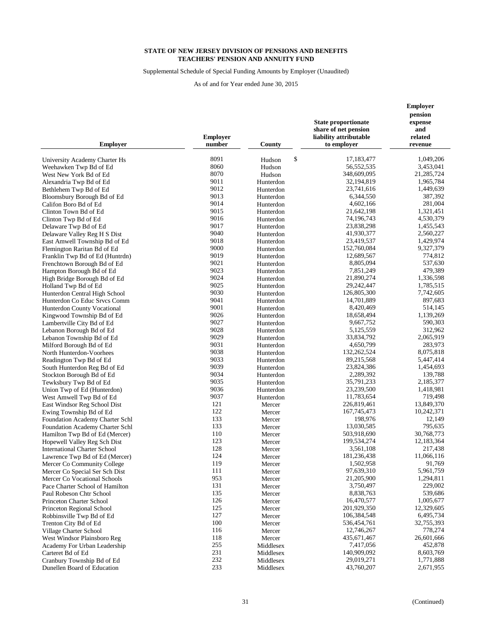Supplemental Schedule of Special Funding Amounts by Employer (Unaudited)

As of and for Year ended June 30, 2015

| <b>Employer</b>                                         | <b>Employer</b><br>number | County                 | <b>State proportionate</b><br>share of net pension<br>liability attributable<br>to employer | pension<br>expense<br>and<br>related<br>revenue |
|---------------------------------------------------------|---------------------------|------------------------|---------------------------------------------------------------------------------------------|-------------------------------------------------|
| University Academy Charter Hs                           | 8091                      | \$<br>Hudson           | 17,183,477                                                                                  | 1,049,206                                       |
| Weehawken Twp Bd of Ed                                  | 8060                      | Hudson                 | 56, 552, 535                                                                                | 3,453,041                                       |
| West New York Bd of Ed                                  | 8070                      | Hudson                 | 348,609,095                                                                                 | 21,285,724                                      |
| Alexandria Twp Bd of Ed                                 | 9011                      | Hunterdon              | 32,194,819                                                                                  | 1,965,784                                       |
| Bethlehem Twp Bd of Ed                                  | 9012                      | Hunterdon              | 23,741,616                                                                                  | 1,449,639                                       |
| Bloomsbury Borough Bd of Ed                             | 9013                      | Hunterdon              | 6,344,550                                                                                   | 387,392                                         |
| Califon Boro Bd of Ed                                   | 9014                      | Hunterdon              | 4,602,166                                                                                   | 281,004                                         |
| Clinton Town Bd of Ed                                   | 9015                      | Hunterdon              | 21,642,198                                                                                  | 1,321,451                                       |
| Clinton Twp Bd of Ed                                    | 9016                      | Hunterdon              | 74,196,743                                                                                  | 4,530,379                                       |
| Delaware Twp Bd of Ed                                   | 9017                      | Hunterdon              | 23,838,298                                                                                  | 1,455,543                                       |
| Delaware Valley Reg H S Dist                            | 9040                      | Hunterdon              | 41,930,377                                                                                  | 2,560,227                                       |
| East Amwell Township Bd of Ed                           | 9018                      | Hunterdon              | 23,419,537                                                                                  | 1,429,974                                       |
| Flemington Raritan Bd of Ed                             | 9000                      | Hunterdon              | 152,760,084                                                                                 | 9,327,379                                       |
| Franklin Twp Bd of Ed (Huntrdn)                         | 9019                      | Hunterdon              | 12,689,567                                                                                  | 774,812                                         |
| Frenchtown Borough Bd of Ed                             | 9021                      | Hunterdon              | 8,805,094                                                                                   | 537,630                                         |
| Hampton Borough Bd of Ed                                | 9023                      | Hunterdon              | 7,851,249                                                                                   | 479,389                                         |
| High Bridge Borough Bd of Ed                            | 9024                      | Hunterdon              | 21,890,274                                                                                  | 1,336,598                                       |
| Holland Twp Bd of Ed                                    | 9025                      | Hunterdon              | 29, 242, 447                                                                                | 1,785,515                                       |
| Hunterdon Central High School                           | 9030                      | Hunterdon              | 126,805,300                                                                                 | 7,742,605                                       |
| Hunterdon Co Educ Srvcs Comm                            | 9041                      | Hunterdon              | 14,701,889                                                                                  | 897,683                                         |
| Hunterdon County Vocational                             | 9001                      | Hunterdon              | 8,420,469                                                                                   | 514,145                                         |
| Kingwood Township Bd of Ed                              | 9026                      | Hunterdon              | 18,658,494                                                                                  | 1,139,269                                       |
| Lambertville City Bd of Ed                              | 9027                      | Hunterdon              | 9,667,752                                                                                   | 590,303                                         |
| Lebanon Borough Bd of Ed                                | 9028                      | Hunterdon              | 5,125,559                                                                                   | 312,962                                         |
| Lebanon Township Bd of Ed                               | 9029                      | Hunterdon              | 33,834,792                                                                                  | 2,065,919                                       |
| Milford Borough Bd of Ed                                | 9031                      | Hunterdon              | 4,650,799                                                                                   | 283,973                                         |
| North Hunterdon-Voorhees                                | 9038                      | Hunterdon              | 132,262,524                                                                                 | 8,075,818                                       |
| Readington Twp Bd of Ed                                 | 9033                      | Hunterdon              | 89,215,568                                                                                  | 5,447,414                                       |
| South Hunterdon Reg Bd of Ed                            | 9039<br>9034              | Hunterdon              | 23,824,386<br>2,289,392                                                                     | 1,454,693                                       |
| Stockton Borough Bd of Ed                               | 9035                      | Hunterdon              |                                                                                             | 139,788                                         |
| Tewksbury Twp Bd of Ed                                  | 9036                      | Hunterdon<br>Hunterdon | 35,791,233<br>23,239,500                                                                    | 2,185,377<br>1,418,981                          |
| Union Twp of Ed (Hunterdon)<br>West Amwell Twp Bd of Ed | 9037                      | Hunterdon              | 11,783,654                                                                                  | 719,498                                         |
| East Windsor Reg School Dist                            | 121                       | Mercer                 | 226,819,461                                                                                 | 13,849,370                                      |
| Ewing Township Bd of Ed                                 | 122                       | Mercer                 | 167,745,473                                                                                 | 10,242,371                                      |
| Foundation Academy Charter Schl                         | 133                       | Mercer                 | 198,976                                                                                     | 12,149                                          |
| Foundation Academy Charter Schl                         | 133                       | Mercer                 | 13,030,585                                                                                  | 795,635                                         |
| Hamilton Twp Bd of Ed (Mercer)                          | 110                       | Mercer                 | 503,918,690                                                                                 | 30,768,773                                      |
| Hopewell Valley Reg Sch Dist                            | 123                       | Mercer                 | 199,534,274                                                                                 | 12,183,364                                      |
| <b>International Charter School</b>                     | 128                       | Mercer                 | 3,561,108                                                                                   | 217,438                                         |
| Lawrence Twp Bd of Ed (Mercer)                          | 124                       | Mercer                 | 181,236,438                                                                                 | 11,066,116                                      |
| Mercer Co Community College                             | 119                       | Mercer                 | 1,502,958                                                                                   | 91,769                                          |
| Mercer Co Special Ser Sch Dist                          | 111                       | Mercer                 | 97,639,310                                                                                  | 5,961,759                                       |
| Mercer Co Vocational Schools                            | 953                       | Mercer                 | 21,205,900                                                                                  | 1,294,811                                       |
| Pace Charter School of Hamilton                         | 131                       | Mercer                 | 3,750,497                                                                                   | 229,002                                         |
| Paul Robeson Chtr School                                | 135                       | Mercer                 | 8,838,763                                                                                   | 539,686                                         |
| Princeton Charter School                                | 126                       | Mercer                 | 16,470,577                                                                                  | 1,005,677                                       |
| Princeton Regional School                               | 125                       | Mercer                 | 201,929,350                                                                                 | 12,329,605                                      |
| Robbinsville Twp Bd of Ed                               | 127                       | Mercer                 | 106,384,548                                                                                 | 6,495,734                                       |
| Trenton City Bd of Ed                                   | 100                       | Mercer                 | 536,454,761                                                                                 | 32,755,393                                      |
| Village Charter School                                  | 116                       | Mercer                 | 12,746,267                                                                                  | 778,274                                         |
| West Windsor Plainsboro Reg                             | 118                       | Mercer                 | 435, 671, 467                                                                               | 26,601,666                                      |
| Academy For Urban Leadership                            | 255<br>231                | Middlesex              | 7,417,056<br>140,909,092                                                                    | 452,878<br>8,603,769                            |
| Carteret Bd of Ed<br>Cranbury Township Bd of Ed         | 232                       | Middlesex              | 29,019,271                                                                                  | 1,771,888                                       |
| Dunellen Board of Education                             | 233                       | Middlesex<br>Middlesex | 43,760,207                                                                                  | 2,671,955                                       |
|                                                         |                           |                        |                                                                                             |                                                 |

**Employer**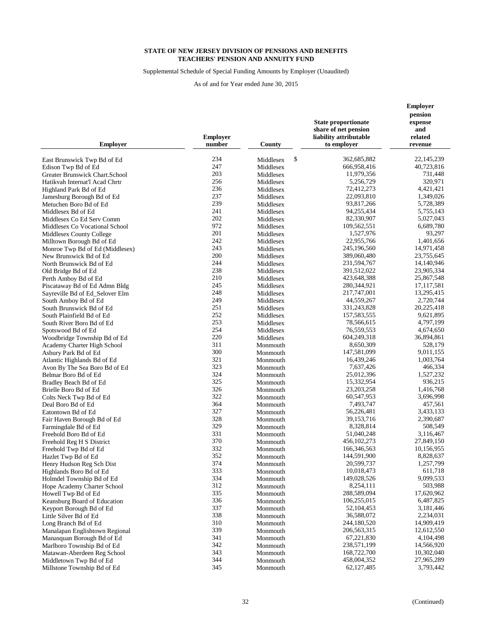Supplemental Schedule of Special Funding Amounts by Employer (Unaudited)

| <b>State proportionate</b><br>expense<br>share of net pension<br>and<br><b>Employer</b><br>liability attributable<br>related<br>number<br>County<br>to employer<br><b>Employer</b><br>revenue<br>234<br>\$<br>362,685,882<br>22, 145, 239<br>Middlesex<br>East Brunswick Twp Bd of Ed<br>247<br>666,958,416<br>40,723,816<br>Edison Twp Bd of Ed<br>Middlesex<br>203<br>11,979,356<br>731,448<br>Greater Brunswick Chart.School<br>Middlesex<br>256<br>320,971<br>5,256,729<br>Middlesex<br>Hatikvah Internat'l Acad Chrtr<br>236<br>72,412,273<br>4,421,421<br>Highland Park Bd of Ed<br>Middlesex<br>237<br>22,093,810<br>1,349,026<br>Middlesex<br>Jamesburg Borough Bd of Ed<br>239<br>93,817,266<br>5,728,389<br>Metuchen Boro Bd of Ed<br>Middlesex<br>241<br>94,255,434<br>5,755,143<br>Middlesex Bd of Ed<br>Middlesex<br>202<br>82,330,907<br>5,027,043<br>Middlesex Co Ed Serv Comm<br>Middlesex<br>972<br>109,562,551<br>6,689,780<br>Middlesex Co Vocational School<br>Middlesex<br>201<br>1,527,976<br>93,297<br>Middlesex<br>Middlesex County College<br>242<br>22,955,766<br>1,401,656<br>Middlesex<br>Milltown Borough Bd of Ed<br>243<br>245,196,560<br>14,971,458<br>Middlesex<br>Monroe Twp Bd of Ed (Middlesex)<br>200<br>389,060,480<br>23,755,645<br>New Brunswick Bd of Ed<br>Middlesex<br>244<br>231,594,767<br>14,140,946<br>North Brunswick Bd of Ed<br>Middlesex<br>238<br>391,512,022<br>23,905,334<br>Middlesex<br>Old Bridge Bd of Ed<br>210<br>423,648,388<br>25,867,548<br>Middlesex<br>Perth Amboy Bd of Ed<br>245<br>280,344,921<br>17, 117, 581<br>Piscataway Bd of Ed Admn Bldg<br>Middlesex<br>248<br>217,747,001<br>13,295,415<br>Sayreville Bd of Ed_Selover Elm<br>Middlesex<br>249<br>44,559,267<br>2,720,744<br>South Amboy Bd of Ed<br>Middlesex<br>251<br>331,243,828<br>20,225,418<br>South Brunswick Bd of Ed<br>Middlesex<br>252<br>157,583,555<br>South Plainfield Bd of Ed<br>9,621,895<br>Middlesex<br>253<br>78,566,615<br>4,797,199<br>South River Boro Bd of Ed<br>Middlesex<br>254<br>76,559,553<br>4,674,650<br>Middlesex<br>Spotswood Bd of Ed<br>220<br>604,249,318<br>36,894,861<br>Woodbridge Township Bd of Ed<br>Middlesex<br>311<br>Monmouth<br>8,650,309<br>528,179<br>Academy Charter High School<br>300<br>147,581,099<br>9,011,155<br>Asbury Park Bd of Ed<br>Monmouth<br>321<br>16,439,246<br>1,003,764<br>Atlantic Highlands Bd of Ed<br>Monmouth<br>323<br>7,637,426<br>466,334<br>Avon By The Sea Boro Bd of Ed<br>Monmouth<br>324<br>25,012,396<br>1,527,232<br>Belmar Boro Bd of Ed<br>Monmouth<br>325<br>15,332,954<br>936,215<br>Bradley Beach Bd of Ed<br>Monmouth<br>326<br>23, 203, 258<br>1,416,768<br>Monmouth<br>Brielle Boro Bd of Ed<br>322<br>60,547,953<br>3,696,998<br>Colts Neck Twp Bd of Ed<br>Monmouth<br>364<br>7,493,747<br>457,561<br>Deal Boro Bd of Ed<br>Monmouth<br>327<br>56,226,481<br>3,433,133<br>Eatontown Bd of Ed<br>Monmouth<br>328<br>39,153,716<br>2,390,687<br>Fair Haven Borough Bd of Ed<br>Monmouth<br>329<br>8,328,814<br>508,549<br>Monmouth<br>Farmingdale Bd of Ed<br>331<br>51,040,248<br>3,116,467<br>Monmouth<br>Freehold Boro Bd of Ed<br>370<br>456,102,273<br>27,849,150<br>Monmouth<br>Freehold Reg H S District<br>332<br>166,346,563<br>10,156,955<br>Freehold Twp Bd of Ed<br>Monmouth<br>352<br>144,591,900<br>8,828,637<br>Hazlet Twp Bd of Ed<br>Monmouth<br>374<br>20,599,737<br>1,257,799<br>Henry Hudson Reg Sch Dist<br>Monmouth<br>333<br>10,018,473<br>611,718<br>Highlands Boro Bd of Ed<br>Monmouth<br>334<br>149,028,526<br>9,099,533<br>Holmdel Township Bd of Ed<br>Monmouth<br>312<br>8,254,111<br>503,988<br>Hope Academy Charter School<br>Monmouth<br>335<br>288,589,094<br>Howell Twp Bd of Ed<br>Monmouth<br>17,620,962<br>336<br>106,255,015<br>6,487,825<br>Keansburg Board of Education<br>Monmouth<br>337<br>52, 104, 453<br>3,181,446<br>Keyport Borough Bd of Ed<br>Monmouth<br>338<br>36,588,072<br>2,234,031<br>Little Silver Bd of Ed<br>Monmouth<br>310<br>244,180,520<br>14,909,419<br>Long Branch Bd of Ed<br>Monmouth<br>339<br>206,563,315<br>12,612,550<br>Manalapan Englishtown Regional<br>Monmouth<br>341<br>67,221,830<br>4,104,498<br>Manasquan Borough Bd of Ed<br>Monmouth<br>342<br>238,571,199<br>14,566,920<br>Marlboro Township Bd of Ed<br>Monmouth<br>343<br>168,722,700<br>10,302,040<br>Monmouth<br>344<br>458,004,352<br>27,965,289<br>Monmouth<br>345<br>62,127,485<br>3,793,442<br>Millstone Township Bd of Ed<br>Monmouth |                             |  | <b>Employer</b> |  |
|-------------------------------------------------------------------------------------------------------------------------------------------------------------------------------------------------------------------------------------------------------------------------------------------------------------------------------------------------------------------------------------------------------------------------------------------------------------------------------------------------------------------------------------------------------------------------------------------------------------------------------------------------------------------------------------------------------------------------------------------------------------------------------------------------------------------------------------------------------------------------------------------------------------------------------------------------------------------------------------------------------------------------------------------------------------------------------------------------------------------------------------------------------------------------------------------------------------------------------------------------------------------------------------------------------------------------------------------------------------------------------------------------------------------------------------------------------------------------------------------------------------------------------------------------------------------------------------------------------------------------------------------------------------------------------------------------------------------------------------------------------------------------------------------------------------------------------------------------------------------------------------------------------------------------------------------------------------------------------------------------------------------------------------------------------------------------------------------------------------------------------------------------------------------------------------------------------------------------------------------------------------------------------------------------------------------------------------------------------------------------------------------------------------------------------------------------------------------------------------------------------------------------------------------------------------------------------------------------------------------------------------------------------------------------------------------------------------------------------------------------------------------------------------------------------------------------------------------------------------------------------------------------------------------------------------------------------------------------------------------------------------------------------------------------------------------------------------------------------------------------------------------------------------------------------------------------------------------------------------------------------------------------------------------------------------------------------------------------------------------------------------------------------------------------------------------------------------------------------------------------------------------------------------------------------------------------------------------------------------------------------------------------------------------------------------------------------------------------------------------------------------------------------------------------------------------------------------------------------------------------------------------------------------------------------------------------------------------------------------------------------------------------------------------------------------------------------------------------------------------------------------------------------------------------------------------------------------------------------------------------------------------------------------------------------------------------------------------------------------------------------------------------------------------------------------------------------------------------------------------------------------|-----------------------------|--|-----------------|--|
|                                                                                                                                                                                                                                                                                                                                                                                                                                                                                                                                                                                                                                                                                                                                                                                                                                                                                                                                                                                                                                                                                                                                                                                                                                                                                                                                                                                                                                                                                                                                                                                                                                                                                                                                                                                                                                                                                                                                                                                                                                                                                                                                                                                                                                                                                                                                                                                                                                                                                                                                                                                                                                                                                                                                                                                                                                                                                                                                                                                                                                                                                                                                                                                                                                                                                                                                                                                                                                                                                                                                                                                                                                                                                                                                                                                                                                                                                                                                                                                                                                                                                                                                                                                                                                                                                                                                                                                                                                                                                                             |                             |  | pension         |  |
|                                                                                                                                                                                                                                                                                                                                                                                                                                                                                                                                                                                                                                                                                                                                                                                                                                                                                                                                                                                                                                                                                                                                                                                                                                                                                                                                                                                                                                                                                                                                                                                                                                                                                                                                                                                                                                                                                                                                                                                                                                                                                                                                                                                                                                                                                                                                                                                                                                                                                                                                                                                                                                                                                                                                                                                                                                                                                                                                                                                                                                                                                                                                                                                                                                                                                                                                                                                                                                                                                                                                                                                                                                                                                                                                                                                                                                                                                                                                                                                                                                                                                                                                                                                                                                                                                                                                                                                                                                                                                                             |                             |  |                 |  |
|                                                                                                                                                                                                                                                                                                                                                                                                                                                                                                                                                                                                                                                                                                                                                                                                                                                                                                                                                                                                                                                                                                                                                                                                                                                                                                                                                                                                                                                                                                                                                                                                                                                                                                                                                                                                                                                                                                                                                                                                                                                                                                                                                                                                                                                                                                                                                                                                                                                                                                                                                                                                                                                                                                                                                                                                                                                                                                                                                                                                                                                                                                                                                                                                                                                                                                                                                                                                                                                                                                                                                                                                                                                                                                                                                                                                                                                                                                                                                                                                                                                                                                                                                                                                                                                                                                                                                                                                                                                                                                             |                             |  |                 |  |
|                                                                                                                                                                                                                                                                                                                                                                                                                                                                                                                                                                                                                                                                                                                                                                                                                                                                                                                                                                                                                                                                                                                                                                                                                                                                                                                                                                                                                                                                                                                                                                                                                                                                                                                                                                                                                                                                                                                                                                                                                                                                                                                                                                                                                                                                                                                                                                                                                                                                                                                                                                                                                                                                                                                                                                                                                                                                                                                                                                                                                                                                                                                                                                                                                                                                                                                                                                                                                                                                                                                                                                                                                                                                                                                                                                                                                                                                                                                                                                                                                                                                                                                                                                                                                                                                                                                                                                                                                                                                                                             |                             |  |                 |  |
|                                                                                                                                                                                                                                                                                                                                                                                                                                                                                                                                                                                                                                                                                                                                                                                                                                                                                                                                                                                                                                                                                                                                                                                                                                                                                                                                                                                                                                                                                                                                                                                                                                                                                                                                                                                                                                                                                                                                                                                                                                                                                                                                                                                                                                                                                                                                                                                                                                                                                                                                                                                                                                                                                                                                                                                                                                                                                                                                                                                                                                                                                                                                                                                                                                                                                                                                                                                                                                                                                                                                                                                                                                                                                                                                                                                                                                                                                                                                                                                                                                                                                                                                                                                                                                                                                                                                                                                                                                                                                                             |                             |  |                 |  |
|                                                                                                                                                                                                                                                                                                                                                                                                                                                                                                                                                                                                                                                                                                                                                                                                                                                                                                                                                                                                                                                                                                                                                                                                                                                                                                                                                                                                                                                                                                                                                                                                                                                                                                                                                                                                                                                                                                                                                                                                                                                                                                                                                                                                                                                                                                                                                                                                                                                                                                                                                                                                                                                                                                                                                                                                                                                                                                                                                                                                                                                                                                                                                                                                                                                                                                                                                                                                                                                                                                                                                                                                                                                                                                                                                                                                                                                                                                                                                                                                                                                                                                                                                                                                                                                                                                                                                                                                                                                                                                             |                             |  |                 |  |
|                                                                                                                                                                                                                                                                                                                                                                                                                                                                                                                                                                                                                                                                                                                                                                                                                                                                                                                                                                                                                                                                                                                                                                                                                                                                                                                                                                                                                                                                                                                                                                                                                                                                                                                                                                                                                                                                                                                                                                                                                                                                                                                                                                                                                                                                                                                                                                                                                                                                                                                                                                                                                                                                                                                                                                                                                                                                                                                                                                                                                                                                                                                                                                                                                                                                                                                                                                                                                                                                                                                                                                                                                                                                                                                                                                                                                                                                                                                                                                                                                                                                                                                                                                                                                                                                                                                                                                                                                                                                                                             |                             |  |                 |  |
|                                                                                                                                                                                                                                                                                                                                                                                                                                                                                                                                                                                                                                                                                                                                                                                                                                                                                                                                                                                                                                                                                                                                                                                                                                                                                                                                                                                                                                                                                                                                                                                                                                                                                                                                                                                                                                                                                                                                                                                                                                                                                                                                                                                                                                                                                                                                                                                                                                                                                                                                                                                                                                                                                                                                                                                                                                                                                                                                                                                                                                                                                                                                                                                                                                                                                                                                                                                                                                                                                                                                                                                                                                                                                                                                                                                                                                                                                                                                                                                                                                                                                                                                                                                                                                                                                                                                                                                                                                                                                                             |                             |  |                 |  |
|                                                                                                                                                                                                                                                                                                                                                                                                                                                                                                                                                                                                                                                                                                                                                                                                                                                                                                                                                                                                                                                                                                                                                                                                                                                                                                                                                                                                                                                                                                                                                                                                                                                                                                                                                                                                                                                                                                                                                                                                                                                                                                                                                                                                                                                                                                                                                                                                                                                                                                                                                                                                                                                                                                                                                                                                                                                                                                                                                                                                                                                                                                                                                                                                                                                                                                                                                                                                                                                                                                                                                                                                                                                                                                                                                                                                                                                                                                                                                                                                                                                                                                                                                                                                                                                                                                                                                                                                                                                                                                             |                             |  |                 |  |
|                                                                                                                                                                                                                                                                                                                                                                                                                                                                                                                                                                                                                                                                                                                                                                                                                                                                                                                                                                                                                                                                                                                                                                                                                                                                                                                                                                                                                                                                                                                                                                                                                                                                                                                                                                                                                                                                                                                                                                                                                                                                                                                                                                                                                                                                                                                                                                                                                                                                                                                                                                                                                                                                                                                                                                                                                                                                                                                                                                                                                                                                                                                                                                                                                                                                                                                                                                                                                                                                                                                                                                                                                                                                                                                                                                                                                                                                                                                                                                                                                                                                                                                                                                                                                                                                                                                                                                                                                                                                                                             |                             |  |                 |  |
|                                                                                                                                                                                                                                                                                                                                                                                                                                                                                                                                                                                                                                                                                                                                                                                                                                                                                                                                                                                                                                                                                                                                                                                                                                                                                                                                                                                                                                                                                                                                                                                                                                                                                                                                                                                                                                                                                                                                                                                                                                                                                                                                                                                                                                                                                                                                                                                                                                                                                                                                                                                                                                                                                                                                                                                                                                                                                                                                                                                                                                                                                                                                                                                                                                                                                                                                                                                                                                                                                                                                                                                                                                                                                                                                                                                                                                                                                                                                                                                                                                                                                                                                                                                                                                                                                                                                                                                                                                                                                                             |                             |  |                 |  |
|                                                                                                                                                                                                                                                                                                                                                                                                                                                                                                                                                                                                                                                                                                                                                                                                                                                                                                                                                                                                                                                                                                                                                                                                                                                                                                                                                                                                                                                                                                                                                                                                                                                                                                                                                                                                                                                                                                                                                                                                                                                                                                                                                                                                                                                                                                                                                                                                                                                                                                                                                                                                                                                                                                                                                                                                                                                                                                                                                                                                                                                                                                                                                                                                                                                                                                                                                                                                                                                                                                                                                                                                                                                                                                                                                                                                                                                                                                                                                                                                                                                                                                                                                                                                                                                                                                                                                                                                                                                                                                             |                             |  |                 |  |
|                                                                                                                                                                                                                                                                                                                                                                                                                                                                                                                                                                                                                                                                                                                                                                                                                                                                                                                                                                                                                                                                                                                                                                                                                                                                                                                                                                                                                                                                                                                                                                                                                                                                                                                                                                                                                                                                                                                                                                                                                                                                                                                                                                                                                                                                                                                                                                                                                                                                                                                                                                                                                                                                                                                                                                                                                                                                                                                                                                                                                                                                                                                                                                                                                                                                                                                                                                                                                                                                                                                                                                                                                                                                                                                                                                                                                                                                                                                                                                                                                                                                                                                                                                                                                                                                                                                                                                                                                                                                                                             |                             |  |                 |  |
|                                                                                                                                                                                                                                                                                                                                                                                                                                                                                                                                                                                                                                                                                                                                                                                                                                                                                                                                                                                                                                                                                                                                                                                                                                                                                                                                                                                                                                                                                                                                                                                                                                                                                                                                                                                                                                                                                                                                                                                                                                                                                                                                                                                                                                                                                                                                                                                                                                                                                                                                                                                                                                                                                                                                                                                                                                                                                                                                                                                                                                                                                                                                                                                                                                                                                                                                                                                                                                                                                                                                                                                                                                                                                                                                                                                                                                                                                                                                                                                                                                                                                                                                                                                                                                                                                                                                                                                                                                                                                                             |                             |  |                 |  |
|                                                                                                                                                                                                                                                                                                                                                                                                                                                                                                                                                                                                                                                                                                                                                                                                                                                                                                                                                                                                                                                                                                                                                                                                                                                                                                                                                                                                                                                                                                                                                                                                                                                                                                                                                                                                                                                                                                                                                                                                                                                                                                                                                                                                                                                                                                                                                                                                                                                                                                                                                                                                                                                                                                                                                                                                                                                                                                                                                                                                                                                                                                                                                                                                                                                                                                                                                                                                                                                                                                                                                                                                                                                                                                                                                                                                                                                                                                                                                                                                                                                                                                                                                                                                                                                                                                                                                                                                                                                                                                             |                             |  |                 |  |
|                                                                                                                                                                                                                                                                                                                                                                                                                                                                                                                                                                                                                                                                                                                                                                                                                                                                                                                                                                                                                                                                                                                                                                                                                                                                                                                                                                                                                                                                                                                                                                                                                                                                                                                                                                                                                                                                                                                                                                                                                                                                                                                                                                                                                                                                                                                                                                                                                                                                                                                                                                                                                                                                                                                                                                                                                                                                                                                                                                                                                                                                                                                                                                                                                                                                                                                                                                                                                                                                                                                                                                                                                                                                                                                                                                                                                                                                                                                                                                                                                                                                                                                                                                                                                                                                                                                                                                                                                                                                                                             |                             |  |                 |  |
|                                                                                                                                                                                                                                                                                                                                                                                                                                                                                                                                                                                                                                                                                                                                                                                                                                                                                                                                                                                                                                                                                                                                                                                                                                                                                                                                                                                                                                                                                                                                                                                                                                                                                                                                                                                                                                                                                                                                                                                                                                                                                                                                                                                                                                                                                                                                                                                                                                                                                                                                                                                                                                                                                                                                                                                                                                                                                                                                                                                                                                                                                                                                                                                                                                                                                                                                                                                                                                                                                                                                                                                                                                                                                                                                                                                                                                                                                                                                                                                                                                                                                                                                                                                                                                                                                                                                                                                                                                                                                                             |                             |  |                 |  |
|                                                                                                                                                                                                                                                                                                                                                                                                                                                                                                                                                                                                                                                                                                                                                                                                                                                                                                                                                                                                                                                                                                                                                                                                                                                                                                                                                                                                                                                                                                                                                                                                                                                                                                                                                                                                                                                                                                                                                                                                                                                                                                                                                                                                                                                                                                                                                                                                                                                                                                                                                                                                                                                                                                                                                                                                                                                                                                                                                                                                                                                                                                                                                                                                                                                                                                                                                                                                                                                                                                                                                                                                                                                                                                                                                                                                                                                                                                                                                                                                                                                                                                                                                                                                                                                                                                                                                                                                                                                                                                             |                             |  |                 |  |
|                                                                                                                                                                                                                                                                                                                                                                                                                                                                                                                                                                                                                                                                                                                                                                                                                                                                                                                                                                                                                                                                                                                                                                                                                                                                                                                                                                                                                                                                                                                                                                                                                                                                                                                                                                                                                                                                                                                                                                                                                                                                                                                                                                                                                                                                                                                                                                                                                                                                                                                                                                                                                                                                                                                                                                                                                                                                                                                                                                                                                                                                                                                                                                                                                                                                                                                                                                                                                                                                                                                                                                                                                                                                                                                                                                                                                                                                                                                                                                                                                                                                                                                                                                                                                                                                                                                                                                                                                                                                                                             |                             |  |                 |  |
|                                                                                                                                                                                                                                                                                                                                                                                                                                                                                                                                                                                                                                                                                                                                                                                                                                                                                                                                                                                                                                                                                                                                                                                                                                                                                                                                                                                                                                                                                                                                                                                                                                                                                                                                                                                                                                                                                                                                                                                                                                                                                                                                                                                                                                                                                                                                                                                                                                                                                                                                                                                                                                                                                                                                                                                                                                                                                                                                                                                                                                                                                                                                                                                                                                                                                                                                                                                                                                                                                                                                                                                                                                                                                                                                                                                                                                                                                                                                                                                                                                                                                                                                                                                                                                                                                                                                                                                                                                                                                                             |                             |  |                 |  |
|                                                                                                                                                                                                                                                                                                                                                                                                                                                                                                                                                                                                                                                                                                                                                                                                                                                                                                                                                                                                                                                                                                                                                                                                                                                                                                                                                                                                                                                                                                                                                                                                                                                                                                                                                                                                                                                                                                                                                                                                                                                                                                                                                                                                                                                                                                                                                                                                                                                                                                                                                                                                                                                                                                                                                                                                                                                                                                                                                                                                                                                                                                                                                                                                                                                                                                                                                                                                                                                                                                                                                                                                                                                                                                                                                                                                                                                                                                                                                                                                                                                                                                                                                                                                                                                                                                                                                                                                                                                                                                             |                             |  |                 |  |
|                                                                                                                                                                                                                                                                                                                                                                                                                                                                                                                                                                                                                                                                                                                                                                                                                                                                                                                                                                                                                                                                                                                                                                                                                                                                                                                                                                                                                                                                                                                                                                                                                                                                                                                                                                                                                                                                                                                                                                                                                                                                                                                                                                                                                                                                                                                                                                                                                                                                                                                                                                                                                                                                                                                                                                                                                                                                                                                                                                                                                                                                                                                                                                                                                                                                                                                                                                                                                                                                                                                                                                                                                                                                                                                                                                                                                                                                                                                                                                                                                                                                                                                                                                                                                                                                                                                                                                                                                                                                                                             |                             |  |                 |  |
|                                                                                                                                                                                                                                                                                                                                                                                                                                                                                                                                                                                                                                                                                                                                                                                                                                                                                                                                                                                                                                                                                                                                                                                                                                                                                                                                                                                                                                                                                                                                                                                                                                                                                                                                                                                                                                                                                                                                                                                                                                                                                                                                                                                                                                                                                                                                                                                                                                                                                                                                                                                                                                                                                                                                                                                                                                                                                                                                                                                                                                                                                                                                                                                                                                                                                                                                                                                                                                                                                                                                                                                                                                                                                                                                                                                                                                                                                                                                                                                                                                                                                                                                                                                                                                                                                                                                                                                                                                                                                                             |                             |  |                 |  |
|                                                                                                                                                                                                                                                                                                                                                                                                                                                                                                                                                                                                                                                                                                                                                                                                                                                                                                                                                                                                                                                                                                                                                                                                                                                                                                                                                                                                                                                                                                                                                                                                                                                                                                                                                                                                                                                                                                                                                                                                                                                                                                                                                                                                                                                                                                                                                                                                                                                                                                                                                                                                                                                                                                                                                                                                                                                                                                                                                                                                                                                                                                                                                                                                                                                                                                                                                                                                                                                                                                                                                                                                                                                                                                                                                                                                                                                                                                                                                                                                                                                                                                                                                                                                                                                                                                                                                                                                                                                                                                             |                             |  |                 |  |
|                                                                                                                                                                                                                                                                                                                                                                                                                                                                                                                                                                                                                                                                                                                                                                                                                                                                                                                                                                                                                                                                                                                                                                                                                                                                                                                                                                                                                                                                                                                                                                                                                                                                                                                                                                                                                                                                                                                                                                                                                                                                                                                                                                                                                                                                                                                                                                                                                                                                                                                                                                                                                                                                                                                                                                                                                                                                                                                                                                                                                                                                                                                                                                                                                                                                                                                                                                                                                                                                                                                                                                                                                                                                                                                                                                                                                                                                                                                                                                                                                                                                                                                                                                                                                                                                                                                                                                                                                                                                                                             |                             |  |                 |  |
|                                                                                                                                                                                                                                                                                                                                                                                                                                                                                                                                                                                                                                                                                                                                                                                                                                                                                                                                                                                                                                                                                                                                                                                                                                                                                                                                                                                                                                                                                                                                                                                                                                                                                                                                                                                                                                                                                                                                                                                                                                                                                                                                                                                                                                                                                                                                                                                                                                                                                                                                                                                                                                                                                                                                                                                                                                                                                                                                                                                                                                                                                                                                                                                                                                                                                                                                                                                                                                                                                                                                                                                                                                                                                                                                                                                                                                                                                                                                                                                                                                                                                                                                                                                                                                                                                                                                                                                                                                                                                                             |                             |  |                 |  |
|                                                                                                                                                                                                                                                                                                                                                                                                                                                                                                                                                                                                                                                                                                                                                                                                                                                                                                                                                                                                                                                                                                                                                                                                                                                                                                                                                                                                                                                                                                                                                                                                                                                                                                                                                                                                                                                                                                                                                                                                                                                                                                                                                                                                                                                                                                                                                                                                                                                                                                                                                                                                                                                                                                                                                                                                                                                                                                                                                                                                                                                                                                                                                                                                                                                                                                                                                                                                                                                                                                                                                                                                                                                                                                                                                                                                                                                                                                                                                                                                                                                                                                                                                                                                                                                                                                                                                                                                                                                                                                             |                             |  |                 |  |
|                                                                                                                                                                                                                                                                                                                                                                                                                                                                                                                                                                                                                                                                                                                                                                                                                                                                                                                                                                                                                                                                                                                                                                                                                                                                                                                                                                                                                                                                                                                                                                                                                                                                                                                                                                                                                                                                                                                                                                                                                                                                                                                                                                                                                                                                                                                                                                                                                                                                                                                                                                                                                                                                                                                                                                                                                                                                                                                                                                                                                                                                                                                                                                                                                                                                                                                                                                                                                                                                                                                                                                                                                                                                                                                                                                                                                                                                                                                                                                                                                                                                                                                                                                                                                                                                                                                                                                                                                                                                                                             |                             |  |                 |  |
|                                                                                                                                                                                                                                                                                                                                                                                                                                                                                                                                                                                                                                                                                                                                                                                                                                                                                                                                                                                                                                                                                                                                                                                                                                                                                                                                                                                                                                                                                                                                                                                                                                                                                                                                                                                                                                                                                                                                                                                                                                                                                                                                                                                                                                                                                                                                                                                                                                                                                                                                                                                                                                                                                                                                                                                                                                                                                                                                                                                                                                                                                                                                                                                                                                                                                                                                                                                                                                                                                                                                                                                                                                                                                                                                                                                                                                                                                                                                                                                                                                                                                                                                                                                                                                                                                                                                                                                                                                                                                                             |                             |  |                 |  |
|                                                                                                                                                                                                                                                                                                                                                                                                                                                                                                                                                                                                                                                                                                                                                                                                                                                                                                                                                                                                                                                                                                                                                                                                                                                                                                                                                                                                                                                                                                                                                                                                                                                                                                                                                                                                                                                                                                                                                                                                                                                                                                                                                                                                                                                                                                                                                                                                                                                                                                                                                                                                                                                                                                                                                                                                                                                                                                                                                                                                                                                                                                                                                                                                                                                                                                                                                                                                                                                                                                                                                                                                                                                                                                                                                                                                                                                                                                                                                                                                                                                                                                                                                                                                                                                                                                                                                                                                                                                                                                             |                             |  |                 |  |
|                                                                                                                                                                                                                                                                                                                                                                                                                                                                                                                                                                                                                                                                                                                                                                                                                                                                                                                                                                                                                                                                                                                                                                                                                                                                                                                                                                                                                                                                                                                                                                                                                                                                                                                                                                                                                                                                                                                                                                                                                                                                                                                                                                                                                                                                                                                                                                                                                                                                                                                                                                                                                                                                                                                                                                                                                                                                                                                                                                                                                                                                                                                                                                                                                                                                                                                                                                                                                                                                                                                                                                                                                                                                                                                                                                                                                                                                                                                                                                                                                                                                                                                                                                                                                                                                                                                                                                                                                                                                                                             |                             |  |                 |  |
|                                                                                                                                                                                                                                                                                                                                                                                                                                                                                                                                                                                                                                                                                                                                                                                                                                                                                                                                                                                                                                                                                                                                                                                                                                                                                                                                                                                                                                                                                                                                                                                                                                                                                                                                                                                                                                                                                                                                                                                                                                                                                                                                                                                                                                                                                                                                                                                                                                                                                                                                                                                                                                                                                                                                                                                                                                                                                                                                                                                                                                                                                                                                                                                                                                                                                                                                                                                                                                                                                                                                                                                                                                                                                                                                                                                                                                                                                                                                                                                                                                                                                                                                                                                                                                                                                                                                                                                                                                                                                                             |                             |  |                 |  |
|                                                                                                                                                                                                                                                                                                                                                                                                                                                                                                                                                                                                                                                                                                                                                                                                                                                                                                                                                                                                                                                                                                                                                                                                                                                                                                                                                                                                                                                                                                                                                                                                                                                                                                                                                                                                                                                                                                                                                                                                                                                                                                                                                                                                                                                                                                                                                                                                                                                                                                                                                                                                                                                                                                                                                                                                                                                                                                                                                                                                                                                                                                                                                                                                                                                                                                                                                                                                                                                                                                                                                                                                                                                                                                                                                                                                                                                                                                                                                                                                                                                                                                                                                                                                                                                                                                                                                                                                                                                                                                             |                             |  |                 |  |
|                                                                                                                                                                                                                                                                                                                                                                                                                                                                                                                                                                                                                                                                                                                                                                                                                                                                                                                                                                                                                                                                                                                                                                                                                                                                                                                                                                                                                                                                                                                                                                                                                                                                                                                                                                                                                                                                                                                                                                                                                                                                                                                                                                                                                                                                                                                                                                                                                                                                                                                                                                                                                                                                                                                                                                                                                                                                                                                                                                                                                                                                                                                                                                                                                                                                                                                                                                                                                                                                                                                                                                                                                                                                                                                                                                                                                                                                                                                                                                                                                                                                                                                                                                                                                                                                                                                                                                                                                                                                                                             |                             |  |                 |  |
|                                                                                                                                                                                                                                                                                                                                                                                                                                                                                                                                                                                                                                                                                                                                                                                                                                                                                                                                                                                                                                                                                                                                                                                                                                                                                                                                                                                                                                                                                                                                                                                                                                                                                                                                                                                                                                                                                                                                                                                                                                                                                                                                                                                                                                                                                                                                                                                                                                                                                                                                                                                                                                                                                                                                                                                                                                                                                                                                                                                                                                                                                                                                                                                                                                                                                                                                                                                                                                                                                                                                                                                                                                                                                                                                                                                                                                                                                                                                                                                                                                                                                                                                                                                                                                                                                                                                                                                                                                                                                                             |                             |  |                 |  |
|                                                                                                                                                                                                                                                                                                                                                                                                                                                                                                                                                                                                                                                                                                                                                                                                                                                                                                                                                                                                                                                                                                                                                                                                                                                                                                                                                                                                                                                                                                                                                                                                                                                                                                                                                                                                                                                                                                                                                                                                                                                                                                                                                                                                                                                                                                                                                                                                                                                                                                                                                                                                                                                                                                                                                                                                                                                                                                                                                                                                                                                                                                                                                                                                                                                                                                                                                                                                                                                                                                                                                                                                                                                                                                                                                                                                                                                                                                                                                                                                                                                                                                                                                                                                                                                                                                                                                                                                                                                                                                             |                             |  |                 |  |
|                                                                                                                                                                                                                                                                                                                                                                                                                                                                                                                                                                                                                                                                                                                                                                                                                                                                                                                                                                                                                                                                                                                                                                                                                                                                                                                                                                                                                                                                                                                                                                                                                                                                                                                                                                                                                                                                                                                                                                                                                                                                                                                                                                                                                                                                                                                                                                                                                                                                                                                                                                                                                                                                                                                                                                                                                                                                                                                                                                                                                                                                                                                                                                                                                                                                                                                                                                                                                                                                                                                                                                                                                                                                                                                                                                                                                                                                                                                                                                                                                                                                                                                                                                                                                                                                                                                                                                                                                                                                                                             |                             |  |                 |  |
|                                                                                                                                                                                                                                                                                                                                                                                                                                                                                                                                                                                                                                                                                                                                                                                                                                                                                                                                                                                                                                                                                                                                                                                                                                                                                                                                                                                                                                                                                                                                                                                                                                                                                                                                                                                                                                                                                                                                                                                                                                                                                                                                                                                                                                                                                                                                                                                                                                                                                                                                                                                                                                                                                                                                                                                                                                                                                                                                                                                                                                                                                                                                                                                                                                                                                                                                                                                                                                                                                                                                                                                                                                                                                                                                                                                                                                                                                                                                                                                                                                                                                                                                                                                                                                                                                                                                                                                                                                                                                                             |                             |  |                 |  |
|                                                                                                                                                                                                                                                                                                                                                                                                                                                                                                                                                                                                                                                                                                                                                                                                                                                                                                                                                                                                                                                                                                                                                                                                                                                                                                                                                                                                                                                                                                                                                                                                                                                                                                                                                                                                                                                                                                                                                                                                                                                                                                                                                                                                                                                                                                                                                                                                                                                                                                                                                                                                                                                                                                                                                                                                                                                                                                                                                                                                                                                                                                                                                                                                                                                                                                                                                                                                                                                                                                                                                                                                                                                                                                                                                                                                                                                                                                                                                                                                                                                                                                                                                                                                                                                                                                                                                                                                                                                                                                             |                             |  |                 |  |
|                                                                                                                                                                                                                                                                                                                                                                                                                                                                                                                                                                                                                                                                                                                                                                                                                                                                                                                                                                                                                                                                                                                                                                                                                                                                                                                                                                                                                                                                                                                                                                                                                                                                                                                                                                                                                                                                                                                                                                                                                                                                                                                                                                                                                                                                                                                                                                                                                                                                                                                                                                                                                                                                                                                                                                                                                                                                                                                                                                                                                                                                                                                                                                                                                                                                                                                                                                                                                                                                                                                                                                                                                                                                                                                                                                                                                                                                                                                                                                                                                                                                                                                                                                                                                                                                                                                                                                                                                                                                                                             |                             |  |                 |  |
|                                                                                                                                                                                                                                                                                                                                                                                                                                                                                                                                                                                                                                                                                                                                                                                                                                                                                                                                                                                                                                                                                                                                                                                                                                                                                                                                                                                                                                                                                                                                                                                                                                                                                                                                                                                                                                                                                                                                                                                                                                                                                                                                                                                                                                                                                                                                                                                                                                                                                                                                                                                                                                                                                                                                                                                                                                                                                                                                                                                                                                                                                                                                                                                                                                                                                                                                                                                                                                                                                                                                                                                                                                                                                                                                                                                                                                                                                                                                                                                                                                                                                                                                                                                                                                                                                                                                                                                                                                                                                                             |                             |  |                 |  |
|                                                                                                                                                                                                                                                                                                                                                                                                                                                                                                                                                                                                                                                                                                                                                                                                                                                                                                                                                                                                                                                                                                                                                                                                                                                                                                                                                                                                                                                                                                                                                                                                                                                                                                                                                                                                                                                                                                                                                                                                                                                                                                                                                                                                                                                                                                                                                                                                                                                                                                                                                                                                                                                                                                                                                                                                                                                                                                                                                                                                                                                                                                                                                                                                                                                                                                                                                                                                                                                                                                                                                                                                                                                                                                                                                                                                                                                                                                                                                                                                                                                                                                                                                                                                                                                                                                                                                                                                                                                                                                             |                             |  |                 |  |
|                                                                                                                                                                                                                                                                                                                                                                                                                                                                                                                                                                                                                                                                                                                                                                                                                                                                                                                                                                                                                                                                                                                                                                                                                                                                                                                                                                                                                                                                                                                                                                                                                                                                                                                                                                                                                                                                                                                                                                                                                                                                                                                                                                                                                                                                                                                                                                                                                                                                                                                                                                                                                                                                                                                                                                                                                                                                                                                                                                                                                                                                                                                                                                                                                                                                                                                                                                                                                                                                                                                                                                                                                                                                                                                                                                                                                                                                                                                                                                                                                                                                                                                                                                                                                                                                                                                                                                                                                                                                                                             |                             |  |                 |  |
|                                                                                                                                                                                                                                                                                                                                                                                                                                                                                                                                                                                                                                                                                                                                                                                                                                                                                                                                                                                                                                                                                                                                                                                                                                                                                                                                                                                                                                                                                                                                                                                                                                                                                                                                                                                                                                                                                                                                                                                                                                                                                                                                                                                                                                                                                                                                                                                                                                                                                                                                                                                                                                                                                                                                                                                                                                                                                                                                                                                                                                                                                                                                                                                                                                                                                                                                                                                                                                                                                                                                                                                                                                                                                                                                                                                                                                                                                                                                                                                                                                                                                                                                                                                                                                                                                                                                                                                                                                                                                                             |                             |  |                 |  |
|                                                                                                                                                                                                                                                                                                                                                                                                                                                                                                                                                                                                                                                                                                                                                                                                                                                                                                                                                                                                                                                                                                                                                                                                                                                                                                                                                                                                                                                                                                                                                                                                                                                                                                                                                                                                                                                                                                                                                                                                                                                                                                                                                                                                                                                                                                                                                                                                                                                                                                                                                                                                                                                                                                                                                                                                                                                                                                                                                                                                                                                                                                                                                                                                                                                                                                                                                                                                                                                                                                                                                                                                                                                                                                                                                                                                                                                                                                                                                                                                                                                                                                                                                                                                                                                                                                                                                                                                                                                                                                             |                             |  |                 |  |
|                                                                                                                                                                                                                                                                                                                                                                                                                                                                                                                                                                                                                                                                                                                                                                                                                                                                                                                                                                                                                                                                                                                                                                                                                                                                                                                                                                                                                                                                                                                                                                                                                                                                                                                                                                                                                                                                                                                                                                                                                                                                                                                                                                                                                                                                                                                                                                                                                                                                                                                                                                                                                                                                                                                                                                                                                                                                                                                                                                                                                                                                                                                                                                                                                                                                                                                                                                                                                                                                                                                                                                                                                                                                                                                                                                                                                                                                                                                                                                                                                                                                                                                                                                                                                                                                                                                                                                                                                                                                                                             |                             |  |                 |  |
|                                                                                                                                                                                                                                                                                                                                                                                                                                                                                                                                                                                                                                                                                                                                                                                                                                                                                                                                                                                                                                                                                                                                                                                                                                                                                                                                                                                                                                                                                                                                                                                                                                                                                                                                                                                                                                                                                                                                                                                                                                                                                                                                                                                                                                                                                                                                                                                                                                                                                                                                                                                                                                                                                                                                                                                                                                                                                                                                                                                                                                                                                                                                                                                                                                                                                                                                                                                                                                                                                                                                                                                                                                                                                                                                                                                                                                                                                                                                                                                                                                                                                                                                                                                                                                                                                                                                                                                                                                                                                                             |                             |  |                 |  |
|                                                                                                                                                                                                                                                                                                                                                                                                                                                                                                                                                                                                                                                                                                                                                                                                                                                                                                                                                                                                                                                                                                                                                                                                                                                                                                                                                                                                                                                                                                                                                                                                                                                                                                                                                                                                                                                                                                                                                                                                                                                                                                                                                                                                                                                                                                                                                                                                                                                                                                                                                                                                                                                                                                                                                                                                                                                                                                                                                                                                                                                                                                                                                                                                                                                                                                                                                                                                                                                                                                                                                                                                                                                                                                                                                                                                                                                                                                                                                                                                                                                                                                                                                                                                                                                                                                                                                                                                                                                                                                             |                             |  |                 |  |
|                                                                                                                                                                                                                                                                                                                                                                                                                                                                                                                                                                                                                                                                                                                                                                                                                                                                                                                                                                                                                                                                                                                                                                                                                                                                                                                                                                                                                                                                                                                                                                                                                                                                                                                                                                                                                                                                                                                                                                                                                                                                                                                                                                                                                                                                                                                                                                                                                                                                                                                                                                                                                                                                                                                                                                                                                                                                                                                                                                                                                                                                                                                                                                                                                                                                                                                                                                                                                                                                                                                                                                                                                                                                                                                                                                                                                                                                                                                                                                                                                                                                                                                                                                                                                                                                                                                                                                                                                                                                                                             |                             |  |                 |  |
|                                                                                                                                                                                                                                                                                                                                                                                                                                                                                                                                                                                                                                                                                                                                                                                                                                                                                                                                                                                                                                                                                                                                                                                                                                                                                                                                                                                                                                                                                                                                                                                                                                                                                                                                                                                                                                                                                                                                                                                                                                                                                                                                                                                                                                                                                                                                                                                                                                                                                                                                                                                                                                                                                                                                                                                                                                                                                                                                                                                                                                                                                                                                                                                                                                                                                                                                                                                                                                                                                                                                                                                                                                                                                                                                                                                                                                                                                                                                                                                                                                                                                                                                                                                                                                                                                                                                                                                                                                                                                                             |                             |  |                 |  |
|                                                                                                                                                                                                                                                                                                                                                                                                                                                                                                                                                                                                                                                                                                                                                                                                                                                                                                                                                                                                                                                                                                                                                                                                                                                                                                                                                                                                                                                                                                                                                                                                                                                                                                                                                                                                                                                                                                                                                                                                                                                                                                                                                                                                                                                                                                                                                                                                                                                                                                                                                                                                                                                                                                                                                                                                                                                                                                                                                                                                                                                                                                                                                                                                                                                                                                                                                                                                                                                                                                                                                                                                                                                                                                                                                                                                                                                                                                                                                                                                                                                                                                                                                                                                                                                                                                                                                                                                                                                                                                             |                             |  |                 |  |
|                                                                                                                                                                                                                                                                                                                                                                                                                                                                                                                                                                                                                                                                                                                                                                                                                                                                                                                                                                                                                                                                                                                                                                                                                                                                                                                                                                                                                                                                                                                                                                                                                                                                                                                                                                                                                                                                                                                                                                                                                                                                                                                                                                                                                                                                                                                                                                                                                                                                                                                                                                                                                                                                                                                                                                                                                                                                                                                                                                                                                                                                                                                                                                                                                                                                                                                                                                                                                                                                                                                                                                                                                                                                                                                                                                                                                                                                                                                                                                                                                                                                                                                                                                                                                                                                                                                                                                                                                                                                                                             |                             |  |                 |  |
|                                                                                                                                                                                                                                                                                                                                                                                                                                                                                                                                                                                                                                                                                                                                                                                                                                                                                                                                                                                                                                                                                                                                                                                                                                                                                                                                                                                                                                                                                                                                                                                                                                                                                                                                                                                                                                                                                                                                                                                                                                                                                                                                                                                                                                                                                                                                                                                                                                                                                                                                                                                                                                                                                                                                                                                                                                                                                                                                                                                                                                                                                                                                                                                                                                                                                                                                                                                                                                                                                                                                                                                                                                                                                                                                                                                                                                                                                                                                                                                                                                                                                                                                                                                                                                                                                                                                                                                                                                                                                                             |                             |  |                 |  |
|                                                                                                                                                                                                                                                                                                                                                                                                                                                                                                                                                                                                                                                                                                                                                                                                                                                                                                                                                                                                                                                                                                                                                                                                                                                                                                                                                                                                                                                                                                                                                                                                                                                                                                                                                                                                                                                                                                                                                                                                                                                                                                                                                                                                                                                                                                                                                                                                                                                                                                                                                                                                                                                                                                                                                                                                                                                                                                                                                                                                                                                                                                                                                                                                                                                                                                                                                                                                                                                                                                                                                                                                                                                                                                                                                                                                                                                                                                                                                                                                                                                                                                                                                                                                                                                                                                                                                                                                                                                                                                             |                             |  |                 |  |
|                                                                                                                                                                                                                                                                                                                                                                                                                                                                                                                                                                                                                                                                                                                                                                                                                                                                                                                                                                                                                                                                                                                                                                                                                                                                                                                                                                                                                                                                                                                                                                                                                                                                                                                                                                                                                                                                                                                                                                                                                                                                                                                                                                                                                                                                                                                                                                                                                                                                                                                                                                                                                                                                                                                                                                                                                                                                                                                                                                                                                                                                                                                                                                                                                                                                                                                                                                                                                                                                                                                                                                                                                                                                                                                                                                                                                                                                                                                                                                                                                                                                                                                                                                                                                                                                                                                                                                                                                                                                                                             |                             |  |                 |  |
|                                                                                                                                                                                                                                                                                                                                                                                                                                                                                                                                                                                                                                                                                                                                                                                                                                                                                                                                                                                                                                                                                                                                                                                                                                                                                                                                                                                                                                                                                                                                                                                                                                                                                                                                                                                                                                                                                                                                                                                                                                                                                                                                                                                                                                                                                                                                                                                                                                                                                                                                                                                                                                                                                                                                                                                                                                                                                                                                                                                                                                                                                                                                                                                                                                                                                                                                                                                                                                                                                                                                                                                                                                                                                                                                                                                                                                                                                                                                                                                                                                                                                                                                                                                                                                                                                                                                                                                                                                                                                                             |                             |  |                 |  |
|                                                                                                                                                                                                                                                                                                                                                                                                                                                                                                                                                                                                                                                                                                                                                                                                                                                                                                                                                                                                                                                                                                                                                                                                                                                                                                                                                                                                                                                                                                                                                                                                                                                                                                                                                                                                                                                                                                                                                                                                                                                                                                                                                                                                                                                                                                                                                                                                                                                                                                                                                                                                                                                                                                                                                                                                                                                                                                                                                                                                                                                                                                                                                                                                                                                                                                                                                                                                                                                                                                                                                                                                                                                                                                                                                                                                                                                                                                                                                                                                                                                                                                                                                                                                                                                                                                                                                                                                                                                                                                             | Matawan-Aberdeen Reg School |  |                 |  |
|                                                                                                                                                                                                                                                                                                                                                                                                                                                                                                                                                                                                                                                                                                                                                                                                                                                                                                                                                                                                                                                                                                                                                                                                                                                                                                                                                                                                                                                                                                                                                                                                                                                                                                                                                                                                                                                                                                                                                                                                                                                                                                                                                                                                                                                                                                                                                                                                                                                                                                                                                                                                                                                                                                                                                                                                                                                                                                                                                                                                                                                                                                                                                                                                                                                                                                                                                                                                                                                                                                                                                                                                                                                                                                                                                                                                                                                                                                                                                                                                                                                                                                                                                                                                                                                                                                                                                                                                                                                                                                             | Middletown Twp Bd of Ed     |  |                 |  |
|                                                                                                                                                                                                                                                                                                                                                                                                                                                                                                                                                                                                                                                                                                                                                                                                                                                                                                                                                                                                                                                                                                                                                                                                                                                                                                                                                                                                                                                                                                                                                                                                                                                                                                                                                                                                                                                                                                                                                                                                                                                                                                                                                                                                                                                                                                                                                                                                                                                                                                                                                                                                                                                                                                                                                                                                                                                                                                                                                                                                                                                                                                                                                                                                                                                                                                                                                                                                                                                                                                                                                                                                                                                                                                                                                                                                                                                                                                                                                                                                                                                                                                                                                                                                                                                                                                                                                                                                                                                                                                             |                             |  |                 |  |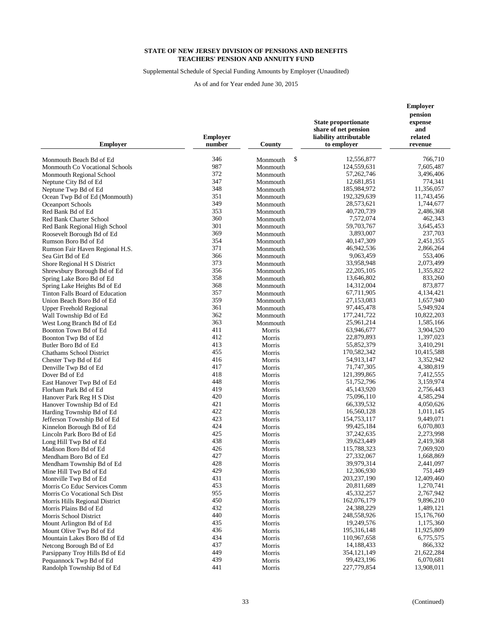Supplemental Schedule of Special Funding Amounts by Employer (Unaudited)

| 346<br>\$<br>12,556,877<br>766.710<br>Monmouth Beach Bd of Ed<br>Monmouth<br>987<br>124,559,631<br>7,605,487<br>Monmouth Co Vocational Schools<br>Monmouth<br>372<br>57,262,746<br>3,496,406<br>Monmouth Regional School<br>Monmouth<br>347<br>12,681,851<br>774,341<br>Neptune City Bd of Ed<br>Monmouth<br>348<br>185,984,972<br>11,356,057<br>Neptune Twp Bd of Ed<br>Monmouth<br>351<br>192,329,639<br>11,743,456<br>Ocean Twp Bd of Ed (Monmouth)<br>Monmouth<br>349<br>28,573,621<br>1,744,677<br><b>Oceanport Schools</b><br>Monmouth<br>353<br>40,720,739<br>2,486,368<br>Red Bank Bd of Ed<br>Monmouth<br>360<br>7,572,074<br>462,343<br>Red Bank Charter School<br>Monmouth<br>301<br>59,703,767<br>3,645,453<br>Red Bank Regional High School<br>Monmouth<br>369<br>3,893,007<br>237,703<br>Roosevelt Borough Bd of Ed<br>Monmouth<br>354<br>40,147,309<br>2,451,355<br>Rumson Boro Bd of Ed<br>Monmouth<br>371<br>46,942,536<br>2,866,264<br>Monmouth<br>Rumson Fair Haven Regional H.S.<br>366<br>9,063,459<br>553,406<br>Sea Girt Bd of Ed<br>Monmouth<br>373<br>33,958,948<br>2,073,499<br>Shore Regional H S District<br>Monmouth<br>356<br>22, 205, 105<br>1,355,822<br>Shrewsbury Borough Bd of Ed<br>Monmouth<br>358<br>13,646,802<br>833,260<br>Spring Lake Boro Bd of Ed<br>Monmouth<br>368<br>14,312,004<br>873,877<br>Spring Lake Heights Bd of Ed<br>Monmouth<br>357<br>67,711,905<br>4,134,421<br>Tinton Falls Board of Education<br>Monmouth<br>359<br>27,153,083<br>1,657,940<br>Union Beach Boro Bd of Ed<br>Monmouth<br>361<br>97,445,478<br>5,949,924<br>Monmouth<br>Upper Freehold Regional<br>362<br>177,241,722<br>10,822,203<br>Wall Township Bd of Ed<br>Monmouth<br>363<br>25,961,214<br>1,585,166<br>West Long Branch Bd of Ed<br>Monmouth<br>411<br>63,946,677<br>3,904,520<br>Boonton Town Bd of Ed<br>Morris<br>412<br>22,879,893<br>1,397,023<br>Boonton Twp Bd of Ed<br>Morris<br>413<br>Morris<br>55,852,379<br>3,410,291<br>Butler Boro Bd of Ed<br>455<br>170,582,342<br>10,415,588<br><b>Chathams School District</b><br>Morris<br>416<br>54,913,147<br>3,352,942<br>Chester Twp Bd of Ed<br>Morris<br>417<br>71,747,305<br>4,380,819<br>Denville Twp Bd of Ed<br>Morris<br>418<br>121,399,865<br>7,412,555<br>Dover Bd of Ed<br>Morris<br>448<br>51,752,796<br>3,159,974<br>East Hanover Twp Bd of Ed<br>Morris<br>419<br>45,143,920<br>2,756,443<br>Florham Park Bd of Ed<br>Morris<br>420<br>75,096,110<br>4,585,294<br>Hanover Park Reg H S Dist<br>Morris<br>421<br>66,339,532<br>4,050,626<br>Hanover Township Bd of Ed<br>Morris<br>422<br>16,560,128<br>1,011,145<br>Harding Township Bd of Ed<br>Morris<br>423<br>154,753,117<br>9,449,071<br>Jefferson Township Bd of Ed<br>Morris<br>424<br>99,425,184<br>6,070,803<br>Kinnelon Borough Bd of Ed<br>Morris<br>425<br>37,242,635<br>2,273,998<br>Lincoln Park Boro Bd of Ed<br>Morris<br>438<br>39,623,449<br>2,419,368<br>Morris<br>Long Hill Twp Bd of Ed<br>426<br>115,788,323<br>Madison Boro Bd of Ed<br>7,069,920<br>Morris<br>427<br>27,332,067<br>1,668,869<br>Mendham Boro Bd of Ed<br>Morris<br>428<br>39,979,314<br>2,441,097<br>Mendham Township Bd of Ed<br>Morris<br>429<br>12,306,930<br>751,449<br>Mine Hill Twp Bd of Ed<br>Morris<br>431<br>203,237,190<br>12,409,460<br>Montville Twp Bd of Ed<br>Morris<br>453<br>20,811,689<br>1,270,741<br>Morris Co Educ Services Comm<br>Morris<br>955<br>45,332,257<br>Morris Co Vocational Sch Dist<br>Morris<br>2,767,942<br>450<br>162,076,179<br>9,896,210<br>Morris Hills Regional District<br>Morris<br>432<br>24,388,229<br>1,489,121<br>Morris Plains Bd of Ed<br>Morris<br>440<br>248,558,926<br>15,176,760<br>Morris School District<br>Morris<br>435<br>19,249,576<br>1,175,360<br>Mount Arlington Bd of Ed<br>Morris<br>436<br>195,316,148<br>11,925,809<br>Mount Olive Twp Bd of Ed<br>Morris<br>434<br>6,775,575<br>110,967,658<br>Mountain Lakes Boro Bd of Ed<br>Morris<br>437<br>14,188,433<br>866,332<br>Netcong Borough Bd of Ed<br>Morris<br>449<br>354, 121, 149<br>21,622,284<br>Parsippany Troy Hills Bd of Ed<br>Morris<br>439<br>99,423,196<br>6,070,681<br>Pequannock Twp Bd of Ed<br>Morris<br>441<br>227,779,854<br>13,908,011<br>Randolph Township Bd of Ed<br>Morris | <b>Employer</b> | <b>Employer</b><br>number | County | <b>State proportionate</b><br>share of net pension<br>liability attributable<br>to employer | <b>Employer</b><br>pension<br>expense<br>and<br>related<br>revenue |
|---------------------------------------------------------------------------------------------------------------------------------------------------------------------------------------------------------------------------------------------------------------------------------------------------------------------------------------------------------------------------------------------------------------------------------------------------------------------------------------------------------------------------------------------------------------------------------------------------------------------------------------------------------------------------------------------------------------------------------------------------------------------------------------------------------------------------------------------------------------------------------------------------------------------------------------------------------------------------------------------------------------------------------------------------------------------------------------------------------------------------------------------------------------------------------------------------------------------------------------------------------------------------------------------------------------------------------------------------------------------------------------------------------------------------------------------------------------------------------------------------------------------------------------------------------------------------------------------------------------------------------------------------------------------------------------------------------------------------------------------------------------------------------------------------------------------------------------------------------------------------------------------------------------------------------------------------------------------------------------------------------------------------------------------------------------------------------------------------------------------------------------------------------------------------------------------------------------------------------------------------------------------------------------------------------------------------------------------------------------------------------------------------------------------------------------------------------------------------------------------------------------------------------------------------------------------------------------------------------------------------------------------------------------------------------------------------------------------------------------------------------------------------------------------------------------------------------------------------------------------------------------------------------------------------------------------------------------------------------------------------------------------------------------------------------------------------------------------------------------------------------------------------------------------------------------------------------------------------------------------------------------------------------------------------------------------------------------------------------------------------------------------------------------------------------------------------------------------------------------------------------------------------------------------------------------------------------------------------------------------------------------------------------------------------------------------------------------------------------------------------------------------------------------------------------------------------------------------------------------------------------------------------------------------------------------------------------------------------------------------------------------------------------------------------------------------------------------------------------------------------------------------------------------------------------------------------------------------------------------------------------------------|-----------------|---------------------------|--------|---------------------------------------------------------------------------------------------|--------------------------------------------------------------------|
|                                                                                                                                                                                                                                                                                                                                                                                                                                                                                                                                                                                                                                                                                                                                                                                                                                                                                                                                                                                                                                                                                                                                                                                                                                                                                                                                                                                                                                                                                                                                                                                                                                                                                                                                                                                                                                                                                                                                                                                                                                                                                                                                                                                                                                                                                                                                                                                                                                                                                                                                                                                                                                                                                                                                                                                                                                                                                                                                                                                                                                                                                                                                                                                                                                                                                                                                                                                                                                                                                                                                                                                                                                                                                                                                                                                                                                                                                                                                                                                                                                                                                                                                                                                                                                                                     |                 |                           |        |                                                                                             |                                                                    |
|                                                                                                                                                                                                                                                                                                                                                                                                                                                                                                                                                                                                                                                                                                                                                                                                                                                                                                                                                                                                                                                                                                                                                                                                                                                                                                                                                                                                                                                                                                                                                                                                                                                                                                                                                                                                                                                                                                                                                                                                                                                                                                                                                                                                                                                                                                                                                                                                                                                                                                                                                                                                                                                                                                                                                                                                                                                                                                                                                                                                                                                                                                                                                                                                                                                                                                                                                                                                                                                                                                                                                                                                                                                                                                                                                                                                                                                                                                                                                                                                                                                                                                                                                                                                                                                                     |                 |                           |        |                                                                                             |                                                                    |
|                                                                                                                                                                                                                                                                                                                                                                                                                                                                                                                                                                                                                                                                                                                                                                                                                                                                                                                                                                                                                                                                                                                                                                                                                                                                                                                                                                                                                                                                                                                                                                                                                                                                                                                                                                                                                                                                                                                                                                                                                                                                                                                                                                                                                                                                                                                                                                                                                                                                                                                                                                                                                                                                                                                                                                                                                                                                                                                                                                                                                                                                                                                                                                                                                                                                                                                                                                                                                                                                                                                                                                                                                                                                                                                                                                                                                                                                                                                                                                                                                                                                                                                                                                                                                                                                     |                 |                           |        |                                                                                             |                                                                    |
|                                                                                                                                                                                                                                                                                                                                                                                                                                                                                                                                                                                                                                                                                                                                                                                                                                                                                                                                                                                                                                                                                                                                                                                                                                                                                                                                                                                                                                                                                                                                                                                                                                                                                                                                                                                                                                                                                                                                                                                                                                                                                                                                                                                                                                                                                                                                                                                                                                                                                                                                                                                                                                                                                                                                                                                                                                                                                                                                                                                                                                                                                                                                                                                                                                                                                                                                                                                                                                                                                                                                                                                                                                                                                                                                                                                                                                                                                                                                                                                                                                                                                                                                                                                                                                                                     |                 |                           |        |                                                                                             |                                                                    |
|                                                                                                                                                                                                                                                                                                                                                                                                                                                                                                                                                                                                                                                                                                                                                                                                                                                                                                                                                                                                                                                                                                                                                                                                                                                                                                                                                                                                                                                                                                                                                                                                                                                                                                                                                                                                                                                                                                                                                                                                                                                                                                                                                                                                                                                                                                                                                                                                                                                                                                                                                                                                                                                                                                                                                                                                                                                                                                                                                                                                                                                                                                                                                                                                                                                                                                                                                                                                                                                                                                                                                                                                                                                                                                                                                                                                                                                                                                                                                                                                                                                                                                                                                                                                                                                                     |                 |                           |        |                                                                                             |                                                                    |
|                                                                                                                                                                                                                                                                                                                                                                                                                                                                                                                                                                                                                                                                                                                                                                                                                                                                                                                                                                                                                                                                                                                                                                                                                                                                                                                                                                                                                                                                                                                                                                                                                                                                                                                                                                                                                                                                                                                                                                                                                                                                                                                                                                                                                                                                                                                                                                                                                                                                                                                                                                                                                                                                                                                                                                                                                                                                                                                                                                                                                                                                                                                                                                                                                                                                                                                                                                                                                                                                                                                                                                                                                                                                                                                                                                                                                                                                                                                                                                                                                                                                                                                                                                                                                                                                     |                 |                           |        |                                                                                             |                                                                    |
|                                                                                                                                                                                                                                                                                                                                                                                                                                                                                                                                                                                                                                                                                                                                                                                                                                                                                                                                                                                                                                                                                                                                                                                                                                                                                                                                                                                                                                                                                                                                                                                                                                                                                                                                                                                                                                                                                                                                                                                                                                                                                                                                                                                                                                                                                                                                                                                                                                                                                                                                                                                                                                                                                                                                                                                                                                                                                                                                                                                                                                                                                                                                                                                                                                                                                                                                                                                                                                                                                                                                                                                                                                                                                                                                                                                                                                                                                                                                                                                                                                                                                                                                                                                                                                                                     |                 |                           |        |                                                                                             |                                                                    |
|                                                                                                                                                                                                                                                                                                                                                                                                                                                                                                                                                                                                                                                                                                                                                                                                                                                                                                                                                                                                                                                                                                                                                                                                                                                                                                                                                                                                                                                                                                                                                                                                                                                                                                                                                                                                                                                                                                                                                                                                                                                                                                                                                                                                                                                                                                                                                                                                                                                                                                                                                                                                                                                                                                                                                                                                                                                                                                                                                                                                                                                                                                                                                                                                                                                                                                                                                                                                                                                                                                                                                                                                                                                                                                                                                                                                                                                                                                                                                                                                                                                                                                                                                                                                                                                                     |                 |                           |        |                                                                                             |                                                                    |
|                                                                                                                                                                                                                                                                                                                                                                                                                                                                                                                                                                                                                                                                                                                                                                                                                                                                                                                                                                                                                                                                                                                                                                                                                                                                                                                                                                                                                                                                                                                                                                                                                                                                                                                                                                                                                                                                                                                                                                                                                                                                                                                                                                                                                                                                                                                                                                                                                                                                                                                                                                                                                                                                                                                                                                                                                                                                                                                                                                                                                                                                                                                                                                                                                                                                                                                                                                                                                                                                                                                                                                                                                                                                                                                                                                                                                                                                                                                                                                                                                                                                                                                                                                                                                                                                     |                 |                           |        |                                                                                             |                                                                    |
|                                                                                                                                                                                                                                                                                                                                                                                                                                                                                                                                                                                                                                                                                                                                                                                                                                                                                                                                                                                                                                                                                                                                                                                                                                                                                                                                                                                                                                                                                                                                                                                                                                                                                                                                                                                                                                                                                                                                                                                                                                                                                                                                                                                                                                                                                                                                                                                                                                                                                                                                                                                                                                                                                                                                                                                                                                                                                                                                                                                                                                                                                                                                                                                                                                                                                                                                                                                                                                                                                                                                                                                                                                                                                                                                                                                                                                                                                                                                                                                                                                                                                                                                                                                                                                                                     |                 |                           |        |                                                                                             |                                                                    |
|                                                                                                                                                                                                                                                                                                                                                                                                                                                                                                                                                                                                                                                                                                                                                                                                                                                                                                                                                                                                                                                                                                                                                                                                                                                                                                                                                                                                                                                                                                                                                                                                                                                                                                                                                                                                                                                                                                                                                                                                                                                                                                                                                                                                                                                                                                                                                                                                                                                                                                                                                                                                                                                                                                                                                                                                                                                                                                                                                                                                                                                                                                                                                                                                                                                                                                                                                                                                                                                                                                                                                                                                                                                                                                                                                                                                                                                                                                                                                                                                                                                                                                                                                                                                                                                                     |                 |                           |        |                                                                                             |                                                                    |
|                                                                                                                                                                                                                                                                                                                                                                                                                                                                                                                                                                                                                                                                                                                                                                                                                                                                                                                                                                                                                                                                                                                                                                                                                                                                                                                                                                                                                                                                                                                                                                                                                                                                                                                                                                                                                                                                                                                                                                                                                                                                                                                                                                                                                                                                                                                                                                                                                                                                                                                                                                                                                                                                                                                                                                                                                                                                                                                                                                                                                                                                                                                                                                                                                                                                                                                                                                                                                                                                                                                                                                                                                                                                                                                                                                                                                                                                                                                                                                                                                                                                                                                                                                                                                                                                     |                 |                           |        |                                                                                             |                                                                    |
|                                                                                                                                                                                                                                                                                                                                                                                                                                                                                                                                                                                                                                                                                                                                                                                                                                                                                                                                                                                                                                                                                                                                                                                                                                                                                                                                                                                                                                                                                                                                                                                                                                                                                                                                                                                                                                                                                                                                                                                                                                                                                                                                                                                                                                                                                                                                                                                                                                                                                                                                                                                                                                                                                                                                                                                                                                                                                                                                                                                                                                                                                                                                                                                                                                                                                                                                                                                                                                                                                                                                                                                                                                                                                                                                                                                                                                                                                                                                                                                                                                                                                                                                                                                                                                                                     |                 |                           |        |                                                                                             |                                                                    |
|                                                                                                                                                                                                                                                                                                                                                                                                                                                                                                                                                                                                                                                                                                                                                                                                                                                                                                                                                                                                                                                                                                                                                                                                                                                                                                                                                                                                                                                                                                                                                                                                                                                                                                                                                                                                                                                                                                                                                                                                                                                                                                                                                                                                                                                                                                                                                                                                                                                                                                                                                                                                                                                                                                                                                                                                                                                                                                                                                                                                                                                                                                                                                                                                                                                                                                                                                                                                                                                                                                                                                                                                                                                                                                                                                                                                                                                                                                                                                                                                                                                                                                                                                                                                                                                                     |                 |                           |        |                                                                                             |                                                                    |
|                                                                                                                                                                                                                                                                                                                                                                                                                                                                                                                                                                                                                                                                                                                                                                                                                                                                                                                                                                                                                                                                                                                                                                                                                                                                                                                                                                                                                                                                                                                                                                                                                                                                                                                                                                                                                                                                                                                                                                                                                                                                                                                                                                                                                                                                                                                                                                                                                                                                                                                                                                                                                                                                                                                                                                                                                                                                                                                                                                                                                                                                                                                                                                                                                                                                                                                                                                                                                                                                                                                                                                                                                                                                                                                                                                                                                                                                                                                                                                                                                                                                                                                                                                                                                                                                     |                 |                           |        |                                                                                             |                                                                    |
|                                                                                                                                                                                                                                                                                                                                                                                                                                                                                                                                                                                                                                                                                                                                                                                                                                                                                                                                                                                                                                                                                                                                                                                                                                                                                                                                                                                                                                                                                                                                                                                                                                                                                                                                                                                                                                                                                                                                                                                                                                                                                                                                                                                                                                                                                                                                                                                                                                                                                                                                                                                                                                                                                                                                                                                                                                                                                                                                                                                                                                                                                                                                                                                                                                                                                                                                                                                                                                                                                                                                                                                                                                                                                                                                                                                                                                                                                                                                                                                                                                                                                                                                                                                                                                                                     |                 |                           |        |                                                                                             |                                                                    |
|                                                                                                                                                                                                                                                                                                                                                                                                                                                                                                                                                                                                                                                                                                                                                                                                                                                                                                                                                                                                                                                                                                                                                                                                                                                                                                                                                                                                                                                                                                                                                                                                                                                                                                                                                                                                                                                                                                                                                                                                                                                                                                                                                                                                                                                                                                                                                                                                                                                                                                                                                                                                                                                                                                                                                                                                                                                                                                                                                                                                                                                                                                                                                                                                                                                                                                                                                                                                                                                                                                                                                                                                                                                                                                                                                                                                                                                                                                                                                                                                                                                                                                                                                                                                                                                                     |                 |                           |        |                                                                                             |                                                                    |
|                                                                                                                                                                                                                                                                                                                                                                                                                                                                                                                                                                                                                                                                                                                                                                                                                                                                                                                                                                                                                                                                                                                                                                                                                                                                                                                                                                                                                                                                                                                                                                                                                                                                                                                                                                                                                                                                                                                                                                                                                                                                                                                                                                                                                                                                                                                                                                                                                                                                                                                                                                                                                                                                                                                                                                                                                                                                                                                                                                                                                                                                                                                                                                                                                                                                                                                                                                                                                                                                                                                                                                                                                                                                                                                                                                                                                                                                                                                                                                                                                                                                                                                                                                                                                                                                     |                 |                           |        |                                                                                             |                                                                    |
|                                                                                                                                                                                                                                                                                                                                                                                                                                                                                                                                                                                                                                                                                                                                                                                                                                                                                                                                                                                                                                                                                                                                                                                                                                                                                                                                                                                                                                                                                                                                                                                                                                                                                                                                                                                                                                                                                                                                                                                                                                                                                                                                                                                                                                                                                                                                                                                                                                                                                                                                                                                                                                                                                                                                                                                                                                                                                                                                                                                                                                                                                                                                                                                                                                                                                                                                                                                                                                                                                                                                                                                                                                                                                                                                                                                                                                                                                                                                                                                                                                                                                                                                                                                                                                                                     |                 |                           |        |                                                                                             |                                                                    |
|                                                                                                                                                                                                                                                                                                                                                                                                                                                                                                                                                                                                                                                                                                                                                                                                                                                                                                                                                                                                                                                                                                                                                                                                                                                                                                                                                                                                                                                                                                                                                                                                                                                                                                                                                                                                                                                                                                                                                                                                                                                                                                                                                                                                                                                                                                                                                                                                                                                                                                                                                                                                                                                                                                                                                                                                                                                                                                                                                                                                                                                                                                                                                                                                                                                                                                                                                                                                                                                                                                                                                                                                                                                                                                                                                                                                                                                                                                                                                                                                                                                                                                                                                                                                                                                                     |                 |                           |        |                                                                                             |                                                                    |
|                                                                                                                                                                                                                                                                                                                                                                                                                                                                                                                                                                                                                                                                                                                                                                                                                                                                                                                                                                                                                                                                                                                                                                                                                                                                                                                                                                                                                                                                                                                                                                                                                                                                                                                                                                                                                                                                                                                                                                                                                                                                                                                                                                                                                                                                                                                                                                                                                                                                                                                                                                                                                                                                                                                                                                                                                                                                                                                                                                                                                                                                                                                                                                                                                                                                                                                                                                                                                                                                                                                                                                                                                                                                                                                                                                                                                                                                                                                                                                                                                                                                                                                                                                                                                                                                     |                 |                           |        |                                                                                             |                                                                    |
|                                                                                                                                                                                                                                                                                                                                                                                                                                                                                                                                                                                                                                                                                                                                                                                                                                                                                                                                                                                                                                                                                                                                                                                                                                                                                                                                                                                                                                                                                                                                                                                                                                                                                                                                                                                                                                                                                                                                                                                                                                                                                                                                                                                                                                                                                                                                                                                                                                                                                                                                                                                                                                                                                                                                                                                                                                                                                                                                                                                                                                                                                                                                                                                                                                                                                                                                                                                                                                                                                                                                                                                                                                                                                                                                                                                                                                                                                                                                                                                                                                                                                                                                                                                                                                                                     |                 |                           |        |                                                                                             |                                                                    |
|                                                                                                                                                                                                                                                                                                                                                                                                                                                                                                                                                                                                                                                                                                                                                                                                                                                                                                                                                                                                                                                                                                                                                                                                                                                                                                                                                                                                                                                                                                                                                                                                                                                                                                                                                                                                                                                                                                                                                                                                                                                                                                                                                                                                                                                                                                                                                                                                                                                                                                                                                                                                                                                                                                                                                                                                                                                                                                                                                                                                                                                                                                                                                                                                                                                                                                                                                                                                                                                                                                                                                                                                                                                                                                                                                                                                                                                                                                                                                                                                                                                                                                                                                                                                                                                                     |                 |                           |        |                                                                                             |                                                                    |
|                                                                                                                                                                                                                                                                                                                                                                                                                                                                                                                                                                                                                                                                                                                                                                                                                                                                                                                                                                                                                                                                                                                                                                                                                                                                                                                                                                                                                                                                                                                                                                                                                                                                                                                                                                                                                                                                                                                                                                                                                                                                                                                                                                                                                                                                                                                                                                                                                                                                                                                                                                                                                                                                                                                                                                                                                                                                                                                                                                                                                                                                                                                                                                                                                                                                                                                                                                                                                                                                                                                                                                                                                                                                                                                                                                                                                                                                                                                                                                                                                                                                                                                                                                                                                                                                     |                 |                           |        |                                                                                             |                                                                    |
|                                                                                                                                                                                                                                                                                                                                                                                                                                                                                                                                                                                                                                                                                                                                                                                                                                                                                                                                                                                                                                                                                                                                                                                                                                                                                                                                                                                                                                                                                                                                                                                                                                                                                                                                                                                                                                                                                                                                                                                                                                                                                                                                                                                                                                                                                                                                                                                                                                                                                                                                                                                                                                                                                                                                                                                                                                                                                                                                                                                                                                                                                                                                                                                                                                                                                                                                                                                                                                                                                                                                                                                                                                                                                                                                                                                                                                                                                                                                                                                                                                                                                                                                                                                                                                                                     |                 |                           |        |                                                                                             |                                                                    |
|                                                                                                                                                                                                                                                                                                                                                                                                                                                                                                                                                                                                                                                                                                                                                                                                                                                                                                                                                                                                                                                                                                                                                                                                                                                                                                                                                                                                                                                                                                                                                                                                                                                                                                                                                                                                                                                                                                                                                                                                                                                                                                                                                                                                                                                                                                                                                                                                                                                                                                                                                                                                                                                                                                                                                                                                                                                                                                                                                                                                                                                                                                                                                                                                                                                                                                                                                                                                                                                                                                                                                                                                                                                                                                                                                                                                                                                                                                                                                                                                                                                                                                                                                                                                                                                                     |                 |                           |        |                                                                                             |                                                                    |
|                                                                                                                                                                                                                                                                                                                                                                                                                                                                                                                                                                                                                                                                                                                                                                                                                                                                                                                                                                                                                                                                                                                                                                                                                                                                                                                                                                                                                                                                                                                                                                                                                                                                                                                                                                                                                                                                                                                                                                                                                                                                                                                                                                                                                                                                                                                                                                                                                                                                                                                                                                                                                                                                                                                                                                                                                                                                                                                                                                                                                                                                                                                                                                                                                                                                                                                                                                                                                                                                                                                                                                                                                                                                                                                                                                                                                                                                                                                                                                                                                                                                                                                                                                                                                                                                     |                 |                           |        |                                                                                             |                                                                    |
|                                                                                                                                                                                                                                                                                                                                                                                                                                                                                                                                                                                                                                                                                                                                                                                                                                                                                                                                                                                                                                                                                                                                                                                                                                                                                                                                                                                                                                                                                                                                                                                                                                                                                                                                                                                                                                                                                                                                                                                                                                                                                                                                                                                                                                                                                                                                                                                                                                                                                                                                                                                                                                                                                                                                                                                                                                                                                                                                                                                                                                                                                                                                                                                                                                                                                                                                                                                                                                                                                                                                                                                                                                                                                                                                                                                                                                                                                                                                                                                                                                                                                                                                                                                                                                                                     |                 |                           |        |                                                                                             |                                                                    |
|                                                                                                                                                                                                                                                                                                                                                                                                                                                                                                                                                                                                                                                                                                                                                                                                                                                                                                                                                                                                                                                                                                                                                                                                                                                                                                                                                                                                                                                                                                                                                                                                                                                                                                                                                                                                                                                                                                                                                                                                                                                                                                                                                                                                                                                                                                                                                                                                                                                                                                                                                                                                                                                                                                                                                                                                                                                                                                                                                                                                                                                                                                                                                                                                                                                                                                                                                                                                                                                                                                                                                                                                                                                                                                                                                                                                                                                                                                                                                                                                                                                                                                                                                                                                                                                                     |                 |                           |        |                                                                                             |                                                                    |
|                                                                                                                                                                                                                                                                                                                                                                                                                                                                                                                                                                                                                                                                                                                                                                                                                                                                                                                                                                                                                                                                                                                                                                                                                                                                                                                                                                                                                                                                                                                                                                                                                                                                                                                                                                                                                                                                                                                                                                                                                                                                                                                                                                                                                                                                                                                                                                                                                                                                                                                                                                                                                                                                                                                                                                                                                                                                                                                                                                                                                                                                                                                                                                                                                                                                                                                                                                                                                                                                                                                                                                                                                                                                                                                                                                                                                                                                                                                                                                                                                                                                                                                                                                                                                                                                     |                 |                           |        |                                                                                             |                                                                    |
|                                                                                                                                                                                                                                                                                                                                                                                                                                                                                                                                                                                                                                                                                                                                                                                                                                                                                                                                                                                                                                                                                                                                                                                                                                                                                                                                                                                                                                                                                                                                                                                                                                                                                                                                                                                                                                                                                                                                                                                                                                                                                                                                                                                                                                                                                                                                                                                                                                                                                                                                                                                                                                                                                                                                                                                                                                                                                                                                                                                                                                                                                                                                                                                                                                                                                                                                                                                                                                                                                                                                                                                                                                                                                                                                                                                                                                                                                                                                                                                                                                                                                                                                                                                                                                                                     |                 |                           |        |                                                                                             |                                                                    |
|                                                                                                                                                                                                                                                                                                                                                                                                                                                                                                                                                                                                                                                                                                                                                                                                                                                                                                                                                                                                                                                                                                                                                                                                                                                                                                                                                                                                                                                                                                                                                                                                                                                                                                                                                                                                                                                                                                                                                                                                                                                                                                                                                                                                                                                                                                                                                                                                                                                                                                                                                                                                                                                                                                                                                                                                                                                                                                                                                                                                                                                                                                                                                                                                                                                                                                                                                                                                                                                                                                                                                                                                                                                                                                                                                                                                                                                                                                                                                                                                                                                                                                                                                                                                                                                                     |                 |                           |        |                                                                                             |                                                                    |
|                                                                                                                                                                                                                                                                                                                                                                                                                                                                                                                                                                                                                                                                                                                                                                                                                                                                                                                                                                                                                                                                                                                                                                                                                                                                                                                                                                                                                                                                                                                                                                                                                                                                                                                                                                                                                                                                                                                                                                                                                                                                                                                                                                                                                                                                                                                                                                                                                                                                                                                                                                                                                                                                                                                                                                                                                                                                                                                                                                                                                                                                                                                                                                                                                                                                                                                                                                                                                                                                                                                                                                                                                                                                                                                                                                                                                                                                                                                                                                                                                                                                                                                                                                                                                                                                     |                 |                           |        |                                                                                             |                                                                    |
|                                                                                                                                                                                                                                                                                                                                                                                                                                                                                                                                                                                                                                                                                                                                                                                                                                                                                                                                                                                                                                                                                                                                                                                                                                                                                                                                                                                                                                                                                                                                                                                                                                                                                                                                                                                                                                                                                                                                                                                                                                                                                                                                                                                                                                                                                                                                                                                                                                                                                                                                                                                                                                                                                                                                                                                                                                                                                                                                                                                                                                                                                                                                                                                                                                                                                                                                                                                                                                                                                                                                                                                                                                                                                                                                                                                                                                                                                                                                                                                                                                                                                                                                                                                                                                                                     |                 |                           |        |                                                                                             |                                                                    |
|                                                                                                                                                                                                                                                                                                                                                                                                                                                                                                                                                                                                                                                                                                                                                                                                                                                                                                                                                                                                                                                                                                                                                                                                                                                                                                                                                                                                                                                                                                                                                                                                                                                                                                                                                                                                                                                                                                                                                                                                                                                                                                                                                                                                                                                                                                                                                                                                                                                                                                                                                                                                                                                                                                                                                                                                                                                                                                                                                                                                                                                                                                                                                                                                                                                                                                                                                                                                                                                                                                                                                                                                                                                                                                                                                                                                                                                                                                                                                                                                                                                                                                                                                                                                                                                                     |                 |                           |        |                                                                                             |                                                                    |
|                                                                                                                                                                                                                                                                                                                                                                                                                                                                                                                                                                                                                                                                                                                                                                                                                                                                                                                                                                                                                                                                                                                                                                                                                                                                                                                                                                                                                                                                                                                                                                                                                                                                                                                                                                                                                                                                                                                                                                                                                                                                                                                                                                                                                                                                                                                                                                                                                                                                                                                                                                                                                                                                                                                                                                                                                                                                                                                                                                                                                                                                                                                                                                                                                                                                                                                                                                                                                                                                                                                                                                                                                                                                                                                                                                                                                                                                                                                                                                                                                                                                                                                                                                                                                                                                     |                 |                           |        |                                                                                             |                                                                    |
|                                                                                                                                                                                                                                                                                                                                                                                                                                                                                                                                                                                                                                                                                                                                                                                                                                                                                                                                                                                                                                                                                                                                                                                                                                                                                                                                                                                                                                                                                                                                                                                                                                                                                                                                                                                                                                                                                                                                                                                                                                                                                                                                                                                                                                                                                                                                                                                                                                                                                                                                                                                                                                                                                                                                                                                                                                                                                                                                                                                                                                                                                                                                                                                                                                                                                                                                                                                                                                                                                                                                                                                                                                                                                                                                                                                                                                                                                                                                                                                                                                                                                                                                                                                                                                                                     |                 |                           |        |                                                                                             |                                                                    |
|                                                                                                                                                                                                                                                                                                                                                                                                                                                                                                                                                                                                                                                                                                                                                                                                                                                                                                                                                                                                                                                                                                                                                                                                                                                                                                                                                                                                                                                                                                                                                                                                                                                                                                                                                                                                                                                                                                                                                                                                                                                                                                                                                                                                                                                                                                                                                                                                                                                                                                                                                                                                                                                                                                                                                                                                                                                                                                                                                                                                                                                                                                                                                                                                                                                                                                                                                                                                                                                                                                                                                                                                                                                                                                                                                                                                                                                                                                                                                                                                                                                                                                                                                                                                                                                                     |                 |                           |        |                                                                                             |                                                                    |
|                                                                                                                                                                                                                                                                                                                                                                                                                                                                                                                                                                                                                                                                                                                                                                                                                                                                                                                                                                                                                                                                                                                                                                                                                                                                                                                                                                                                                                                                                                                                                                                                                                                                                                                                                                                                                                                                                                                                                                                                                                                                                                                                                                                                                                                                                                                                                                                                                                                                                                                                                                                                                                                                                                                                                                                                                                                                                                                                                                                                                                                                                                                                                                                                                                                                                                                                                                                                                                                                                                                                                                                                                                                                                                                                                                                                                                                                                                                                                                                                                                                                                                                                                                                                                                                                     |                 |                           |        |                                                                                             |                                                                    |
|                                                                                                                                                                                                                                                                                                                                                                                                                                                                                                                                                                                                                                                                                                                                                                                                                                                                                                                                                                                                                                                                                                                                                                                                                                                                                                                                                                                                                                                                                                                                                                                                                                                                                                                                                                                                                                                                                                                                                                                                                                                                                                                                                                                                                                                                                                                                                                                                                                                                                                                                                                                                                                                                                                                                                                                                                                                                                                                                                                                                                                                                                                                                                                                                                                                                                                                                                                                                                                                                                                                                                                                                                                                                                                                                                                                                                                                                                                                                                                                                                                                                                                                                                                                                                                                                     |                 |                           |        |                                                                                             |                                                                    |
|                                                                                                                                                                                                                                                                                                                                                                                                                                                                                                                                                                                                                                                                                                                                                                                                                                                                                                                                                                                                                                                                                                                                                                                                                                                                                                                                                                                                                                                                                                                                                                                                                                                                                                                                                                                                                                                                                                                                                                                                                                                                                                                                                                                                                                                                                                                                                                                                                                                                                                                                                                                                                                                                                                                                                                                                                                                                                                                                                                                                                                                                                                                                                                                                                                                                                                                                                                                                                                                                                                                                                                                                                                                                                                                                                                                                                                                                                                                                                                                                                                                                                                                                                                                                                                                                     |                 |                           |        |                                                                                             |                                                                    |
|                                                                                                                                                                                                                                                                                                                                                                                                                                                                                                                                                                                                                                                                                                                                                                                                                                                                                                                                                                                                                                                                                                                                                                                                                                                                                                                                                                                                                                                                                                                                                                                                                                                                                                                                                                                                                                                                                                                                                                                                                                                                                                                                                                                                                                                                                                                                                                                                                                                                                                                                                                                                                                                                                                                                                                                                                                                                                                                                                                                                                                                                                                                                                                                                                                                                                                                                                                                                                                                                                                                                                                                                                                                                                                                                                                                                                                                                                                                                                                                                                                                                                                                                                                                                                                                                     |                 |                           |        |                                                                                             |                                                                    |
|                                                                                                                                                                                                                                                                                                                                                                                                                                                                                                                                                                                                                                                                                                                                                                                                                                                                                                                                                                                                                                                                                                                                                                                                                                                                                                                                                                                                                                                                                                                                                                                                                                                                                                                                                                                                                                                                                                                                                                                                                                                                                                                                                                                                                                                                                                                                                                                                                                                                                                                                                                                                                                                                                                                                                                                                                                                                                                                                                                                                                                                                                                                                                                                                                                                                                                                                                                                                                                                                                                                                                                                                                                                                                                                                                                                                                                                                                                                                                                                                                                                                                                                                                                                                                                                                     |                 |                           |        |                                                                                             |                                                                    |
|                                                                                                                                                                                                                                                                                                                                                                                                                                                                                                                                                                                                                                                                                                                                                                                                                                                                                                                                                                                                                                                                                                                                                                                                                                                                                                                                                                                                                                                                                                                                                                                                                                                                                                                                                                                                                                                                                                                                                                                                                                                                                                                                                                                                                                                                                                                                                                                                                                                                                                                                                                                                                                                                                                                                                                                                                                                                                                                                                                                                                                                                                                                                                                                                                                                                                                                                                                                                                                                                                                                                                                                                                                                                                                                                                                                                                                                                                                                                                                                                                                                                                                                                                                                                                                                                     |                 |                           |        |                                                                                             |                                                                    |
|                                                                                                                                                                                                                                                                                                                                                                                                                                                                                                                                                                                                                                                                                                                                                                                                                                                                                                                                                                                                                                                                                                                                                                                                                                                                                                                                                                                                                                                                                                                                                                                                                                                                                                                                                                                                                                                                                                                                                                                                                                                                                                                                                                                                                                                                                                                                                                                                                                                                                                                                                                                                                                                                                                                                                                                                                                                                                                                                                                                                                                                                                                                                                                                                                                                                                                                                                                                                                                                                                                                                                                                                                                                                                                                                                                                                                                                                                                                                                                                                                                                                                                                                                                                                                                                                     |                 |                           |        |                                                                                             |                                                                    |
|                                                                                                                                                                                                                                                                                                                                                                                                                                                                                                                                                                                                                                                                                                                                                                                                                                                                                                                                                                                                                                                                                                                                                                                                                                                                                                                                                                                                                                                                                                                                                                                                                                                                                                                                                                                                                                                                                                                                                                                                                                                                                                                                                                                                                                                                                                                                                                                                                                                                                                                                                                                                                                                                                                                                                                                                                                                                                                                                                                                                                                                                                                                                                                                                                                                                                                                                                                                                                                                                                                                                                                                                                                                                                                                                                                                                                                                                                                                                                                                                                                                                                                                                                                                                                                                                     |                 |                           |        |                                                                                             |                                                                    |
|                                                                                                                                                                                                                                                                                                                                                                                                                                                                                                                                                                                                                                                                                                                                                                                                                                                                                                                                                                                                                                                                                                                                                                                                                                                                                                                                                                                                                                                                                                                                                                                                                                                                                                                                                                                                                                                                                                                                                                                                                                                                                                                                                                                                                                                                                                                                                                                                                                                                                                                                                                                                                                                                                                                                                                                                                                                                                                                                                                                                                                                                                                                                                                                                                                                                                                                                                                                                                                                                                                                                                                                                                                                                                                                                                                                                                                                                                                                                                                                                                                                                                                                                                                                                                                                                     |                 |                           |        |                                                                                             |                                                                    |
|                                                                                                                                                                                                                                                                                                                                                                                                                                                                                                                                                                                                                                                                                                                                                                                                                                                                                                                                                                                                                                                                                                                                                                                                                                                                                                                                                                                                                                                                                                                                                                                                                                                                                                                                                                                                                                                                                                                                                                                                                                                                                                                                                                                                                                                                                                                                                                                                                                                                                                                                                                                                                                                                                                                                                                                                                                                                                                                                                                                                                                                                                                                                                                                                                                                                                                                                                                                                                                                                                                                                                                                                                                                                                                                                                                                                                                                                                                                                                                                                                                                                                                                                                                                                                                                                     |                 |                           |        |                                                                                             |                                                                    |
|                                                                                                                                                                                                                                                                                                                                                                                                                                                                                                                                                                                                                                                                                                                                                                                                                                                                                                                                                                                                                                                                                                                                                                                                                                                                                                                                                                                                                                                                                                                                                                                                                                                                                                                                                                                                                                                                                                                                                                                                                                                                                                                                                                                                                                                                                                                                                                                                                                                                                                                                                                                                                                                                                                                                                                                                                                                                                                                                                                                                                                                                                                                                                                                                                                                                                                                                                                                                                                                                                                                                                                                                                                                                                                                                                                                                                                                                                                                                                                                                                                                                                                                                                                                                                                                                     |                 |                           |        |                                                                                             |                                                                    |
|                                                                                                                                                                                                                                                                                                                                                                                                                                                                                                                                                                                                                                                                                                                                                                                                                                                                                                                                                                                                                                                                                                                                                                                                                                                                                                                                                                                                                                                                                                                                                                                                                                                                                                                                                                                                                                                                                                                                                                                                                                                                                                                                                                                                                                                                                                                                                                                                                                                                                                                                                                                                                                                                                                                                                                                                                                                                                                                                                                                                                                                                                                                                                                                                                                                                                                                                                                                                                                                                                                                                                                                                                                                                                                                                                                                                                                                                                                                                                                                                                                                                                                                                                                                                                                                                     |                 |                           |        |                                                                                             |                                                                    |
|                                                                                                                                                                                                                                                                                                                                                                                                                                                                                                                                                                                                                                                                                                                                                                                                                                                                                                                                                                                                                                                                                                                                                                                                                                                                                                                                                                                                                                                                                                                                                                                                                                                                                                                                                                                                                                                                                                                                                                                                                                                                                                                                                                                                                                                                                                                                                                                                                                                                                                                                                                                                                                                                                                                                                                                                                                                                                                                                                                                                                                                                                                                                                                                                                                                                                                                                                                                                                                                                                                                                                                                                                                                                                                                                                                                                                                                                                                                                                                                                                                                                                                                                                                                                                                                                     |                 |                           |        |                                                                                             |                                                                    |
|                                                                                                                                                                                                                                                                                                                                                                                                                                                                                                                                                                                                                                                                                                                                                                                                                                                                                                                                                                                                                                                                                                                                                                                                                                                                                                                                                                                                                                                                                                                                                                                                                                                                                                                                                                                                                                                                                                                                                                                                                                                                                                                                                                                                                                                                                                                                                                                                                                                                                                                                                                                                                                                                                                                                                                                                                                                                                                                                                                                                                                                                                                                                                                                                                                                                                                                                                                                                                                                                                                                                                                                                                                                                                                                                                                                                                                                                                                                                                                                                                                                                                                                                                                                                                                                                     |                 |                           |        |                                                                                             |                                                                    |
|                                                                                                                                                                                                                                                                                                                                                                                                                                                                                                                                                                                                                                                                                                                                                                                                                                                                                                                                                                                                                                                                                                                                                                                                                                                                                                                                                                                                                                                                                                                                                                                                                                                                                                                                                                                                                                                                                                                                                                                                                                                                                                                                                                                                                                                                                                                                                                                                                                                                                                                                                                                                                                                                                                                                                                                                                                                                                                                                                                                                                                                                                                                                                                                                                                                                                                                                                                                                                                                                                                                                                                                                                                                                                                                                                                                                                                                                                                                                                                                                                                                                                                                                                                                                                                                                     |                 |                           |        |                                                                                             |                                                                    |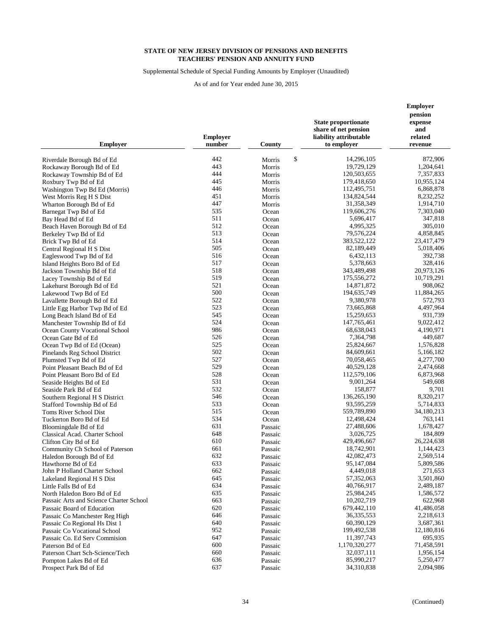Supplemental Schedule of Special Funding Amounts by Employer (Unaudited)

| <b>Employer</b>                                         | <b>Employer</b><br>number | County         | <b>State proportionate</b><br>share of net pension<br>liability attributable<br>to employer | <b>Employer</b><br>pension<br>expense<br>and<br>related<br>revenue |
|---------------------------------------------------------|---------------------------|----------------|---------------------------------------------------------------------------------------------|--------------------------------------------------------------------|
| Riverdale Borough Bd of Ed                              | 442                       | \$<br>Morris   | 14,296,105                                                                                  | 872,906                                                            |
| Rockaway Borough Bd of Ed                               | 443                       | Morris         | 19,729,129                                                                                  | 1,204,641                                                          |
| Rockaway Township Bd of Ed                              | 444                       | Morris         | 120,503,655                                                                                 | 7,357,833                                                          |
| Roxbury Twp Bd of Ed                                    | 445                       | Morris         | 179,418,650                                                                                 | 10,955,124                                                         |
| Washington Twp Bd Ed (Morris)                           | 446                       | Morris         | 112,495,751                                                                                 | 6,868,878                                                          |
| West Morris Reg H S Dist                                | 451                       | Morris         | 134,824,544                                                                                 | 8,232,252                                                          |
| Wharton Borough Bd of Ed                                | 447                       | Morris         | 31,358,349                                                                                  | 1,914,710                                                          |
| Barnegat Twp Bd of Ed                                   | 535                       | Ocean          | 119,606,276                                                                                 | 7,303,040                                                          |
| Bay Head Bd of Ed                                       | 511                       | Ocean          | 5,696,417                                                                                   | 347,818                                                            |
| Beach Haven Borough Bd of Ed                            | 512                       | Ocean          | 4,995,325                                                                                   | 305,010                                                            |
| Berkeley Twp Bd of Ed                                   | 513                       | Ocean          | 79,576,224                                                                                  | 4,858,845                                                          |
| Brick Twp Bd of Ed                                      | 514                       | Ocean          | 383,522,122                                                                                 | 23,417,479                                                         |
| Central Regional H S Dist                               | 505                       | Ocean          | 82,189,449                                                                                  | 5,018,406                                                          |
| Eagleswood Twp Bd of Ed                                 | 516                       | Ocean          | 6,432,113                                                                                   | 392,738                                                            |
| Island Heights Boro Bd of Ed                            | 517                       | Ocean          | 5,378,663                                                                                   | 328,416                                                            |
| Jackson Township Bd of Ed                               | 518                       | Ocean          | 343,489,498                                                                                 | 20,973,126                                                         |
| Lacey Township Bd of Ed                                 | 519                       | Ocean          | 175,556,272                                                                                 | 10,719,291                                                         |
| Lakehurst Borough Bd of Ed                              | 521                       | Ocean          | 14,871,872                                                                                  | 908,062                                                            |
| Lakewood Twp Bd of Ed                                   | 500                       | Ocean          | 194,635,749                                                                                 | 11,884,265                                                         |
| Lavallette Borough Bd of Ed                             | 522                       | Ocean          | 9,380,978                                                                                   | 572,793                                                            |
| Little Egg Harbor Twp Bd of Ed                          | 523                       | Ocean          | 73,665,868                                                                                  | 4,497,964                                                          |
| Long Beach Island Bd of Ed                              | 545                       | Ocean          | 15,259,653                                                                                  | 931,739                                                            |
| Manchester Township Bd of Ed                            | 524                       | Ocean          | 147,765,461                                                                                 | 9,022,412                                                          |
| <b>Ocean County Vocational School</b>                   | 986                       | Ocean          | 68,638,043                                                                                  | 4,190,971                                                          |
| Ocean Gate Bd of Ed                                     | 526                       | Ocean          | 7,364,798                                                                                   | 449,687                                                            |
| Ocean Twp Bd of Ed (Ocean)                              | 525                       | Ocean          | 25,824,667                                                                                  | 1,576,828                                                          |
| Pinelands Reg School District                           | 502                       | Ocean          | 84,609,661                                                                                  | 5,166,182                                                          |
| Plumsted Twp Bd of Ed                                   | 527<br>529                | Ocean          | 70,058,465                                                                                  | 4,277,700                                                          |
| Point Pleasant Beach Bd of Ed                           | 528                       | Ocean          | 40,529,128                                                                                  | 2,474,668                                                          |
| Point Pleasant Boro Bd of Ed                            | 531                       | Ocean          | 112,579,106<br>9,001,264                                                                    | 6,873,968<br>549,608                                               |
| Seaside Heights Bd of Ed                                | 532                       | Ocean<br>Ocean | 158,877                                                                                     | 9,701                                                              |
| Seaside Park Bd of Ed<br>Southern Regional H S District | 546                       | Ocean          | 136,265,190                                                                                 | 8,320,217                                                          |
| Stafford Township Bd of Ed                              | 533                       | Ocean          | 93,595,259                                                                                  | 5,714,833                                                          |
| Toms River School Dist                                  | 515                       | Ocean          | 559,789,890                                                                                 | 34,180,213                                                         |
| Tuckerton Boro Bd of Ed                                 | 534                       | Ocean          | 12,498,424                                                                                  | 763,141                                                            |
| Bloomingdale Bd of Ed                                   | 631                       | Passaic        | 27,488,606                                                                                  | 1,678,427                                                          |
| Classical Acad. Charter School                          | 648                       | Passaic        | 3,026,725                                                                                   | 184,809                                                            |
| Clifton City Bd of Ed                                   | 610                       | Passaic        | 429,496,667                                                                                 | 26,224,638                                                         |
| Community Ch School of Paterson                         | 661                       | Passaic        | 18,742,901                                                                                  | 1,144,423                                                          |
| Haledon Borough Bd of Ed                                | 632                       | Passaic        | 42,082,473                                                                                  | 2,569,514                                                          |
| Hawthorne Bd of Ed                                      | 633                       | Passaic        | 95,147,084                                                                                  | 5,809,586                                                          |
| John P Holland Charter School                           | 662                       | Passaic        | 4,449,018                                                                                   | 271,653                                                            |
| Lakeland Regional H S Dist                              | 645                       | Passaic        | 57,352,063                                                                                  | 3,501,860                                                          |
| Little Falls Bd of Ed                                   | 634                       | Passaic        | 40,766,917                                                                                  | 2,489,187                                                          |
| North Haledon Boro Bd of Ed                             | 635                       | Passaic        | 25,984,245                                                                                  | 1,586,572                                                          |
| Passaic Arts and Science Charter School                 | 663                       | Passaic        | 10,202,719                                                                                  | 622,968                                                            |
| Passaic Board of Education                              | 620                       | Passaic        | 679,442,110                                                                                 | 41,486,058                                                         |
| Passaic Co Manchester Reg High                          | 646                       | Passaic        | 36, 335, 553                                                                                | 2,218,613                                                          |
| Passaic Co Regional Hs Dist 1                           | 640                       | Passaic        | 60,390,129                                                                                  | 3,687,361                                                          |
| Passaic Co Vocational School                            | 952                       | Passaic        | 199,492,538                                                                                 | 12,180,816                                                         |
| Passaic Co. Ed Serv Commision                           | 647                       | Passaic        | 11,397,743                                                                                  | 695,935                                                            |
| Paterson Bd of Ed                                       | 600                       | Passaic        | 1,170,320,277                                                                               | 71,458,591                                                         |
| Paterson Chart Sch-Science/Tech                         | 660                       | Passaic        | 32.037.111                                                                                  | 1,956,154                                                          |
| Pompton Lakes Bd of Ed                                  | 636                       | Passaic        | 85,990,217                                                                                  | 5,250,477                                                          |
| Prospect Park Bd of Ed                                  | 637                       | Passaic        | 34,310,838                                                                                  | 2,094,986                                                          |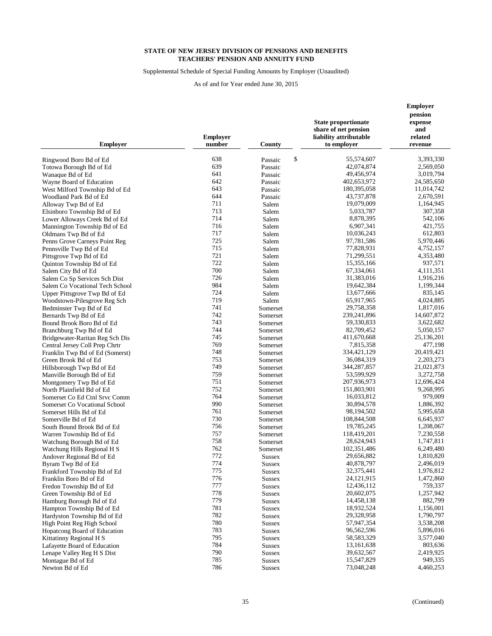Supplemental Schedule of Special Funding Amounts by Employer (Unaudited)

| <b>Employer</b>                                      | <b>Employer</b><br>number | County                  | <b>State proportionate</b><br>share of net pension<br>liability attributable<br>to employer | <b>Employer</b><br>pension<br>expense<br>and<br>related<br>revenue |
|------------------------------------------------------|---------------------------|-------------------------|---------------------------------------------------------------------------------------------|--------------------------------------------------------------------|
| Ringwood Boro Bd of Ed                               | 638                       | \$<br>Passaic           | 55,574,607                                                                                  | 3,393,330                                                          |
| Totowa Borough Bd of Ed                              | 639                       | Passaic                 | 42,074,874                                                                                  | 2,569,050                                                          |
| Wanaque Bd of Ed                                     | 641                       | Passaic                 | 49,456,974                                                                                  | 3,019,794                                                          |
| Wayne Board of Education                             | 642                       | Passaic                 | 402,653,972                                                                                 | 24,585,650                                                         |
| West Milford Township Bd of Ed                       | 643                       | Passaic                 | 180.395.058                                                                                 | 11,014,742                                                         |
| Woodland Park Bd of Ed                               | 644                       | Passaic                 | 43,737,878                                                                                  | 2,670,591                                                          |
| Alloway Twp Bd of Ed                                 | 711                       | Salem                   | 19,079,009                                                                                  | 1,164,945                                                          |
| Elsinboro Township Bd of Ed                          | 713                       | Salem                   | 5,033,787                                                                                   | 307,358                                                            |
| Lower Alloways Creek Bd of Ed                        | 714                       | Salem                   | 8,878,395                                                                                   | 542,106                                                            |
| Mannington Township Bd of Ed                         | 716                       | Salem                   | 6,907,341                                                                                   | 421,755                                                            |
| Oldmans Twp Bd of Ed                                 | 717                       | Salem                   | 10,036,243                                                                                  | 612,803                                                            |
| Penns Grove Carneys Point Reg                        | 725                       | Salem                   | 97,781,586                                                                                  | 5,970,446                                                          |
| Pennsville Twp Bd of Ed                              | 715                       | Salem                   | 77,828,931                                                                                  | 4,752,157                                                          |
| Pittsgrove Twp Bd of Ed                              | 721                       | Salem                   | 71,299,551                                                                                  | 4,353,480                                                          |
| Quinton Township Bd of Ed                            | 722                       | Salem                   | 15,355,166                                                                                  | 937,571                                                            |
| Salem City Bd of Ed                                  | 700                       | Salem                   | 67,334,061                                                                                  | 4,111,351                                                          |
| Salem Co Sp Services Sch Dist                        | 726                       | Salem                   | 31,383,016                                                                                  | 1,916,216                                                          |
| Salem Co Vocational Tech School                      | 984                       | Salem                   | 19,642,384                                                                                  | 1,199,344                                                          |
| Upper Pittsgrove Twp Bd of Ed                        | 724                       | Salem                   | 13,677,666                                                                                  | 835,145                                                            |
| Woodstown-Pilesgrove Reg Sch                         | 719                       | Salem                   | 65,917,965                                                                                  | 4,024,885                                                          |
| Bedminster Twp Bd of Ed                              | 741                       | Somerset                | 29,758,358                                                                                  | 1,817,016                                                          |
| Bernards Twp Bd of Ed                                | 742<br>743                | Somerset                | 239,241,896                                                                                 | 14,607,872<br>3,622,682                                            |
| Bound Brook Boro Bd of Ed<br>Branchburg Twp Bd of Ed | 744                       | Somerset                | 59,330,833<br>82,709,452                                                                    | 5,050,157                                                          |
| Bridgewater-Raritan Reg Sch Dis                      | 745                       | Somerset<br>Somerset    | 411,670,668                                                                                 | 25,136,201                                                         |
| Central Jersey Coll Prep Chrtr                       | 769                       | Somerset                | 7,815,358                                                                                   | 477,198                                                            |
| Franklin Twp Bd of Ed (Somerst)                      | 748                       | Somerset                | 334,421,129                                                                                 | 20,419,421                                                         |
| Green Brook Bd of Ed                                 | 753                       | Somerset                | 36,084,319                                                                                  | 2,203,273                                                          |
| Hillsborough Twp Bd of Ed                            | 749                       | Somerset                | 344,287,857                                                                                 | 21,021,873                                                         |
| Manville Borough Bd of Ed                            | 759                       | Somerset                | 53,599,929                                                                                  | 3,272,758                                                          |
| Montgomery Twp Bd of Ed                              | 751                       | Somerset                | 207,936,973                                                                                 | 12,696,424                                                         |
| North Plainfield Bd of Ed                            | 752                       | Somerset                | 151,803,901                                                                                 | 9,268,995                                                          |
| Somerset Co Ed Ctnl Srvc Comm                        | 764                       | Somerset                | 16,033,812                                                                                  | 979,009                                                            |
| Somerset Co Vocational School                        | 990                       | Somerset                | 30,894,578                                                                                  | 1,886,392                                                          |
| Somerset Hills Bd of Ed                              | 761                       | Somerset                | 98,194,502                                                                                  | 5,995,658                                                          |
| Somerville Bd of Ed                                  | 730                       | Somerset                | 108,844,508                                                                                 | 6,645,937                                                          |
| South Bound Brook Bd of Ed                           | 756                       | Somerset                | 19,785,245                                                                                  | 1,208,067                                                          |
| Warren Township Bd of Ed                             | 757                       | Somerset                | 118,419,201                                                                                 | 7,230,558                                                          |
| Watchung Borough Bd of Ed                            | 758                       | Somerset                | 28,624,943                                                                                  | 1,747,811                                                          |
| Watchung Hills Regional H S                          | 762                       | Somerset                | 102,351,486                                                                                 | 6,249,480                                                          |
| Andover Regional Bd of Ed                            | 772<br>774                | <b>Sussex</b>           | 29,656,882                                                                                  | 1,810,820                                                          |
| Byram Twp Bd of Ed                                   | 775                       | Sussex                  | 40,878,797<br>32,375,441                                                                    | 2,496,019<br>1,976,812                                             |
| Frankford Township Bd of Ed                          | 776                       | <b>Sussex</b>           | 24, 121, 915                                                                                | 1,472,860                                                          |
| Franklin Boro Bd of Ed<br>Fredon Township Bd of Ed   | 777                       | <b>Sussex</b><br>Sussex | 12,436,112                                                                                  | 759,337                                                            |
| Green Township Bd of Ed                              | 778                       | <b>Sussex</b>           | 20,602,075                                                                                  | 1,257,942                                                          |
| Hamburg Borough Bd of Ed                             | 779                       | Sussex                  | 14,458,138                                                                                  | 882,799                                                            |
| Hampton Township Bd of Ed                            | 781                       | <b>Sussex</b>           | 18,932,524                                                                                  | 1,156,001                                                          |
| Hardyston Township Bd of Ed                          | 782                       | <b>Sussex</b>           | 29,328,958                                                                                  | 1,790,797                                                          |
| High Point Reg High School                           | 780                       | <b>Sussex</b>           | 57,947,354                                                                                  | 3,538,208                                                          |
| Hopatcong Board of Education                         | 783                       | Sussex                  | 96,562,596                                                                                  | 5,896,016                                                          |
| Kittatinny Regional H S                              | 795                       | Sussex                  | 58,583,329                                                                                  | 3,577,040                                                          |
| Lafayette Board of Education                         | 784                       | Sussex                  | 13, 161, 638                                                                                | 803,636                                                            |
| Lenape Valley Reg H S Dist                           | 790                       | <b>Sussex</b>           | 39,632,567                                                                                  | 2,419,925                                                          |
| Montague Bd of Ed                                    | 785                       | Sussex                  | 15,547,829                                                                                  | 949,335                                                            |
| Newton Bd of Ed                                      | 786                       | <b>Sussex</b>           | 73,048,248                                                                                  | 4,460,253                                                          |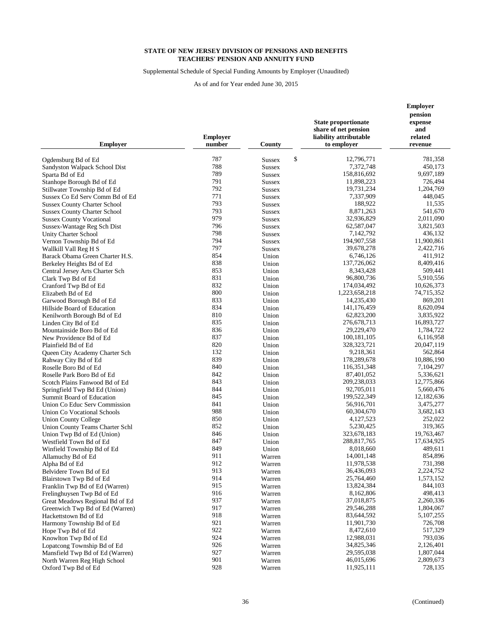Supplemental Schedule of Special Funding Amounts by Employer (Unaudited)

| <b>Employer</b>                                  | <b>Employer</b><br>number | County              | <b>State proportionate</b><br>share of net pension<br>liability attributable<br>to employer | <b>Employer</b><br>pension<br>expense<br>and<br>related<br>revenue |
|--------------------------------------------------|---------------------------|---------------------|---------------------------------------------------------------------------------------------|--------------------------------------------------------------------|
| Ogdensburg Bd of Ed                              | 787                       | \$<br><b>Sussex</b> | 12,796,771                                                                                  | 781,358                                                            |
| Sandyston Walpack School Dist                    | 788                       | <b>Sussex</b>       | 7,372,748                                                                                   | 450,173                                                            |
| Sparta Bd of Ed                                  | 789                       | <b>Sussex</b>       | 158,816,692                                                                                 | 9,697,189                                                          |
| Stanhope Borough Bd of Ed                        | 791                       | <b>Sussex</b>       | 11,898,223                                                                                  | 726,494                                                            |
| Stillwater Township Bd of Ed                     | 792                       | <b>Sussex</b>       | 19,731,234                                                                                  | 1,204,769                                                          |
| Sussex Co Ed Serv Comm Bd of Ed                  | 771                       | <b>Sussex</b>       | 7,337,909                                                                                   | 448,045                                                            |
| <b>Sussex County Charter School</b>              | 793                       | <b>Sussex</b>       | 188,922                                                                                     | 11,535                                                             |
| <b>Sussex County Charter School</b>              | 793                       | <b>Sussex</b>       | 8,871,263                                                                                   | 541,670                                                            |
| <b>Sussex County Vocational</b>                  | 979                       | <b>Sussex</b>       | 32,936,829                                                                                  | 2,011,090                                                          |
| Sussex-Wantage Reg Sch Dist                      | 796                       | <b>Sussex</b>       | 62,587,047                                                                                  | 3,821,503                                                          |
| Unity Charter School                             | 798                       | <b>Sussex</b>       | 7,142,792                                                                                   | 436,132                                                            |
| Vernon Township Bd of Ed                         | 794                       | <b>Sussex</b>       | 194,907,558                                                                                 | 11,900,861                                                         |
| Wallkill Vall Reg H S                            | 797                       | <b>Sussex</b>       | 39,678,278                                                                                  | 2,422,716                                                          |
| Barack Obama Green Charter H.S.                  | 854                       | Union               | 6,746,126                                                                                   | 411,912                                                            |
| Berkeley Heights Bd of Ed                        | 838                       | Union               | 137,726,062                                                                                 | 8,409,416                                                          |
| Central Jersey Arts Charter Sch                  | 853                       | Union               | 8,343,428                                                                                   | 509,441                                                            |
| Clark Twp Bd of Ed                               | 831                       | Union               | 96,800,736                                                                                  | 5,910,556                                                          |
| Cranford Twp Bd of Ed                            | 832                       | Union               | 174,034,492                                                                                 | 10,626,373                                                         |
| Elizabeth Bd of Ed                               | 800                       | Union               | 1,223,658,218                                                                               | 74,715,352                                                         |
| Garwood Borough Bd of Ed                         | 833                       | Union               | 14,235,430                                                                                  | 869,201                                                            |
| Hillside Board of Education                      | 834                       | Union               | 141,176,459                                                                                 | 8,620,094                                                          |
| Kenilworth Borough Bd of Ed                      | 810                       | Union               | 62,823,200                                                                                  | 3,835,922                                                          |
| Linden City Bd of Ed                             | 835                       | Union               | 276,678,713                                                                                 | 16,893,727                                                         |
| Mountainside Boro Bd of Ed                       | 836                       | Union               | 29,229,470                                                                                  | 1,784,722                                                          |
| New Providence Bd of Ed                          | 837                       | Union               | 100, 181, 105                                                                               | 6,116,958                                                          |
| Plainfield Bd of Ed                              | 820                       | Union               | 328, 323, 721                                                                               | 20,047,119                                                         |
| Queen City Academy Charter Sch                   | 132                       | Union               | 9,218,361                                                                                   | 562,864                                                            |
| Rahway City Bd of Ed                             | 839                       | Union               | 178,289,678                                                                                 | 10,886,190                                                         |
| Roselle Boro Bd of Ed                            | 840                       | Union               | 116, 351, 348                                                                               | 7,104,297                                                          |
| Roselle Park Boro Bd of Ed                       | 842                       | Union               | 87,401,052                                                                                  | 5,336,621                                                          |
| Scotch Plains Fanwood Bd of Ed                   | 843                       | Union               | 209,238,033                                                                                 | 12,775,866                                                         |
| Springfield Twp Bd Ed (Union)                    | 844                       | Union               | 92,705,011                                                                                  | 5,660,476                                                          |
| Summit Board of Education                        | 845                       | Union               | 199,522,349                                                                                 | 12,182,636                                                         |
| Union Co Educ Serv Commission                    | 841                       | Union               | 56,916,701                                                                                  | 3,475,277                                                          |
| Union Co Vocational Schools                      | 988                       | Union               | 60,304,670                                                                                  | 3,682,143                                                          |
| <b>Union County College</b>                      | 850                       | Union               | 4,127,523                                                                                   | 252,022                                                            |
| Union County Teams Charter Schl                  | 852<br>846                | Union               | 5,230,425<br>323,678,183                                                                    | 319,365                                                            |
| Union Twp Bd of Ed (Union)                       | 847                       | Union               | 288,817,765                                                                                 | 19,763,467<br>17,634,925                                           |
| Westfield Town Bd of Ed                          | 849                       | Union<br>Union      | 8,018,660                                                                                   | 489,611                                                            |
| Winfield Township Bd of Ed<br>Allamuchy Bd of Ed | 911                       | Warren              | 14,001,148                                                                                  | 854,896                                                            |
|                                                  | 912                       |                     | 11,978,538                                                                                  | 731,398                                                            |
| Alpha Bd of Ed<br>Belvidere Town Bd of Ed        | 913                       | Warren<br>Warren    | 36,436,093                                                                                  | 2,224,752                                                          |
| Blairstown Twp Bd of Ed                          | 914                       | Warren              | 25,764,460                                                                                  | 1,573,152                                                          |
| Franklin Twp Bd of Ed (Warren)                   | 915                       | Warren              | 13,824,384                                                                                  | 844,103                                                            |
| Frelinghuysen Twp Bd of Ed                       | 916                       | Warren              | 8,162,806                                                                                   | 498,413                                                            |
| Great Meadows Regional Bd of Ed                  | 937                       | Warren              | 37,018,875                                                                                  | 2,260,336                                                          |
| Greenwich Twp Bd of Ed (Warren)                  | 917                       | Warren              | 29,546,288                                                                                  | 1,804,067                                                          |
| Hackettstown Bd of Ed                            | 918                       | Warren              | 83,644,592                                                                                  | 5,107,255                                                          |
| Harmony Township Bd of Ed                        | 921                       | Warren              | 11,901,730                                                                                  | 726,708                                                            |
| Hope Twp Bd of Ed                                | 922                       | Warren              | 8,472,610                                                                                   | 517,329                                                            |
| Knowlton Twp Bd of Ed                            | 924                       | Warren              | 12,988,031                                                                                  | 793,036                                                            |
| Lopatcong Township Bd of Ed                      | 926                       | Warren              | 34,825,346                                                                                  | 2,126,401                                                          |
| Mansfield Twp Bd of Ed (Warren)                  | 927                       | Warren              | 29,595,038                                                                                  | 1,807,044                                                          |
| North Warren Reg High School                     | 901                       | Warren              | 46,015,696                                                                                  | 2,809,673                                                          |
| Oxford Twp Bd of Ed                              | 928                       | Warren              | 11,925,111                                                                                  | 728,135                                                            |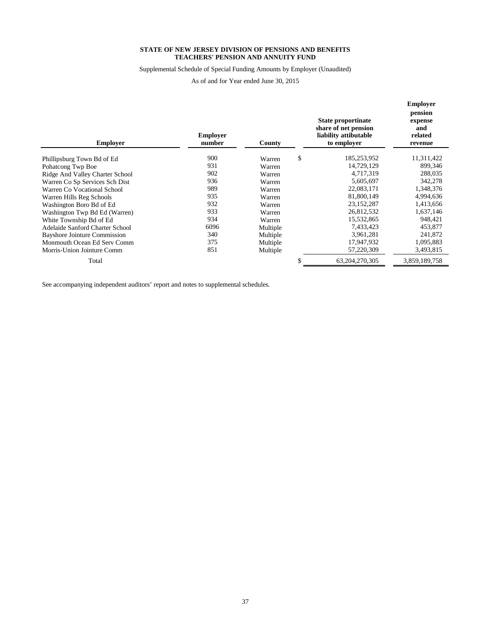Supplemental Schedule of Special Funding Amounts by Employer (Unaudited)

As of and for Year ended June 30, 2015

| <b>Employer</b>                     |                           |          |                                                                                           |                                      | <b>Employer</b><br>pension |
|-------------------------------------|---------------------------|----------|-------------------------------------------------------------------------------------------|--------------------------------------|----------------------------|
|                                     | <b>Employer</b><br>number | County   | <b>State proportinate</b><br>share of net pension<br>liability attibutable<br>to employer | expense<br>and<br>related<br>revenue |                            |
| Phillipsburg Town Bd of Ed          | 900                       | Warren   | \$                                                                                        | 185,253,952                          | 11,311,422                 |
| Pohatcong Twp Boe                   | 931                       | Warren   |                                                                                           | 14,729,129                           | 899,346                    |
| Ridge And Valley Charter School     | 902                       | Warren   |                                                                                           | 4,717,319                            | 288,035                    |
| Warren Co Sp Services Sch Dist      | 936                       | Warren   |                                                                                           | 5,605,697                            | 342,278                    |
| Warren Co Vocational School         | 989                       | Warren   |                                                                                           | 22,083,171                           | 1,348,376                  |
| Warren Hills Reg Schools            | 935                       | Warren   |                                                                                           | 81,800,149                           | 4,994,636                  |
| Washington Boro Bd of Ed            | 932                       | Warren   |                                                                                           | 23, 152, 287                         | 1,413,656                  |
| Washington Twp Bd Ed (Warren)       | 933                       | Warren   |                                                                                           | 26,812,532                           | 1,637,146                  |
| White Township Bd of Ed             | 934                       | Warren   |                                                                                           | 15,532,865                           | 948,421                    |
| Adelaide Sanford Charter School     | 6096                      | Multiple |                                                                                           | 7,433,423                            | 453,877                    |
| <b>Bayshore Jointure Commission</b> | 340                       | Multiple |                                                                                           | 3,961,281                            | 241,872                    |
| Monmouth Ocean Ed Serv Comm         | 375                       | Multiple |                                                                                           | 17,947,932                           | 1,095,883                  |
| Morris-Union Jointure Comm          | 851                       | Multiple |                                                                                           | 57,220,309                           | 3,493,815                  |
| Total                               |                           |          | Ъ                                                                                         | 63,204,270,305                       | 3,859,189,758              |

See accompanying independent auditors' report and notes to supplemental schedules.